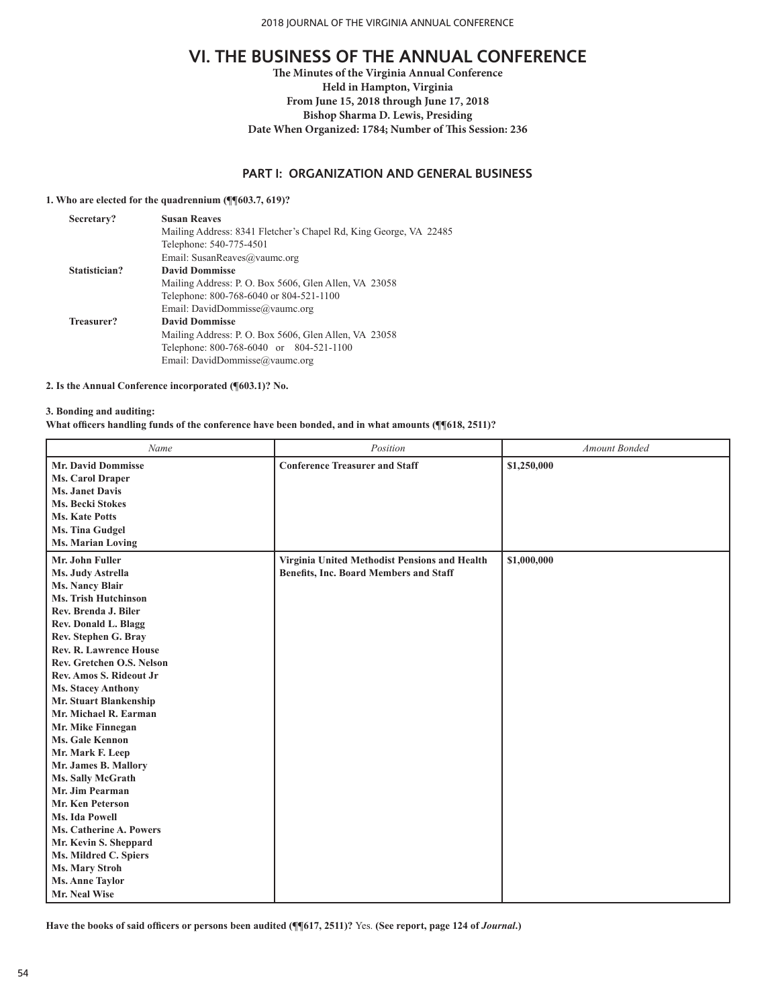**The Minutes of the Virginia Annual Conference Held in Hampton, Virginia From June 15, 2018 through June 17, 2018 Bishop Sharma D. Lewis, Presiding Date When Organized: 1784; Number of This Session: 236**

## **PART I: ORGANIZATION AND GENERAL BUSINESS**

## **1. Who are elected for the quadrennium (¶¶603.7, 619)?**

| Secretary?    | <b>Susan Reaves</b>                                               |
|---------------|-------------------------------------------------------------------|
|               | Mailing Address: 8341 Fletcher's Chapel Rd, King George, VA 22485 |
|               | Telephone: 540-775-4501                                           |
|               | Email: SusanReaves@vaumc.org                                      |
| Statistician? | <b>David Dommisse</b>                                             |
|               | Mailing Address: P. O. Box 5606, Glen Allen, VA 23058             |
|               | Telephone: 800-768-6040 or 804-521-1100                           |
|               | Email: DavidDommisse@vaumc.org                                    |
| Treasurer?    | <b>David Dommisse</b>                                             |
|               | Mailing Address: P. O. Box 5606, Glen Allen, VA 23058             |
|               | Telephone: 800-768-6040 or 804-521-1100                           |
|               | Email: DavidDommisse@vaumc.org                                    |
|               |                                                                   |

## **2. Is the Annual Conference incorporated (¶603.1)? No.**

## **3. Bonding and auditing:**

**What officers handling funds of the conference have been bonded, and in what amounts (¶¶618, 2511)?**

| Name                          | Position                                      | <b>Amount Bonded</b> |
|-------------------------------|-----------------------------------------------|----------------------|
| <b>Mr. David Dommisse</b>     | <b>Conference Treasurer and Staff</b>         | \$1,250,000          |
| <b>Ms. Carol Draper</b>       |                                               |                      |
| <b>Ms. Janet Davis</b>        |                                               |                      |
| <b>Ms. Becki Stokes</b>       |                                               |                      |
| <b>Ms. Kate Potts</b>         |                                               |                      |
| Ms. Tina Gudgel               |                                               |                      |
| <b>Ms. Marian Loving</b>      |                                               |                      |
| Mr. John Fuller               | Virginia United Methodist Pensions and Health | \$1,000,000          |
| Ms. Judy Astrella             | <b>Benefits, Inc. Board Members and Staff</b> |                      |
| <b>Ms. Nancy Blair</b>        |                                               |                      |
| <b>Ms. Trish Hutchinson</b>   |                                               |                      |
| Rev. Brenda J. Biler          |                                               |                      |
| Rev. Donald L. Blagg          |                                               |                      |
| Rev. Stephen G. Bray          |                                               |                      |
| <b>Rev. R. Lawrence House</b> |                                               |                      |
| Rev. Gretchen O.S. Nelson     |                                               |                      |
| Rev. Amos S. Rideout Jr       |                                               |                      |
| <b>Ms. Stacey Anthony</b>     |                                               |                      |
| Mr. Stuart Blankenship        |                                               |                      |
| Mr. Michael R. Earman         |                                               |                      |
| Mr. Mike Finnegan             |                                               |                      |
| <b>Ms. Gale Kennon</b>        |                                               |                      |
| Mr. Mark F. Leep              |                                               |                      |
| Mr. James B. Mallory          |                                               |                      |
| Ms. Sally McGrath             |                                               |                      |
| Mr. Jim Pearman               |                                               |                      |
| Mr. Ken Peterson              |                                               |                      |
| Ms. Ida Powell                |                                               |                      |
| Ms. Catherine A. Powers       |                                               |                      |
| Mr. Kevin S. Sheppard         |                                               |                      |
| Ms. Mildred C. Spiers         |                                               |                      |
| Ms. Mary Stroh                |                                               |                      |
| <b>Ms. Anne Taylor</b>        |                                               |                      |
| Mr. Neal Wise                 |                                               |                      |

**Have the books of said officers or persons been audited (¶¶617, 2511)?** Yes. **(See report, page 124 of** *Journal***.)**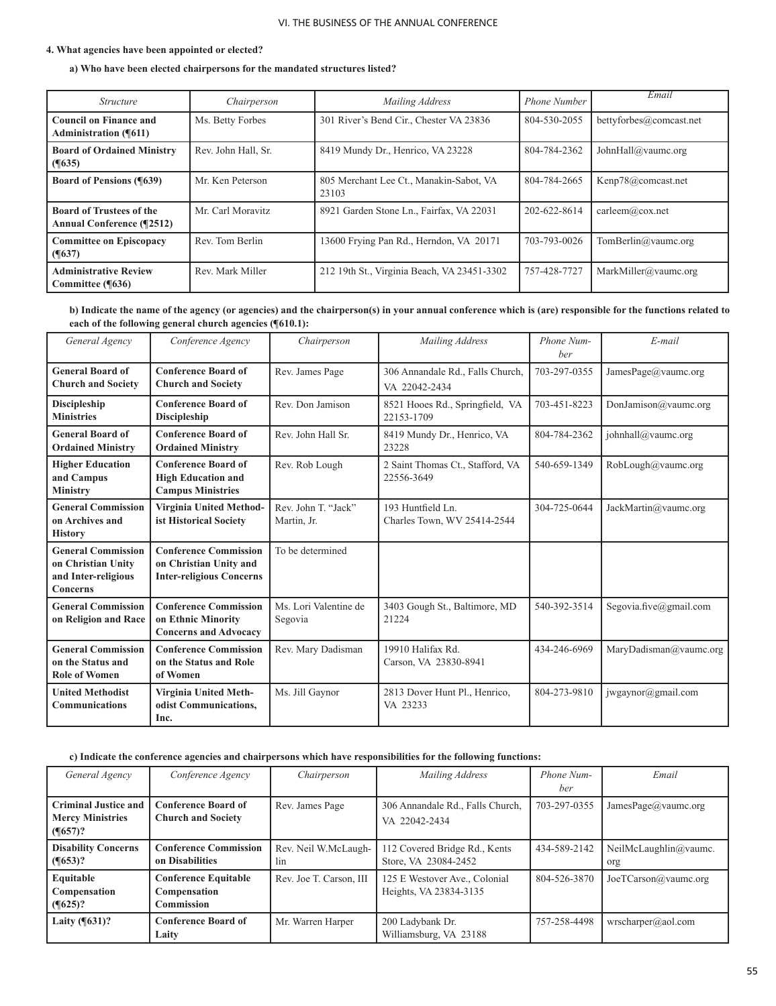#### **4. What agencies have been appointed or elected?**

Ī

## **a) Who have been elected chairpersons for the mandated structures listed?**

| <i>Structure</i>                                                    | Chairperson         | Mailing Address                                  | <b>Phone Number</b> | Email                   |
|---------------------------------------------------------------------|---------------------|--------------------------------------------------|---------------------|-------------------------|
| Council on Finance and<br><b>Administration</b> (¶611)              | Ms. Betty Forbes    | 301 River's Bend Cir., Chester VA 23836          | 804-530-2055        | bettyforbes@comcast.net |
| <b>Board of Ordained Ministry</b><br>$($ [635)                      | Rev. John Hall, Sr. | 8419 Mundy Dr., Henrico, VA 23228                | 804-784-2362        | JohnHall@vaumc.org      |
| <b>Board of Pensions (%539)</b>                                     | Mr. Ken Peterson    | 805 Merchant Lee Ct., Manakin-Sabot, VA<br>23103 | 804-784-2665        | Kenp78@comcast.net      |
| <b>Board of Trustees of the</b><br><b>Annual Conference (¶2512)</b> | Mr. Carl Moravitz   | 8921 Garden Stone Ln., Fairfax, VA 22031         | 202-622-8614        | carleem@cov.net         |
| <b>Committee on Episcopacy</b><br>$($ (1637)                        | Rev. Tom Berlin     | 13600 Frying Pan Rd., Herndon, VA 20171          | 703-793-0026        | TomBerlin@vaumc.org     |
| <b>Administrative Review</b><br>Committee (¶636)                    | Rev. Mark Miller    | 212 19th St., Virginia Beach, VA 23451-3302      | 757-428-7727        | MarkMiller@vaumc.org    |

**b) Indicate the name of the agency (or agencies) and the chairperson(s) in your annual conference which is (are) responsible for the functions related to each of the following general church agencies (¶610.1):**

| General Agency                                                                     | Conference Agency                                                                         | Chairperson                        | Mailing Address                                   | Phone Num-<br><i>her</i> | E-mail                 |
|------------------------------------------------------------------------------------|-------------------------------------------------------------------------------------------|------------------------------------|---------------------------------------------------|--------------------------|------------------------|
| <b>General Board of</b><br><b>Church and Society</b>                               | <b>Conference Board of</b><br><b>Church and Society</b>                                   | Rev. James Page                    | 306 Annandale Rd., Falls Church,<br>VA 22042-2434 | 703-297-0355             | JamesPage@vaumc.org    |
| Discipleship<br><b>Ministries</b>                                                  | <b>Conference Board of</b><br><b>Discipleship</b>                                         | Rev. Don Jamison                   | 8521 Hooes Rd., Springfield, VA<br>22153-1709     | 703-451-8223             | DonJamison@vaumc.org   |
| <b>General Board of</b><br><b>Ordained Ministry</b>                                | <b>Conference Board of</b><br><b>Ordained Ministry</b>                                    | Rev. John Hall Sr.                 | 8419 Mundy Dr., Henrico, VA<br>23228              | 804-784-2362             | johnhall@vaumc.org     |
| <b>Higher Education</b><br>and Campus<br><b>Ministry</b>                           | <b>Conference Board of</b><br><b>High Education and</b><br><b>Campus Ministries</b>       | Rev. Rob Lough                     | 2 Saint Thomas Ct., Stafford, VA<br>22556-3649    | 540-659-1349             | RobLough@vaumc.org     |
| <b>General Commission</b><br>on Archives and<br><b>History</b>                     | <b>Virginia United Method-</b><br>ist Historical Society                                  | Rev. John T. "Jack"<br>Martin, Jr. | 193 Huntfield Ln.<br>Charles Town, WV 25414-2544  | 304-725-0644             | JackMartin@vaumc.org   |
| <b>General Commission</b><br>on Christian Unity<br>and Inter-religious<br>Concerns | <b>Conference Commission</b><br>on Christian Unity and<br><b>Inter-religious Concerns</b> | To be determined                   |                                                   |                          |                        |
| <b>General Commission</b><br>on Religion and Race                                  | <b>Conference Commission</b><br>on Ethnic Minority<br><b>Concerns and Advocacy</b>        | Ms. Lori Valentine de<br>Segovia   | 3403 Gough St., Baltimore, MD<br>21224            | 540-392-3514             | Segovia.five@gmail.com |
| <b>General Commission</b><br>on the Status and<br><b>Role of Women</b>             | <b>Conference Commission</b><br>on the Status and Role<br>of Women                        | Rev. Mary Dadisman                 | 19910 Halifax Rd.<br>Carson, VA 23830-8941        | 434-246-6969             | MaryDadisman@vaumc.org |
| <b>United Methodist</b><br><b>Communications</b>                                   | Virginia United Meth-<br>odist Communications,<br>Inc.                                    | Ms. Jill Gaynor                    | 2813 Dover Hunt Pl., Henrico,<br>VA 23233         | 804-273-9810             | iwagaynor@gmail.com    |

# **c) Indicate the conference agencies and chairpersons which have responsibilities for the following functions:**

| General Agency                                                             | Conference Agency                                                | Chairperson                 | Mailing Address                                         | Phone Num-<br>ber | Email                        |
|----------------------------------------------------------------------------|------------------------------------------------------------------|-----------------------------|---------------------------------------------------------|-------------------|------------------------------|
| <b>Criminal Justice and</b><br><b>Mercy Ministries</b><br>$(\sqrt{657})$ ? | <b>Conference Board of</b><br><b>Church and Society</b>          | Rev. James Page             | 306 Annandale Rd., Falls Church,<br>VA 22042-2434       | 703-297-0355      | JamesPage@vaumc.org          |
| <b>Disability Concerns</b><br>$($ [653)?                                   | <b>Conference Commission</b><br>on Disabilities                  | Rev. Neil W.McLaugh-<br>lin | 112 Covered Bridge Rd., Kents<br>Store, VA 23084-2452   | 434-589-2142      | NeilMcLaughlin@vaumc.<br>org |
| Equitable<br>Compensation<br>$(\sqrt{625})$ ?                              | <b>Conference Equitable</b><br>Compensation<br><b>Commission</b> | Rev. Joe T. Carson, III     | 125 E Westover Ave., Colonial<br>Heights, VA 23834-3135 | 804-526-3870      | Joe TCarson@value.org        |
| Laity $(\sqrt{631})$ ?                                                     | <b>Conference Board of</b><br>Laity                              | Mr. Warren Harper           | 200 Ladybank Dr.<br>Williamsburg, VA 23188              | 757-258-4498      | wrscharper@aol.com           |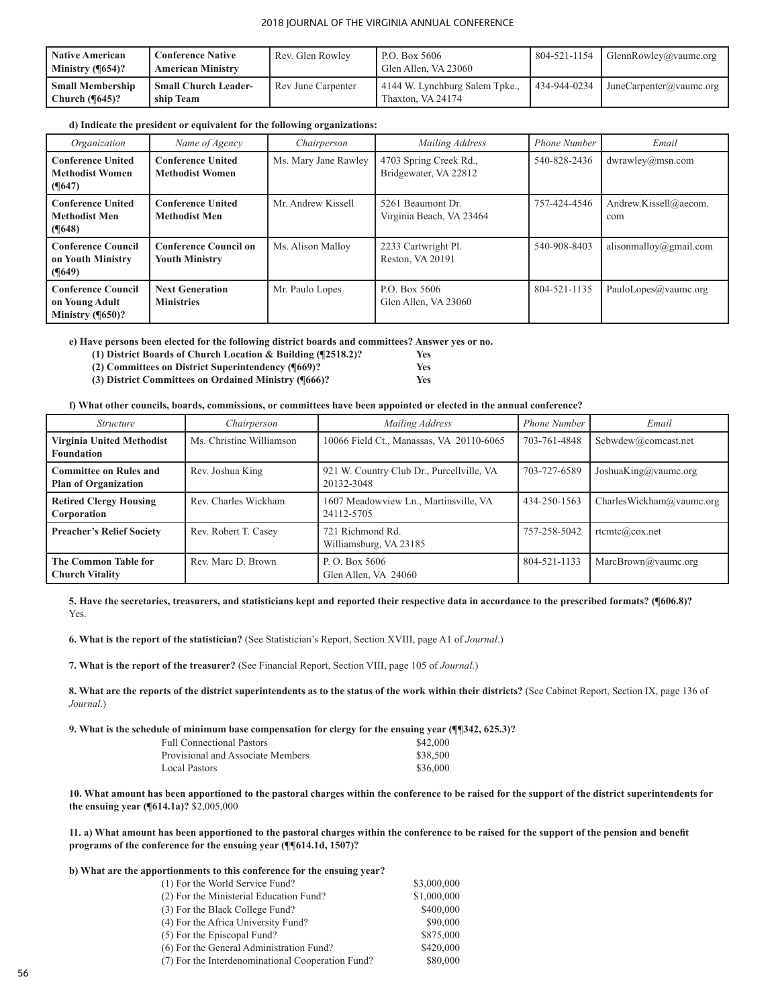| Native American<br>$\sim$ Ministry ( $\P$ 654)?   | <b>Conference Native</b><br><b>American Ministry</b> | Rev. Glen Rowley   | P.O. Box 5606<br>Glen Allen, VA 23060               | 804-521-1154 | GlennRowley@vaumc.org          |
|---------------------------------------------------|------------------------------------------------------|--------------------|-----------------------------------------------------|--------------|--------------------------------|
| <b>Small Membership</b><br>$\vert$ Church (¶645)? | <b>Small Church Leader-</b><br>ship Team             | Rev June Carpenter | 4144 W. Lynchburg Salem Tpke.,<br>Thaxton, VA 24174 | 434-944-0234 | $\Box$ JuneCarpenter@vaumc.org |

#### **d) Indicate the president or equivalent for the following organizations:**

| Organization                                                             | Name of Agency                                        | Chairperson          | Mailing Address                                 | <b>Phone Number</b> | Email                        |
|--------------------------------------------------------------------------|-------------------------------------------------------|----------------------|-------------------------------------------------|---------------------|------------------------------|
| <b>Conference United</b><br><b>Methodist Women</b><br>$($ (1647)         | <b>Conference United</b><br><b>Methodist Women</b>    | Ms. Mary Jane Rawley | 4703 Spring Creek Rd.,<br>Bridgewater, VA 22812 | 540-828-2436        | dwrawley@msn.com             |
| <b>Conference United</b><br><b>Methodist Men</b><br>$($ (1648)           | <b>Conference United</b><br><b>Methodist Men</b>      | Mr. Andrew Kissell   | 5261 Beaumont Dr.<br>Virginia Beach, VA 23464   | 757-424-4546        | Andrew.Kissell@aecom.<br>com |
| <b>Conference Council</b><br>on Youth Ministry<br>$($ (1649)             | <b>Conference Council on</b><br><b>Youth Ministry</b> | Ms. Alison Malloy    | 2233 Cartwright Pl.<br>Reston, VA 20191         | 540-908-8403        | alisonmallov@gmail.com       |
| <b>Conference Council</b><br>on Young Adult<br>Ministry $(\sqrt{650})$ ? | <b>Next Generation</b><br><b>Ministries</b>           | Mr. Paulo Lopes      | P.O. Box 5606<br>Glen Allen, VA 23060           | 804-521-1135        | PauloLopes@vaumc.org         |

**e) Have persons been elected for the following district boards and committees? Answer yes or no.**

**(1) District Boards of Church Location & Building (¶2518.2)? Yes**

 **(2) Committees on District Superintendency (¶669)? Yes**

 **(3) District Committees on Ordained Ministry (¶666)? Yes**

#### **f) What other councils, boards, commissions, or committees have been appointed or elected in the annual conference?**

| <i>Structure</i>                                             | Chairperson              | Mailing Address                                         | Phone Number | Email                           |
|--------------------------------------------------------------|--------------------------|---------------------------------------------------------|--------------|---------------------------------|
| Virginia United Methodist<br><b>Foundation</b>               | Ms. Christine Williamson | 10066 Field Ct., Manassas, VA 20110-6065                | 703-761-4848 | Scbwdew@comcast.net             |
| <b>Committee on Rules and</b><br><b>Plan of Organization</b> | Rev. Joshua King         | 921 W. Country Club Dr., Purcellville, VA<br>20132-3048 | 703-727-6589 | JoshuaKing@vaumc.org            |
| <b>Retired Clergy Housing</b><br>Corporation                 | Rev. Charles Wickham     | 1607 Meadowview Ln., Martinsville, VA<br>24112-5705     | 434-250-1563 | CharlesWickham@vaumc.org        |
| <b>Preacher's Relief Society</b>                             | Rev. Robert T. Casey     | 721 Richmond Rd.<br>Williamsburg, VA 23185              | 757-258-5042 | $rtemtc(a)$ cox.net             |
| <b>The Common Table for</b><br><b>Church Vitality</b>        | Rev. Marc D. Brown       | P. O. Box 5606<br>Glen Allen, VA 24060                  | 804-521-1133 | $\text{Marchrown}(a)$ vaumc.org |

**5. Have the secretaries, treasurers, and statisticians kept and reported their respective data in accordance to the prescribed formats? (¶606.8)?** Yes.

**6. What is the report of the statistician?** (See Statistician's Report, Section XVIII, page A1 of *Journal*.)

**7. What is the report of the treasurer?** (See Financial Report, Section VIII, page 105 of *Journal*.)

8. What are the reports of the district superintendents as to the status of the work within their districts? (See Cabinet Report, Section IX, page 136 of *Journal*.)

**9. What is the schedule of minimum base compensation for clergy for the ensuing year (¶¶342, 625.3)?**

| <b>Full Connectional Pastors</b>  | \$42,000 |
|-----------------------------------|----------|
| Provisional and Associate Members | \$38,500 |
| Local Pastors                     | \$36,000 |
|                                   |          |

**10. What amount has been apportioned to the pastoral charges within the conference to be raised for the support of the district superintendents for the ensuing year (¶614.1a)?** \$2,005,000

**11. a) What amount has been apportioned to the pastoral charges within the conference to be raised for the support of the pension and benefit programs of the conference for the ensuing year (¶¶614.1d, 1507)?**

#### **b) What are the apportionments to this conference for the ensuing year?**

| (1) For the World Service Fund?                   | \$3,000,000 |
|---------------------------------------------------|-------------|
| (2) For the Ministerial Education Fund?           | \$1,000,000 |
| (3) For the Black College Fund?                   | \$400,000   |
| (4) For the Africa University Fund?               | \$90,000    |
| (5) For the Episcopal Fund?                       | \$875,000   |
| (6) For the General Administration Fund?          | \$420,000   |
| (7) For the Interdenominational Cooperation Fund? | \$80,000    |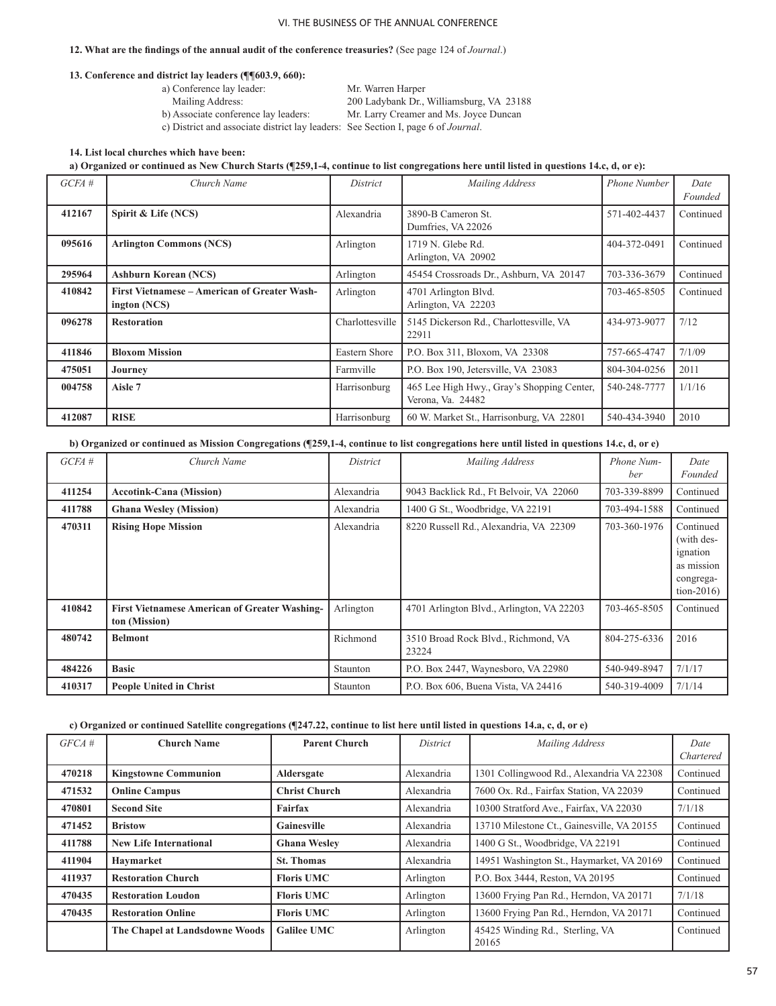## **12. What are the findings of the annual audit of the conference treasuries?** (See page 124 of *Journal*.)

#### **13. Conference and district lay leaders (¶¶603.9, 660):**

 a) Conference lay leader: Mr. Warren Harper Mailing Address: 200 Ladybank Dr., Williamsburg, VA 23188

 b) Associate conference lay leaders: Mr. Larry Creamer and Ms. Joyce Duncan c) District and associate district lay leaders: See Section I, page 6 of *Journal*.

#### **14. List local churches which have been:**

## **a) Organized or continued as New Church Starts (¶259,1-4, continue to list congregations here until listed in questions 14.c, d, or e):**

| GCEA#  | Church Name                                                  | <i>District</i> | Mailing Address                                                 | <b>Phone Number</b> | Date<br>Founded |
|--------|--------------------------------------------------------------|-----------------|-----------------------------------------------------------------|---------------------|-----------------|
| 412167 | Spirit & Life (NCS)                                          | Alexandria      | 3890-B Cameron St.<br>Dumfries, VA 22026                        | 571-402-4437        | Continued       |
| 095616 | <b>Arlington Commons (NCS)</b>                               | Arlington       | 1719 N. Glebe Rd.<br>Arlington, VA 20902                        | 404-372-0491        | Continued       |
| 295964 | Ashburn Korean (NCS)                                         | Arlington       | 45454 Crossroads Dr., Ashburn, VA 20147                         | 703-336-3679        | Continued       |
| 410842 | First Vietnamese – American of Greater Wash-<br>ington (NCS) | Arlington       | 4701 Arlington Blvd.<br>Arlington, VA 22203                     | 703-465-8505        | Continued       |
| 096278 | <b>Restoration</b>                                           | Charlottesville | 5145 Dickerson Rd., Charlottesville, VA<br>22911                | 434-973-9077        | 7/12            |
| 411846 | <b>Bloxom Mission</b>                                        | Eastern Shore   | P.O. Box 311, Bloxom, VA 23308                                  | 757-665-4747        | 7/1/09          |
| 475051 | Journey                                                      | Farmville       | P.O. Box 190, Jetersville, VA 23083                             | 804-304-0256        | 2011            |
| 004758 | Aisle 7                                                      | Harrisonburg    | 465 Lee High Hwy., Gray's Shopping Center,<br>Verona, Va. 24482 | 540-248-7777        | 1/1/16          |
| 412087 | <b>RISE</b>                                                  | Harrisonburg    | 60 W. Market St., Harrisonburg, VA 22801                        | 540-434-3940        | 2010            |

## **b) Organized or continued as Mission Congregations (¶259,1-4, continue to list congregations here until listed in questions 14.c, d, or e)**

| $GCEA \#$ | Church Name                                                           | District   | Mailing Address                              | Phone Num-<br>ber | Date<br>Founded                                                                |
|-----------|-----------------------------------------------------------------------|------------|----------------------------------------------|-------------------|--------------------------------------------------------------------------------|
| 411254    | <b>Accotink-Cana (Mission)</b>                                        | Alexandria | 9043 Backlick Rd., Ft Belvoir, VA 22060      | 703-339-8899      | Continued                                                                      |
| 411788    | <b>Ghana Wesley (Mission)</b>                                         | Alexandria | 1400 G St., Woodbridge, VA 22191             | 703-494-1588      | Continued                                                                      |
| 470311    | <b>Rising Hope Mission</b>                                            | Alexandria | 8220 Russell Rd., Alexandria, VA 22309       | 703-360-1976      | Continued<br>(with des-<br>ignation<br>as mission<br>congrega-<br>$tion-2016)$ |
| 410842    | <b>First Vietnamese American of Greater Washing-</b><br>ton (Mission) | Arlington  | 4701 Arlington Blvd., Arlington, VA 22203    | 703-465-8505      | Continued                                                                      |
| 480742    | <b>Belmont</b>                                                        | Richmond   | 3510 Broad Rock Blvd., Richmond, VA<br>23224 | 804-275-6336      | 2016                                                                           |
| 484226    | <b>Basic</b>                                                          | Staunton   | P.O. Box 2447, Waynesboro, VA 22980          | 540-949-8947      | 7/1/17                                                                         |
| 410317    | <b>People United in Christ</b>                                        | Staunton   | P.O. Box 606, Buena Vista, VA 24416          | 540-319-4009      | 7/1/14                                                                         |

## **c) Organized or continued Satellite congregations (¶247.22, continue to list here until listed in questions 14.a, c, d, or e)**

| $GFCA \#$ | <b>Church Name</b>             | <b>Parent Church</b> | District   | <b>Mailing Address</b>                     | Date<br>Chartered |
|-----------|--------------------------------|----------------------|------------|--------------------------------------------|-------------------|
| 470218    | <b>Kingstowne Communion</b>    | Aldersgate           | Alexandria | 1301 Collingwood Rd., Alexandria VA 22308  | Continued         |
| 471532    | <b>Online Campus</b>           | <b>Christ Church</b> | Alexandria | 7600 Ox. Rd., Fairfax Station, VA 22039    | Continued         |
| 470801    | <b>Second Site</b>             | Fairfax              | Alexandria | 10300 Stratford Ave., Fairfax, VA 22030    | 7/1/18            |
| 471452    | <b>Bristow</b>                 | <b>Gainesville</b>   | Alexandria | 13710 Milestone Ct., Gainesville, VA 20155 | Continued         |
| 411788    | <b>New Life International</b>  | <b>Ghana Wesley</b>  | Alexandria | 1400 G St., Woodbridge, VA 22191           | Continued         |
| 411904    | Haymarket                      | <b>St. Thomas</b>    | Alexandria | 14951 Washington St., Haymarket, VA 20169  | Continued         |
| 411937    | <b>Restoration Church</b>      | <b>Floris UMC</b>    | Arlington  | P.O. Box 3444, Reston, VA 20195            | Continued         |
| 470435    | <b>Restoration Loudon</b>      | <b>Floris UMC</b>    | Arlington  | 13600 Frying Pan Rd., Herndon, VA 20171    | 7/1/18            |
| 470435    | <b>Restoration Online</b>      | <b>Floris UMC</b>    | Arlington  | 13600 Frying Pan Rd., Herndon, VA 20171    | Continued         |
|           | The Chapel at Landsdowne Woods | <b>Galilee UMC</b>   | Arlington  | 45425 Winding Rd., Sterling, VA<br>20165   | Continued         |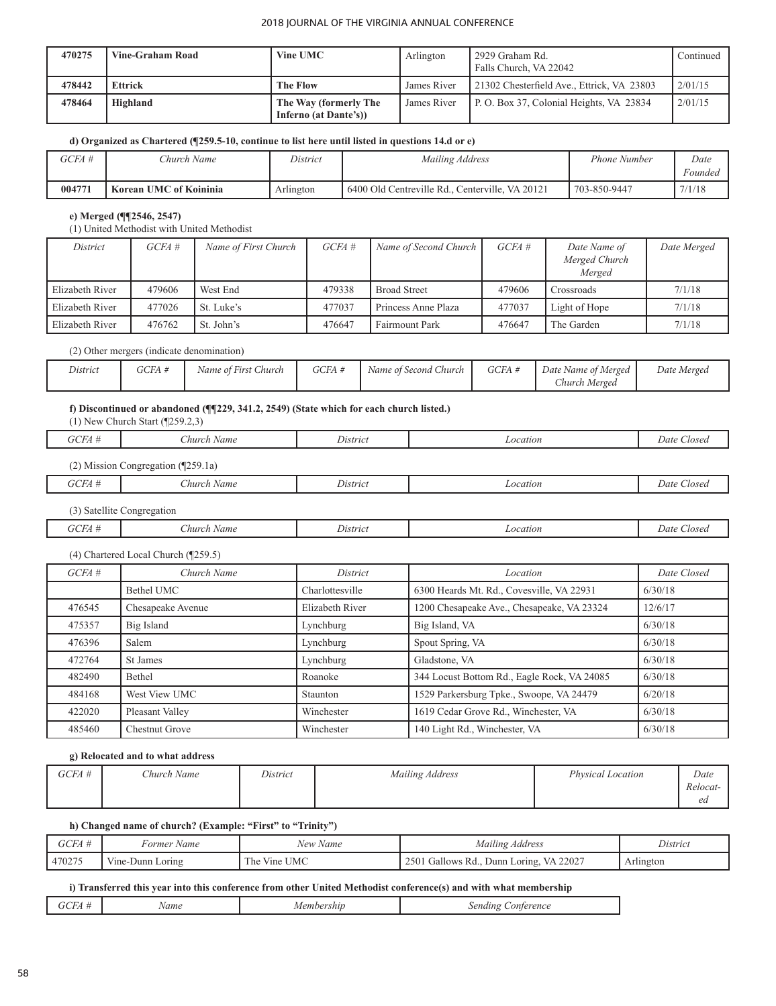| 470275 | <b>Vine-Graham Road</b> | Vine UMC                                       | Arlington   | 2929 Graham Rd.<br>Falls Church, VA 22042  | Continued |
|--------|-------------------------|------------------------------------------------|-------------|--------------------------------------------|-----------|
| 478442 | <b>Ettrick</b>          | <b>The Flow</b>                                | James River | 21302 Chesterfield Ave., Ettrick, VA 23803 | 2/01/15   |
| 478464 | Highland                | The Way (formerly The<br>Inferno (at Dante's)) | James River | P. O. Box 37, Colonial Heights, VA 23834   | 2/01/15   |

## **d) Organized as Chartered (¶259.5-10, continue to list here until listed in questions 14.d or e)**

| GCFA # | Church Name            | District  | Mailing Address                                 | <b>Phone Number</b> | Date<br>Founded |
|--------|------------------------|-----------|-------------------------------------------------|---------------------|-----------------|
| 004771 | Korean UMC of Koininia | Arlington | 6400 Old Centreville Rd., Centerville, VA 20121 | 703-850-9447        | 7/1/18          |
|        |                        |           |                                                 |                     |                 |

## **e) Merged (¶¶2546, 2547)**

(1) United Methodist with United Methodist

| District        | GCEA#  | Name of First Church | GCHA#  | Name of Second Church | GCFA # | Date Name of<br>Merged Church<br>Merged | Date Merged |
|-----------------|--------|----------------------|--------|-----------------------|--------|-----------------------------------------|-------------|
| Elizabeth River | 479606 | West End             | 479338 | <b>Broad Street</b>   | 479606 | Crossroads                              | 7/1/18      |
| Elizabeth River | 477026 | St. Luke's           | 477037 | Princess Anne Plaza   | 477037 | Light of Hope                           | 7/1/18      |
| Elizabeth River | 476762 | St. John's           | 476647 | Fairmount Park        | 476647 | The Garden                              | 7/1/18      |
|                 |        |                      |        |                       |        |                                         |             |

#### (2) Other mergers (indicate denomination)

| District | GCFA # | Name of First Church | GCFA# | Church<br>Name of Second v | GCFA # | Date Name of Merged<br>Church Merged | Date Merged |
|----------|--------|----------------------|-------|----------------------------|--------|--------------------------------------|-------------|
|          |        |                      |       |                            |        |                                      |             |

## **f) Discontinued or abandoned (¶¶229, 341.2, 2549) (State which for each church listed.)**

(1) New Church Start (¶259.2,3)

| GCFA # | <i>Church Name</i>                        | District | Location | Date Closed |
|--------|-------------------------------------------|----------|----------|-------------|
|        | $(2)$ Mission Congregation ( $[259.1a]$ ) |          |          |             |
| GCFA # | Church Name                               | District | Location | Date Closed |

(3) Satellite Congregation

| --<br>Jistrici<br>ocation<br>Name<br>_hurch<br>1080<br>Sav<br>.<br>. | ----------- | -----------------<br>$\cdots$ |  |  |
|----------------------------------------------------------------------|-------------|-------------------------------|--|--|
|                                                                      |             |                               |  |  |

(4) Chartered Local Church (¶259.5)

| GCFA # | Church Name           | District        | Location                                    | Date Closed |
|--------|-----------------------|-----------------|---------------------------------------------|-------------|
|        | Bethel UMC            | Charlottesville | 6300 Heards Mt. Rd., Covesville, VA 22931   | 6/30/18     |
| 476545 | Chesapeake Avenue     | Elizabeth River | 1200 Chesapeake Ave., Chesapeake, VA 23324  | 12/6/17     |
| 475357 | Big Island            | Lynchburg       | Big Island, VA                              | 6/30/18     |
| 476396 | Salem                 | Lynchburg       | Spout Spring, VA                            | 6/30/18     |
| 472764 | St James              | Lynchburg       | Gladstone, VA                               | 6/30/18     |
| 482490 | Bethel                | Roanoke         | 344 Locust Bottom Rd., Eagle Rock, VA 24085 | 6/30/18     |
| 484168 | West View UMC         | Staunton        | 1529 Parkersburg Tpke., Swoope, VA 24479    | 6/20/18     |
| 422020 | Pleasant Valley       | Winchester      | 1619 Cedar Grove Rd., Winchester, VA        | 6/30/18     |
| 485460 | <b>Chestnut Grove</b> | Winchester      | 140 Light Rd., Winchester, VA               | 6/30/18     |

## **g) Relocated and to what address**

| GCFA # | Church Name | District | Mailing Address | <b>Physical Location</b> | Date     |
|--------|-------------|----------|-----------------|--------------------------|----------|
|        |             |          |                 |                          | Relocat- |
|        |             |          |                 |                          | ed       |

## **h) Changed name of church? (Example: "First" to "Trinity")**

| GCFA # | Name<br>ormer :  | New Name     | Mailing Address                                         | District  |
|--------|------------------|--------------|---------------------------------------------------------|-----------|
| 470275 | Vine-Dunn Loring | The Vine UMC | <sup>1</sup> Gallows Rd., Dunn Loring, VA 22027<br>2501 | Arlington |

## **i) Transferred this year into this conference from other United Methodist conference(s) and with what membership**

| Y. | , ame<br>. |  | rerence<br>$\rho$ n<br>ווי |
|----|------------|--|----------------------------|
|----|------------|--|----------------------------|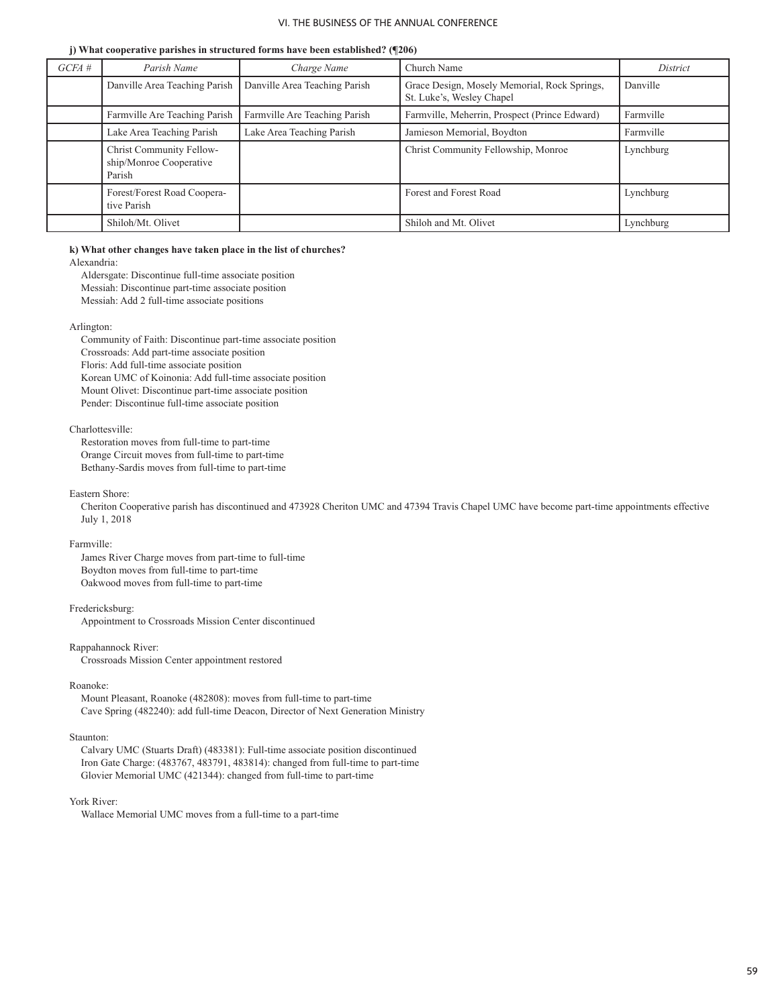#### **j) What cooperative parishes in structured forms have been established? (¶206)**

| GCEA# | Parish Name                                                   | Charge Name                   | Church Name                                                               | District  |
|-------|---------------------------------------------------------------|-------------------------------|---------------------------------------------------------------------------|-----------|
|       | Danville Area Teaching Parish                                 | Danville Area Teaching Parish | Grace Design, Mosely Memorial, Rock Springs,<br>St. Luke's, Wesley Chapel | Danville  |
|       | Farmville Are Teaching Parish                                 | Farmville Are Teaching Parish | Farmville, Meherrin, Prospect (Prince Edward)                             | Farmville |
|       | Lake Area Teaching Parish                                     | Lake Area Teaching Parish     | Jamieson Memorial, Boydton                                                | Farmville |
|       | Christ Community Fellow-<br>ship/Monroe Cooperative<br>Parish |                               | Christ Community Fellowship, Monroe                                       | Lynchburg |
|       | Forest/Forest Road Coopera-<br>tive Parish                    |                               | Forest and Forest Road                                                    | Lynchburg |
|       | Shiloh/Mt. Olivet                                             |                               | Shiloh and Mt. Olivet                                                     | Lynchburg |

## **k) What other changes have taken place in the list of churches?**

Alexandria:

Aldersgate: Discontinue full-time associate position Messiah: Discontinue part-time associate position

Messiah: Add 2 full-time associate positions

#### Arlington:

Community of Faith: Discontinue part-time associate position Crossroads: Add part-time associate position Floris: Add full-time associate position Korean UMC of Koinonia: Add full-time associate position Mount Olivet: Discontinue part-time associate position Pender: Discontinue full-time associate position

#### Charlottesville:

Restoration moves from full-time to part-time Orange Circuit moves from full-time to part-time Bethany-Sardis moves from full-time to part-time

#### Eastern Shore:

Cheriton Cooperative parish has discontinued and 473928 Cheriton UMC and 47394 Travis Chapel UMC have become part-time appointments effective July 1, 2018

#### Farmville:

James River Charge moves from part-time to full-time Boydton moves from full-time to part-time Oakwood moves from full-time to part-time

#### Fredericksburg:

Appointment to Crossroads Mission Center discontinued

#### Rappahannock River:

Crossroads Mission Center appointment restored

#### Roanoke:

Mount Pleasant, Roanoke (482808): moves from full-time to part-time Cave Spring (482240): add full-time Deacon, Director of Next Generation Ministry

#### Staunton:

Calvary UMC (Stuarts Draft) (483381): Full-time associate position discontinued Iron Gate Charge: (483767, 483791, 483814): changed from full-time to part-time Glovier Memorial UMC (421344): changed from full-time to part-time

#### York River:

Wallace Memorial UMC moves from a full-time to a part-time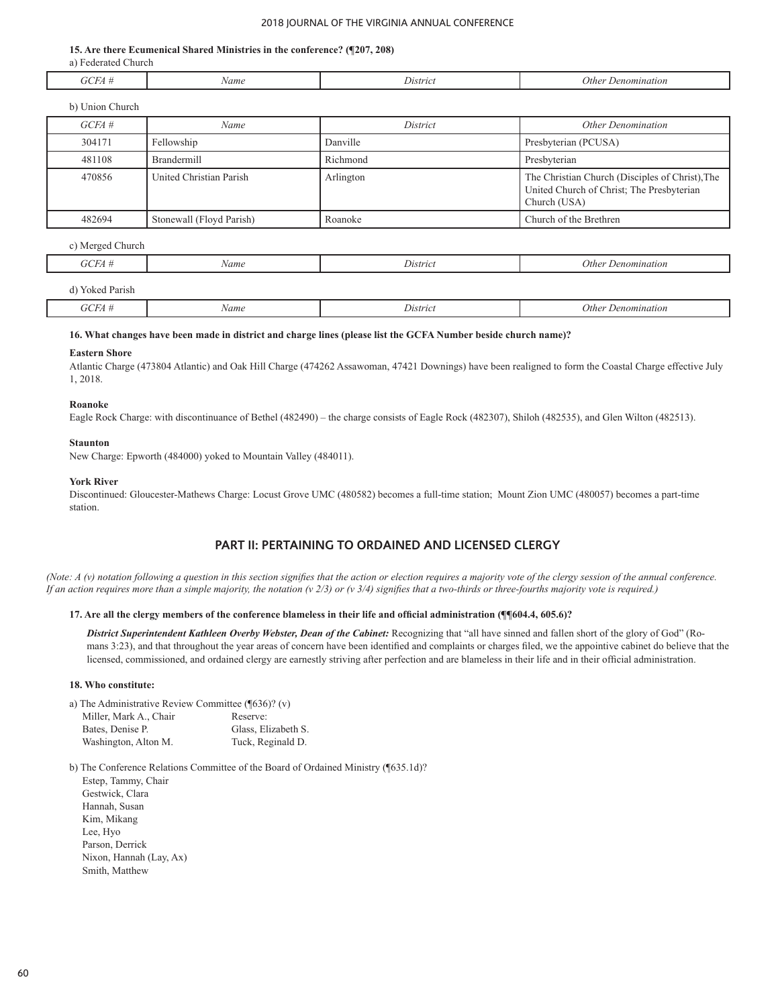## **15. Are there Ecumenical Shared Ministries in the conference? (¶207, 208)**

a) Federated Church

|  | $\alpha$ $\Gamma$<br><b>L</b><br>×١<br>---- | Name | Jistrici | 0ther<br>· Denomination |
|--|---------------------------------------------|------|----------|-------------------------|
|--|---------------------------------------------|------|----------|-------------------------|

| b) Union Church |                          |           |                                                                                                              |
|-----------------|--------------------------|-----------|--------------------------------------------------------------------------------------------------------------|
| $GCEA \#$       | Name                     | District  | <b>Other Denomination</b>                                                                                    |
| 304171          | Fellowship               | Danville  | Presbyterian (PCUSA)                                                                                         |
| 481108          | Brandermill              | Richmond  | Presbyterian                                                                                                 |
| 470856          | United Christian Parish  | Arlington | The Christian Church (Disciples of Christ), The<br>United Church of Christ; The Presbyterian<br>Church (USA) |
| 482694          | Stonewall (Floyd Parish) | Roanoke   | Church of the Brethren                                                                                       |

#### c) Merged Church

| CFA<br>-     | Name | District | Other<br>Denomination |
|--------------|------|----------|-----------------------|
| roked Parish |      |          |                       |

*GCFA # Name District Other Denomination*

## **16. What changes have been made in district and charge lines (please list the GCFA Number beside church name)?**

#### **Eastern Shore**

Atlantic Charge (473804 Atlantic) and Oak Hill Charge (474262 Assawoman, 47421 Downings) have been realigned to form the Coastal Charge effective July 1, 2018.

#### **Roanoke**

Ī

Eagle Rock Charge: with discontinuance of Bethel (482490) – the charge consists of Eagle Rock (482307), Shiloh (482535), and Glen Wilton (482513).

#### **Staunton**

New Charge: Epworth (484000) yoked to Mountain Valley (484011).

#### **York River**

Discontinued: Gloucester-Mathews Charge: Locust Grove UMC (480582) becomes a full-time station; Mount Zion UMC (480057) becomes a part-time station.

## **PART II: PERTAINING TO ORDAINED AND LICENSED CLERGY**

*(Note: A (v) notation following a question in this section signifies that the action or election requires a majority vote of the clergy session of the annual conference. If an action requires more than a simple majority, the notation (v 2/3) or (v 3/4) signifies that a two-thirds or three-fourths majority vote is required.)*

#### **17. Are all the clergy members of the conference blameless in their life and official administration (¶¶604.4, 605.6)?**

*District Superintendent Kathleen Overby Webster, Dean of the Cabinet:* Recognizing that "all have sinned and fallen short of the glory of God" (Romans 3:23), and that throughout the year areas of concern have been identified and complaints or charges filed, we the appointive cabinet do believe that the licensed, commissioned, and ordained clergy are earnestly striving after perfection and are blameless in their life and in their official administration.

#### **18. Who constitute:**

a) The Administrative Review Committee (¶636)? (v) Miller, Mark A., Chair Reserve: Bates, Denise P. Glass, Elizabeth S. Washington, Alton M. Tuck, Reginald D.

b) The Conference Relations Committee of the Board of Ordained Ministry (¶635.1d)?

 Estep, Tammy, Chair Gestwick, Clara Hannah, Susan Kim, Mikang Lee, Hyo Parson, Derrick Nixon, Hannah (Lay, Ax) Smith, Matthew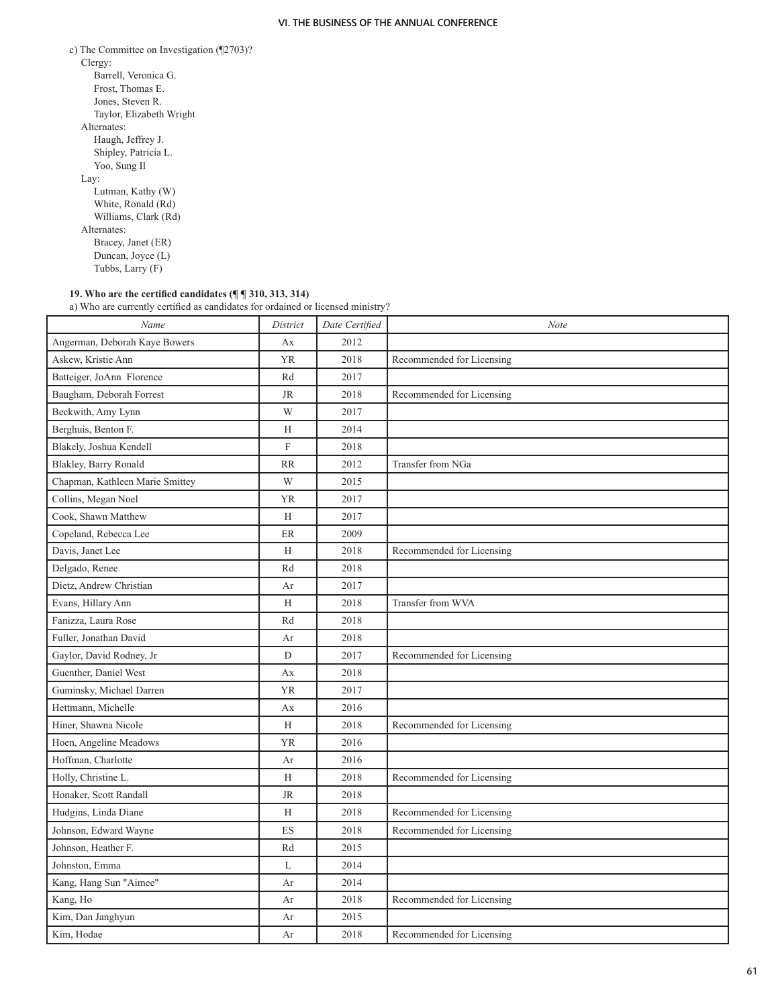| c) The Committee on Investigation $(\sqrt{2703})$ ? |
|-----------------------------------------------------|
| Clergy:                                             |
| Barrell, Veronica G.                                |
| Frost, Thomas E.                                    |
| Jones, Steven R.                                    |
| Taylor, Elizabeth Wright                            |
| Alternates:                                         |
| Haugh, Jeffrey J.                                   |
| Shipley, Patricia L.                                |
| Yoo, Sung Il                                        |
| Lay:                                                |
| Lutman, Kathy (W)                                   |
| White, Ronald (Rd)                                  |
| Williams, Clark (Rd)                                |
| Alternates:                                         |
| Bracey, Janet (ER)                                  |
| Duncan, Joyce (L)                                   |
| Tubbs, Larry (F)                                    |

#### **19. Who are the certified candidates (¶ ¶ 310, 313, 314)**

a) Who are currently certified as candidates for ordained or licensed ministry?

| Name                            | District    | Date Certified | Note                      |
|---------------------------------|-------------|----------------|---------------------------|
| Angerman, Deborah Kaye Bowers   | Ax          | 2012           |                           |
| Askew, Kristie Ann              | <b>YR</b>   | 2018           | Recommended for Licensing |
| Batteiger, JoAnn Florence       | Rd          | 2017           |                           |
| Baugham, Deborah Forrest        | <b>JR</b>   | 2018           | Recommended for Licensing |
| Beckwith, Amy Lynn              | W           | 2017           |                           |
| Berghuis, Benton F.             | H           | 2014           |                           |
| Blakely, Joshua Kendell         | $\mathbf F$ | 2018           |                           |
| Blakley, Barry Ronald           | <b>RR</b>   | 2012           | Transfer from NGa         |
| Chapman, Kathleen Marie Smittey | W           | 2015           |                           |
| Collins, Megan Noel             | <b>YR</b>   | 2017           |                           |
| Cook, Shawn Matthew             | H           | 2017           |                           |
| Copeland, Rebecca Lee           | ER          | 2009           |                           |
| Davis, Janet Lee                | H           | 2018           | Recommended for Licensing |
| Delgado, Renee                  | Rd          | 2018           |                           |
| Dietz, Andrew Christian         | Ar          | 2017           |                           |
| Evans, Hillary Ann              | H           | 2018           | Transfer from WVA         |
| Fanizza, Laura Rose             | Rd          | 2018           |                           |
| Fuller, Jonathan David          | Ar          | 2018           |                           |
| Gaylor, David Rodney, Jr        | D           | 2017           | Recommended for Licensing |
| Guenther, Daniel West           | Ax          | 2018           |                           |
| Guminsky, Michael Darren        | <b>YR</b>   | 2017           |                           |
| Hettmann, Michelle              | Ax          | 2016           |                           |
| Hiner, Shawna Nicole            | H           | 2018           | Recommended for Licensing |
| Hoen, Angeline Meadows          | <b>YR</b>   | 2016           |                           |
| Hoffman, Charlotte              | Ar          | 2016           |                           |
| Holly, Christine L.             | H           | 2018           | Recommended for Licensing |
| Honaker, Scott Randall          | <b>JR</b>   | 2018           |                           |
| Hudgins, Linda Diane            | H           | 2018           | Recommended for Licensing |
| Johnson, Edward Wayne           | ES          | 2018           | Recommended for Licensing |
| Johnson, Heather F.             | Rd          | 2015           |                           |
| Johnston, Emma                  | L           | 2014           |                           |
| Kang, Hang Sun "Aimee"          | Ar          | 2014           |                           |
| Kang, Ho                        | Ar          | 2018           | Recommended for Licensing |
| Kim, Dan Janghyun               | Ar          | 2015           |                           |
| Kim, Hodae                      | Ar          | 2018           | Recommended for Licensing |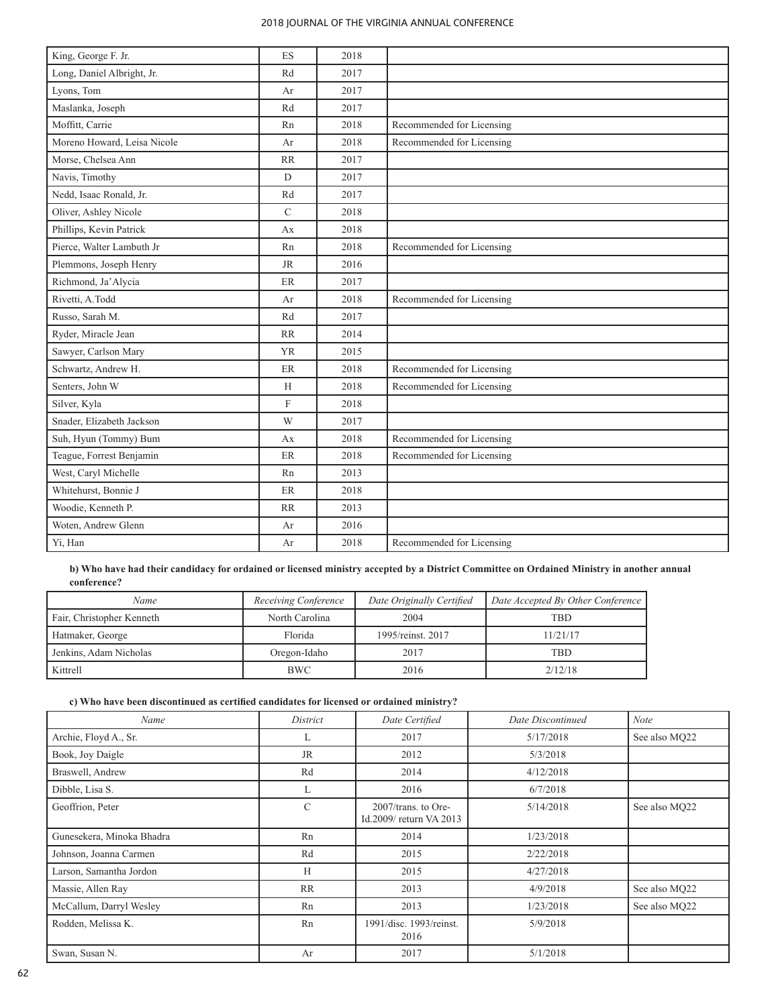| King, George F. Jr.         | <b>ES</b>      | 2018 |                           |
|-----------------------------|----------------|------|---------------------------|
| Long, Daniel Albright, Jr.  | Rd             | 2017 |                           |
| Lyons, Tom                  | Ar             | 2017 |                           |
| Maslanka, Joseph            | Rd             | 2017 |                           |
| Moffitt, Carrie             | Rn             | 2018 | Recommended for Licensing |
| Moreno Howard, Leisa Nicole | Ar             | 2018 | Recommended for Licensing |
| Morse, Chelsea Ann          | <b>RR</b>      | 2017 |                           |
| Navis, Timothy              | $\overline{D}$ | 2017 |                           |
| Nedd, Isaac Ronald, Jr.     | Rd             | 2017 |                           |
| Oliver, Ashley Nicole       | $\mathcal{C}$  | 2018 |                           |
| Phillips, Kevin Patrick     | Ax             | 2018 |                           |
| Pierce, Walter Lambuth Jr   | Rn             | 2018 | Recommended for Licensing |
| Plemmons, Joseph Henry      | <b>JR</b>      | 2016 |                           |
| Richmond, Ja'Alycia         | ER             | 2017 |                           |
| Rivetti, A.Todd             | Ar             | 2018 | Recommended for Licensing |
| Russo, Sarah M.             | Rd             | 2017 |                           |
| Ryder, Miracle Jean         | <b>RR</b>      | 2014 |                           |
| Sawyer, Carlson Mary        | <b>YR</b>      | 2015 |                           |
| Schwartz, Andrew H.         | ER             | 2018 | Recommended for Licensing |
| Senters, John W             | H              | 2018 | Recommended for Licensing |
| Silver, Kyla                | F              | 2018 |                           |
| Snader, Elizabeth Jackson   | W              | 2017 |                           |
| Suh, Hyun (Tommy) Bum       | Ax             | 2018 | Recommended for Licensing |
| Teague, Forrest Benjamin    | ER             | 2018 | Recommended for Licensing |
| West, Caryl Michelle        | Rn             | 2013 |                           |
| Whitehurst, Bonnie J        | ER             | 2018 |                           |
| Woodie, Kenneth P.          | RR             | 2013 |                           |
| Woten, Andrew Glenn         | Ar             | 2016 |                           |
| Yi. Han                     | Ar             | 2018 | Recommended for Licensing |

**b) Who have had their candidacy for ordained or licensed ministry accepted by a District Committee on Ordained Ministry in another annual conference?**

| Name                      | Receiving Conference | Date Originally Certified | Date Accepted By Other Conference |
|---------------------------|----------------------|---------------------------|-----------------------------------|
| Fair, Christopher Kenneth | North Carolina       | 2004                      | <b>TBD</b>                        |
| Hatmaker, George          | Florida              | 1995/reinst. 2017         | 11/21/17                          |
| Jenkins, Adam Nicholas    | Oregon-Idaho         | 2017                      | <b>TBD</b>                        |
| <b>Kittrell</b>           | <b>BWC</b>           | 2016                      | 2/12/18                           |

**c) Who have been discontinued as certified candidates for licensed or ordained ministry?**

| Name                      | District      | Date Certified                                   | Date Discontinued | <b>Note</b>   |
|---------------------------|---------------|--------------------------------------------------|-------------------|---------------|
| Archie, Floyd A., Sr.     | L             | 2017                                             | 5/17/2018         | See also MO22 |
| Book, Joy Daigle          | <b>JR</b>     | 2012                                             | 5/3/2018          |               |
| Braswell, Andrew          | Rd            | 2014                                             | 4/12/2018         |               |
| Dibble, Lisa S.           | L             | 2016                                             | 6/7/2018          |               |
| Geoffrion, Peter          | $\mathcal{C}$ | $2007$ /trans. to Ore-<br>Id.2009/return VA 2013 | 5/14/2018         | See also MQ22 |
| Gunesekera, Minoka Bhadra | Rn            | 2014                                             | 1/23/2018         |               |
| Johnson, Joanna Carmen    | Rd            | 2015                                             | 2/22/2018         |               |
| Larson, Samantha Jordon   | H             | 2015                                             | 4/27/2018         |               |
| Massie, Allen Ray         | <b>RR</b>     | 2013                                             | 4/9/2018          | See also MQ22 |
| McCallum, Darryl Wesley   | Rn            | 2013                                             | 1/23/2018         | See also MQ22 |
| Rodden, Melissa K.        | Rn            | 1991/disc. 1993/reinst.<br>2016                  | 5/9/2018          |               |
| Swan, Susan N.            | Ar            | 2017                                             | 5/1/2018          |               |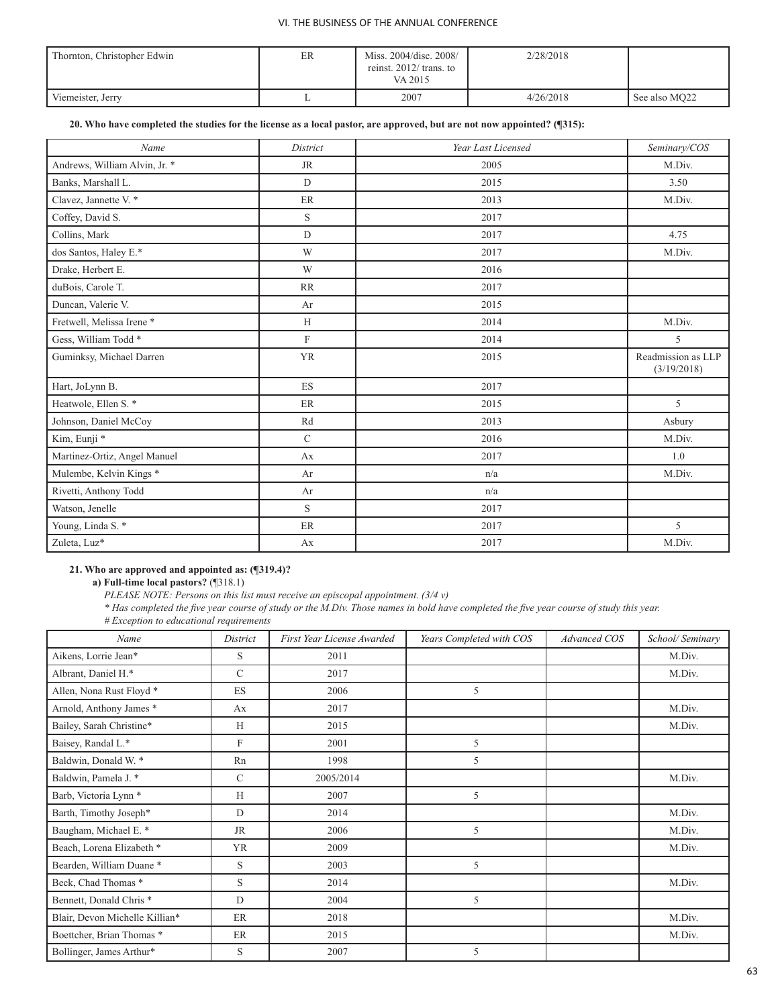| Thornton, Christopher Edwin | ER | Miss. 2004/disc. 2008/<br>reinst. $2012$ trans. to<br>VA 2015 | 2/28/2018 |               |
|-----------------------------|----|---------------------------------------------------------------|-----------|---------------|
| Viemeister, Jerry           |    | 2007                                                          | 4/26/2018 | See also MO22 |

## **20. Who have completed the studies for the license as a local pastor, are approved, but are not now appointed? (¶315):**

| Name                            | District      | Year Last Licensed | Seminary/COS                      |
|---------------------------------|---------------|--------------------|-----------------------------------|
| Andrews, William Alvin, Jr. *   | <b>JR</b>     | 2005               | M.Div.                            |
| Banks, Marshall L.              | $\mathbf{D}$  | 2015               | 3.50                              |
| Clavez, Jannette V. *           | ER            | 2013               | M.Div.                            |
| Coffey, David S.                | S             | 2017               |                                   |
| Collins, Mark                   | D             | 2017               | 4.75                              |
| dos Santos, Haley E.*           | W             | 2017               | M.Div.                            |
| Drake, Herbert E.               | W             | 2016               |                                   |
| duBois, Carole T.               | <b>RR</b>     | 2017               |                                   |
| Duncan, Valerie V.              | Ar            | 2015               |                                   |
| Fretwell, Melissa Irene *       | H             | 2014               | M.Div.                            |
| Gess, William Todd <sup>*</sup> | $\mathbf F$   | 2014               | 5                                 |
| Guminksy, Michael Darren        | <b>YR</b>     | 2015               | Readmission as LLP<br>(3/19/2018) |
| Hart, JoLynn B.                 | <b>ES</b>     | 2017               |                                   |
| Heatwole, Ellen S. *            | ER            | 2015               | 5                                 |
| Johnson, Daniel McCoy           | Rd            | 2013               | Asbury                            |
| Kim, Eunji *                    | $\mathcal{C}$ | 2016               | M.Div.                            |
| Martinez-Ortiz, Angel Manuel    | Ax            | 2017               | 1.0                               |
| Mulembe, Kelvin Kings*          | Ar            | n/a                | M.Div.                            |
| Rivetti, Anthony Todd           | Ar            | n/a                |                                   |
| Watson, Jenelle                 | S             | 2017               |                                   |
| Young, Linda S. *               | ER            | 2017               | 5                                 |
| Zuleta, Luz*                    | Ax            | 2017               | M.Div.                            |

## **21. Who are approved and appointed as: (¶319.4)?**

**a) Full-time local pastors?** (¶318.1)

*PLEASE NOTE: Persons on this list must receive an episcopal appointment. (3/4 v)* 

*\* Has completed the five year course of study or the M.Div. Those names in bold have completed the five year course of study this year.* 

*# Exception to educational requirements* 

| Name                               | District      | First Year License Awarded | Years Completed with COS | Advanced COS | School/ Seminary |
|------------------------------------|---------------|----------------------------|--------------------------|--------------|------------------|
| Aikens, Lorrie Jean*               | S             | 2011                       |                          |              | M.Div.           |
| Albrant, Daniel H.*                | $\mathcal{C}$ | 2017                       |                          |              | M.Div.           |
| Allen, Nona Rust Floyd *           | ES            | 2006                       | 5                        |              |                  |
| Arnold, Anthony James *            | Ax            | 2017                       |                          |              | M.Div.           |
| Bailey, Sarah Christine*           | H             | 2015                       |                          |              | M.Div.           |
| Baisey, Randal L.*                 | F             | 2001                       | 5                        |              |                  |
| Baldwin, Donald W. *               | Rn            | 1998                       | 5                        |              |                  |
| Baldwin, Pamela J. *               | $\mathcal{C}$ | 2005/2014                  |                          |              | M.Div.           |
| Barb, Victoria Lynn <sup>*</sup>   | H             | 2007                       | 5                        |              |                  |
| Barth, Timothy Joseph*             | D             | 2014                       |                          |              | M.Div.           |
| Baugham, Michael E. *              | <b>JR</b>     | 2006                       | 5                        |              | M.Div.           |
| Beach, Lorena Elizabeth *          | <b>YR</b>     | 2009                       |                          |              | M.Div.           |
| Bearden, William Duane*            | S             | 2003                       | 5                        |              |                  |
| Beck, Chad Thomas *                | S             | 2014                       |                          |              | M.Div.           |
| Bennett, Donald Chris <sup>*</sup> | D             | 2004                       | 5                        |              |                  |
| Blair, Devon Michelle Killian*     | ER            | 2018                       |                          |              | M.Div.           |
| Boettcher, Brian Thomas *          | ER            | 2015                       |                          |              | M.Div.           |
| Bollinger, James Arthur*           | S             | 2007                       | 5                        |              |                  |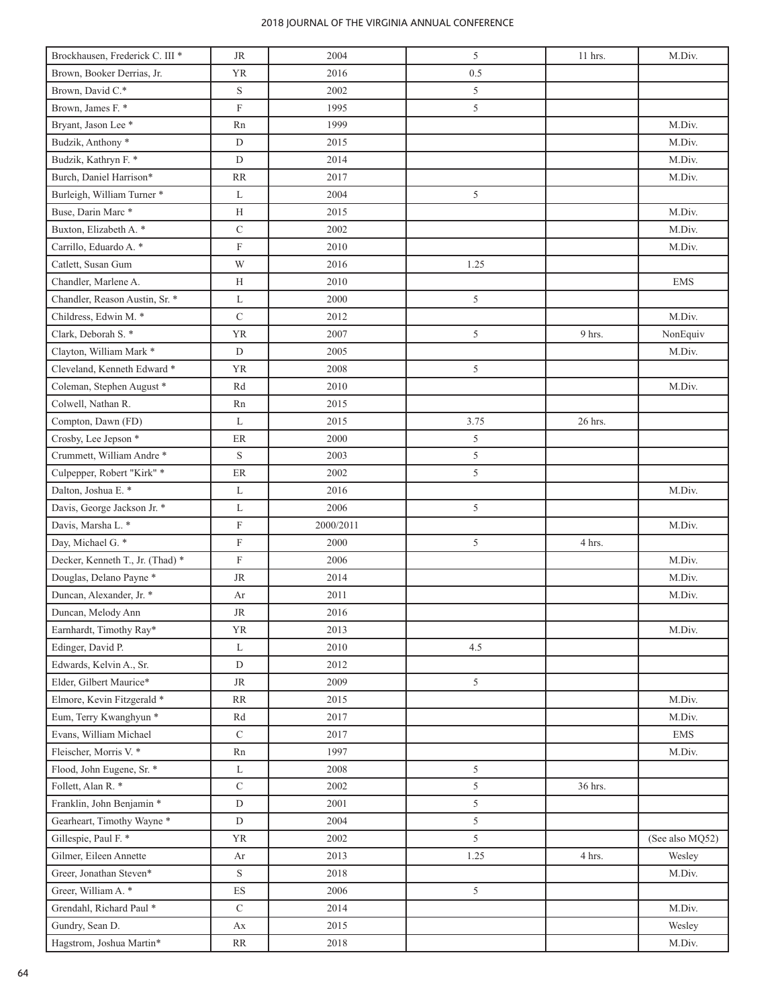| Brockhausen, Frederick C. III <sup>*</sup> | <b>JR</b>                         | 2004      | 5    | 11 hrs. | M.Div.          |
|--------------------------------------------|-----------------------------------|-----------|------|---------|-----------------|
| Brown, Booker Derrias, Jr.                 | YR                                | 2016      | 0.5  |         |                 |
| Brown, David C.*                           | S                                 | 2002      | 5    |         |                 |
| Brown, James F. *                          | $\boldsymbol{\mathrm{F}}$         | 1995      | 5    |         |                 |
| Bryant, Jason Lee <sup>*</sup>             | Rn                                | 1999      |      |         | M.Div.          |
| Budzik, Anthony <sup>*</sup>               | $\mathbf D$                       | 2015      |      |         | M.Div.          |
| Budzik, Kathryn F. *                       | $\mathbf D$                       | 2014      |      |         | M.Div.          |
| Burch, Daniel Harrison*                    | RR                                | 2017      |      |         | M.Div.          |
| Burleigh, William Turner *                 | L                                 | 2004      | 5    |         |                 |
| Buse, Darin Marc*                          | H                                 | 2015      |      |         | M.Div.          |
| Buxton, Elizabeth A. *                     | $\cal C$                          | 2002      |      |         | M.Div.          |
| Carrillo, Eduardo A. *                     | $\boldsymbol{\mathrm{F}}$         | 2010      |      |         | M.Div.          |
| Catlett, Susan Gum                         | W                                 | 2016      | 1.25 |         |                 |
| Chandler, Marlene A.                       | H                                 | 2010      |      |         | <b>EMS</b>      |
| Chandler, Reason Austin, Sr. *             | L                                 | 2000      | 5    |         |                 |
| Childress, Edwin M. *                      | $\mathcal{C}$                     | 2012      |      |         | M.Div.          |
| Clark, Deborah S. *                        | <b>YR</b>                         | 2007      | 5    | 9 hrs.  | NonEquiv        |
| Clayton, William Mark *                    | $\mathbf D$                       | 2005      |      |         | M.Div.          |
| Cleveland, Kenneth Edward *                | <b>YR</b>                         | 2008      | 5    |         |                 |
| Coleman, Stephen August *                  | Rd                                | 2010      |      |         | M.Div.          |
| Colwell, Nathan R.                         | Rn                                | 2015      |      |         |                 |
| Compton, Dawn (FD)                         | L                                 | 2015      | 3.75 | 26 hrs. |                 |
| Crosby, Lee Jepson *                       | ER                                | 2000      | 5    |         |                 |
| Crummett, William Andre*                   | $\mathbf S$                       | 2003      | 5    |         |                 |
| Culpepper, Robert "Kirk" *                 | $\rm ER$                          | 2002      | 5    |         |                 |
| Dalton, Joshua E. *                        | L                                 | 2016      |      |         | M.Div.          |
| Davis, George Jackson Jr. *                | L                                 | 2006      | 5    |         |                 |
| Davis, Marsha L. *                         | $\boldsymbol{\mathrm{F}}$         | 2000/2011 |      |         | M.Div.          |
| Day, Michael G. *                          | $\mathbf F$                       | 2000      | 5    | 4 hrs.  |                 |
| Decker, Kenneth T., Jr. (Thad) *           | $\rm F$                           | 2006      |      |         | M.Div.          |
| Douglas, Delano Payne*                     | <b>JR</b>                         | 2014      |      |         | M.Div.          |
| Duncan, Alexander, Jr. *                   | Ar                                | 2011      |      |         | M.Div.          |
| Duncan, Melody Ann                         | JR                                | 2016      |      |         |                 |
| Earnhardt, Timothy Ray*                    | <b>YR</b>                         | 2013      |      |         | M.Div.          |
| Edinger, David P.                          | L                                 | 2010      | 4.5  |         |                 |
| Edwards, Kelvin A., Sr.                    | $\mathbf D$                       | 2012      |      |         |                 |
| Elder, Gilbert Maurice*                    | $\rm JR$                          | 2009      | 5    |         |                 |
| Elmore, Kevin Fitzgerald *                 | $\ensuremath{\mathsf{RR}}\xspace$ | 2015      |      |         | M.Div.          |
| Eum, Terry Kwanghyun <sup>*</sup>          | Rd                                | 2017      |      |         | M.Div.          |
| Evans, William Michael                     | $\cal C$                          | 2017      |      |         | <b>EMS</b>      |
| Fleischer, Morris V. *                     | Rn                                | 1997      |      |         | M.Div.          |
| Flood, John Eugene, Sr. *                  | L                                 | 2008      | 5    |         |                 |
| Follett, Alan R. *                         | $\mathcal{C}$                     | 2002      | 5    | 36 hrs. |                 |
| Franklin, John Benjamin *                  | ${\rm D}$                         | 2001      | 5    |         |                 |
| Gearheart, Timothy Wayne*                  | $\mathbf D$                       | 2004      | 5    |         |                 |
| Gillespie, Paul F. *                       | <b>YR</b>                         | 2002      | 5    |         | (See also MQ52) |
| Gilmer, Eileen Annette                     | Ar                                | 2013      | 1.25 | 4 hrs.  | Wesley          |
| Greer, Jonathan Steven*                    | $S_{\text{}}$                     | 2018      |      |         | M.Div.          |
| Greer, William A. *                        | ${\rm ES}$                        | 2006      | 5    |         |                 |
| Grendahl, Richard Paul *                   | $\cal C$                          | 2014      |      |         | M.Div.          |
|                                            |                                   |           |      |         |                 |
| Gundry, Sean D.                            | Ax                                | 2015      |      |         | Wesley          |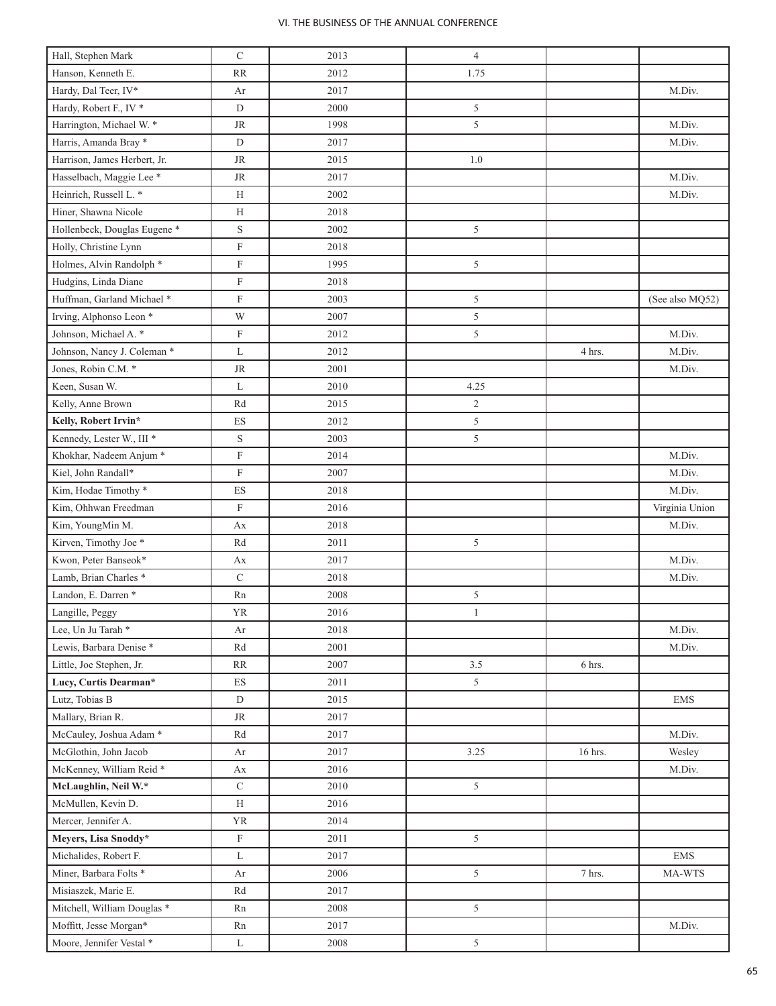| Hall, Stephen Mark                      | $\mathbf C$               | 2013 | $\overline{4}$ |         |                 |
|-----------------------------------------|---------------------------|------|----------------|---------|-----------------|
| Hanson, Kenneth E.                      | RR                        | 2012 | 1.75           |         |                 |
| Hardy, Dal Teer, IV*                    | Ar                        | 2017 |                |         | M.Div.          |
| Hardy, Robert F., IV *                  | $\mathbf D$               | 2000 | 5              |         |                 |
| Harrington, Michael W. *                | <b>JR</b>                 | 1998 | 5              |         | M.Div.          |
| Harris, Amanda Bray *                   | $\mathbf D$               | 2017 |                |         | M.Div.          |
| Harrison, James Herbert, Jr.            | $\rm JR$                  | 2015 | 1.0            |         |                 |
| Hasselbach, Maggie Lee *                | $\rm JR$                  | 2017 |                |         | M.Div.          |
| Heinrich, Russell L. *                  | H                         | 2002 |                |         | M.Div.          |
| Hiner, Shawna Nicole                    | H                         | 2018 |                |         |                 |
| Hollenbeck, Douglas Eugene <sup>*</sup> | $\mathbf S$               | 2002 | 5              |         |                 |
| Holly, Christine Lynn                   | $\boldsymbol{\mathrm{F}}$ | 2018 |                |         |                 |
| Holmes, Alvin Randolph *                | $\boldsymbol{\mathrm{F}}$ | 1995 | 5              |         |                 |
| Hudgins, Linda Diane                    | F                         | 2018 |                |         |                 |
| Huffman, Garland Michael *              | F                         | 2003 | 5              |         | (See also MQ52) |
| Irving, Alphonso Leon <sup>*</sup>      | W                         | 2007 | 5              |         |                 |
| Johnson, Michael A. *                   | $\boldsymbol{\mathrm{F}}$ | 2012 | 5              |         | M.Div.          |
| Johnson, Nancy J. Coleman *             | L                         | 2012 |                | 4 hrs.  | M.Div.          |
| Jones, Robin C.M. *                     | $\rm JR$                  | 2001 |                |         | M.Div.          |
| Keen, Susan W.                          | L                         | 2010 | 4.25           |         |                 |
| Kelly, Anne Brown                       | Rd                        | 2015 | $\overline{c}$ |         |                 |
| Kelly, Robert Irvin*                    | ${\rm ES}$                | 2012 | 5              |         |                 |
| Kennedy, Lester W., III *               | $\mathbf S$               | 2003 | 5              |         |                 |
| Khokhar, Nadeem Anjum *                 | $\boldsymbol{\mathrm{F}}$ | 2014 |                |         | M.Div.          |
| Kiel, John Randall*                     | $\boldsymbol{\mathrm{F}}$ | 2007 |                |         | M.Div.          |
| Kim, Hodae Timothy *                    | ES                        | 2018 |                |         | M.Div.          |
| Kim, Ohhwan Freedman                    | $\boldsymbol{\mathrm{F}}$ | 2016 |                |         | Virginia Union  |
| Kim, YoungMin M.                        | Ax                        | 2018 |                |         | M.Div.          |
| Kirven, Timothy Joe *                   | Rd                        | 2011 | 5              |         |                 |
| Kwon, Peter Banseok*                    | Ax                        | 2017 |                |         | M.Div.          |
| Lamb, Brian Charles *                   | $\mathbf C$               | 2018 |                |         | M.Div.          |
| Landon, E. Darren *                     | Rn                        | 2008 | 5              |         |                 |
| Langille, Peggy                         | <b>YR</b>                 | 2016 | $\mathbf{1}$   |         |                 |
| Lee, Un Ju Tarah *                      | Ar                        | 2018 |                |         | M.Div.          |
| Lewis, Barbara Denise*                  | Rd                        | 2001 |                |         | M.Div.          |
| Little, Joe Stephen, Jr.                | RR                        | 2007 | 3.5            | 6 hrs.  |                 |
| Lucy, Curtis Dearman*                   | $\mathop{\hbox{\rm ES}}$  | 2011 | 5              |         |                 |
| Lutz, Tobias B                          | $\mathbf D$               | 2015 |                |         | <b>EMS</b>      |
| Mallary, Brian R.                       | $\rm JR$                  | 2017 |                |         |                 |
| McCauley, Joshua Adam <sup>*</sup>      | Rd                        | 2017 |                |         | M.Div.          |
| McGlothin, John Jacob                   | Ar                        | 2017 | 3.25           | 16 hrs. | Wesley          |
| McKenney, William Reid*                 | Ax                        | 2016 |                |         | M.Div.          |
| McLaughlin, Neil W.*                    | $\mathcal{C}$             | 2010 | 5              |         |                 |
| McMullen, Kevin D.                      | $\mathbf H$               | 2016 |                |         |                 |
| Mercer, Jennifer A.                     | <b>YR</b>                 | 2014 |                |         |                 |
| Meyers, Lisa Snoddy*                    | $\mathbf{F}$              | 2011 | 5              |         |                 |
| Michalides, Robert F.                   | L                         | 2017 |                |         | <b>EMS</b>      |
| Miner, Barbara Folts *                  | Ar                        | 2006 | 5              | 7 hrs.  | MA-WTS          |
| Misiaszek, Marie E.                     | Rd                        | 2017 |                |         |                 |
| Mitchell, William Douglas *             | Rn                        | 2008 | 5              |         |                 |
| Moffitt, Jesse Morgan*                  | Rn                        | 2017 |                |         | M.Div.          |
| Moore, Jennifer Vestal *                | $\mathbf L$               | 2008 | 5              |         |                 |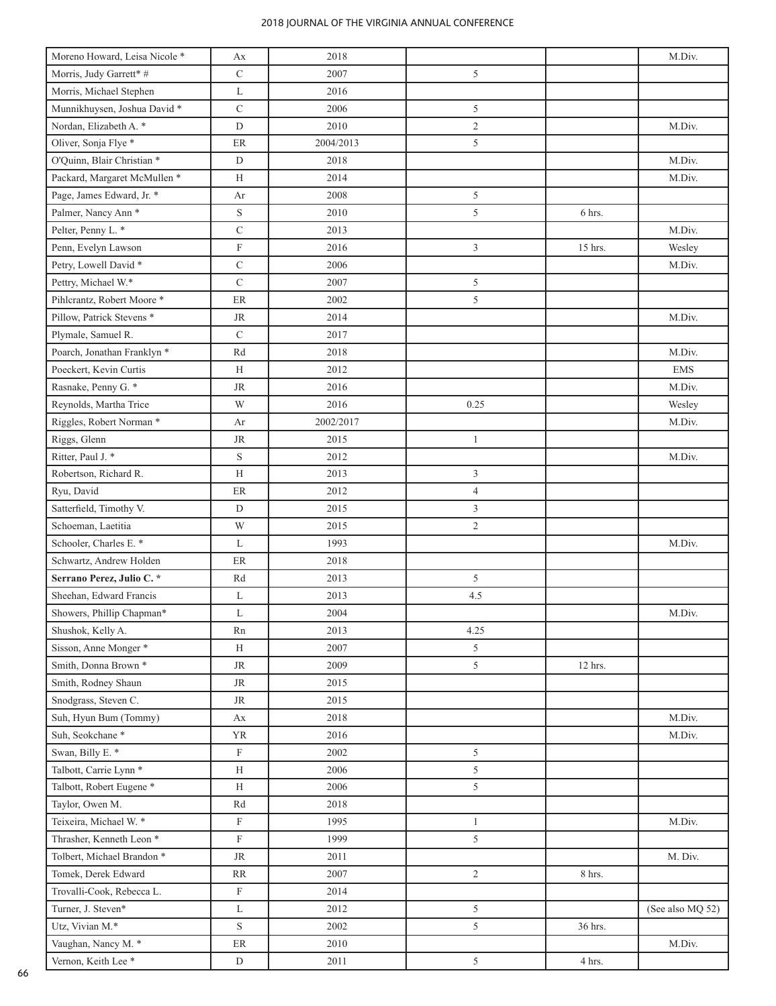| Moreno Howard, Leisa Nicole *         | Аx                        | 2018      |                |         | M.Div.           |
|---------------------------------------|---------------------------|-----------|----------------|---------|------------------|
| Morris, Judy Garrett* #               | $\mathbf C$               | 2007      | 5              |         |                  |
| Morris, Michael Stephen               | L                         | 2016      |                |         |                  |
| Munnikhuysen, Joshua David *          | $\mathcal{C}$             | 2006      | 5              |         |                  |
| Nordan, Elizabeth A. *                | ${\rm D}$                 | 2010      | $\sqrt{2}$     |         | M.Div.           |
| Oliver, Sonja Flye <sup>*</sup>       | ER                        | 2004/2013 | 5              |         |                  |
| O'Quinn, Blair Christian *            | D                         | 2018      |                |         | M.Div.           |
| Packard, Margaret McMullen *          | H                         | 2014      |                |         | M.Div.           |
| Page, James Edward, Jr. *             | Ar                        | 2008      | 5              |         |                  |
| Palmer, Nancy Ann <sup>*</sup>        | $\mathbf S$               | 2010      | 5              | 6 hrs.  |                  |
| Pelter, Penny L. *                    | $\mathcal{C}$             | 2013      |                |         | M.Div.           |
| Penn, Evelyn Lawson                   | $\boldsymbol{\mathrm{F}}$ | 2016      | 3              | 15 hrs. | Wesley           |
| Petry, Lowell David *                 | $\mathbf C$               | 2006      |                |         | M.Div.           |
| Pettry, Michael W.*                   | $\mathbf C$               | 2007      | 5              |         |                  |
| Pihlcrantz, Robert Moore*             | ER                        | 2002      | 5              |         |                  |
| Pillow, Patrick Stevens <sup>*</sup>  | $\rm JR$                  | 2014      |                |         | M.Div.           |
| Plymale, Samuel R.                    | $\mathbf C$               | 2017      |                |         |                  |
| Poarch, Jonathan Franklyn *           | Rd                        | 2018      |                |         | M.Div.           |
| Poeckert, Kevin Curtis                | H                         | 2012      |                |         | <b>EMS</b>       |
| Rasnake, Penny G. *                   | $\rm JR$                  | 2016      |                |         | M.Div.           |
| Reynolds, Martha Trice                | W                         | 2016      | 0.25           |         | Wesley           |
| Riggles, Robert Norman *              | Ar                        | 2002/2017 |                |         | M.Div.           |
| Riggs, Glenn                          | JR                        | 2015      | 1              |         |                  |
| Ritter, Paul J. *                     | $\mathbf S$               | 2012      |                |         | M.Div.           |
| Robertson, Richard R.                 | H                         | 2013      | 3              |         |                  |
| Ryu, David                            | $\rm ER$                  | 2012      | $\overline{4}$ |         |                  |
| Satterfield, Timothy V.               | ${\rm D}$                 | 2015      | 3              |         |                  |
| Schoeman, Laetitia                    | W                         | 2015      | $\overline{2}$ |         |                  |
| Schooler, Charles E. *                | L                         | 1993      |                |         | M.Div.           |
| Schwartz, Andrew Holden               | $\rm ER$                  | 2018      |                |         |                  |
| Serrano Perez, Julio C. *             | Rd                        | 2013      | 5              |         |                  |
| Sheehan, Edward Francis               | L                         | 2013      | 4.5            |         |                  |
| Showers, Phillip Chapman*             | L                         | 2004      |                |         | M.Div.           |
| Shushok, Kelly A.                     | Rn                        | 2013      | 4.25           |         |                  |
| Sisson, Anne Monger *                 | H                         | 2007      | 5              |         |                  |
| Smith, Donna Brown <sup>*</sup>       | JR                        | 2009      | 5              | 12 hrs. |                  |
| Smith, Rodney Shaun                   | $\rm JR$                  | 2015      |                |         |                  |
| Snodgrass, Steven C.                  | <b>JR</b>                 | 2015      |                |         |                  |
| Suh, Hyun Bum (Tommy)                 | Аx                        | 2018      |                |         | M.Div.           |
| Suh, Seokchane*                       | ${\rm YR}$                | 2016      |                |         | M.Div.           |
| Swan, Billy E. *                      | $\mathbf F$               | 2002      | 5              |         |                  |
| Talbott, Carrie Lynn <sup>*</sup>     | Н                         | 2006      | 5              |         |                  |
| Talbott, Robert Eugene <sup>*</sup>   | $\rm H$                   | 2006      | 5              |         |                  |
| Taylor, Owen M.                       | Rd                        | 2018      |                |         |                  |
| Teixeira, Michael W. *                | F                         | 1995      | 1              |         | M.Div.           |
| Thrasher, Kenneth Leon <sup>*</sup>   | $\mathbf F$               | 1999      | 5              |         |                  |
| Tolbert, Michael Brandon <sup>*</sup> | JR                        | 2011      |                |         | M. Div.          |
| Tomek, Derek Edward                   | RR                        | 2007      | $\overline{c}$ | 8 hrs.  |                  |
| Trovalli-Cook, Rebecca L.             | $\mathbf F$               | 2014      |                |         |                  |
| Turner, J. Steven*                    | L                         | 2012      | 5              |         | (See also MQ 52) |
| Utz, Vivian M.*                       | $\rm S$                   | 2002      | 5              | 36 hrs. |                  |
| Vaughan, Nancy M. *                   | ER                        | 2010      |                |         | M.Div.           |
| Vernon, Keith Lee <sup>*</sup>        | ${\rm D}$                 | 2011      | 5              | 4 hrs.  |                  |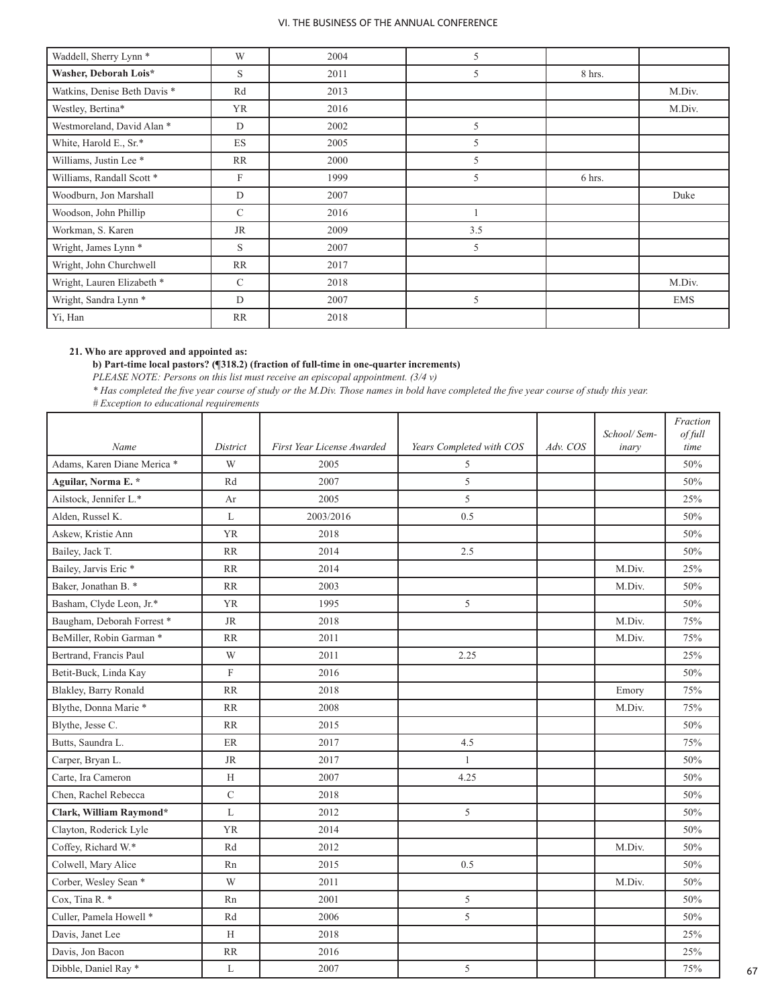| Waddell, Sherry Lynn <sup>*</sup> | W             | 2004 | 5   |        |            |
|-----------------------------------|---------------|------|-----|--------|------------|
| Washer, Deborah Lois*             | S             | 2011 | 5   | 8 hrs. |            |
| Watkins, Denise Beth Davis *      | Rd            | 2013 |     |        | M.Div.     |
| Westley, Bertina*                 | <b>YR</b>     | 2016 |     |        | M.Div.     |
| Westmoreland, David Alan *        | D             | 2002 | 5   |        |            |
| White, Harold E., Sr.*            | ES            | 2005 | 5   |        |            |
| Williams, Justin Lee *            | <b>RR</b>     | 2000 | 5   |        |            |
| Williams, Randall Scott *         | F             | 1999 | 5   | 6 hrs. |            |
| Woodburn, Jon Marshall            | D             | 2007 |     |        | Duke       |
| Woodson, John Phillip             | $\mathcal{C}$ | 2016 |     |        |            |
| Workman, S. Karen                 | <b>JR</b>     | 2009 | 3.5 |        |            |
| Wright, James Lynn *              | S             | 2007 | 5   |        |            |
| Wright, John Churchwell           | <b>RR</b>     | 2017 |     |        |            |
| Wright, Lauren Elizabeth *        | C             | 2018 |     |        | M.Div.     |
| Wright, Sandra Lynn *             | D             | 2007 | 5   |        | <b>EMS</b> |
| Yi, Han                           | <b>RR</b>     | 2018 |     |        |            |

## **21. Who are approved and appointed as:**

# **b) Part-time local pastors? (¶318.2) (fraction of full-time in one-quarter increments)**

*PLEASE NOTE: Persons on this list must receive an episcopal appointment. (3/4 v)* 

*\* Has completed the five year course of study or the M.Div. Those names in bold have completed the five year course of study this year. # Exception to educational requirements* 

|                                  |               |                            |                          |          | School/Sem- | Fraction<br><i>of full</i> |
|----------------------------------|---------------|----------------------------|--------------------------|----------|-------------|----------------------------|
| Name                             | District      | First Year License Awarded | Years Completed with COS | Adv. COS | inary       | time                       |
| Adams, Karen Diane Merica *      | W             | 2005                       | 5                        |          |             | 50%                        |
| Aguilar, Norma E. *              | Rd            | 2007                       | 5                        |          |             | 50%                        |
| Ailstock, Jennifer L.*           | Ar            | 2005                       | 5                        |          |             | 25%                        |
| Alden, Russel K.                 | L             | 2003/2016                  | 0.5                      |          |             | 50%                        |
| Askew, Kristie Ann               | <b>YR</b>     | 2018                       |                          |          |             | 50%                        |
| Bailey, Jack T.                  | RR            | 2014                       | 2.5                      |          |             | 50%                        |
| Bailey, Jarvis Eric <sup>*</sup> | <b>RR</b>     | 2014                       |                          |          | M.Div.      | 25%                        |
| Baker, Jonathan B. *             | <b>RR</b>     | 2003                       |                          |          | M.Div.      | 50%                        |
| Basham, Clyde Leon, Jr.*         | <b>YR</b>     | 1995                       | 5                        |          |             | 50%                        |
| Baugham, Deborah Forrest*        | <b>JR</b>     | 2018                       |                          |          | M.Div.      | 75%                        |
| BeMiller, Robin Garman *         | RR            | 2011                       |                          |          | M.Div.      | 75%                        |
| Bertrand, Francis Paul           | W             | 2011                       | 2.25                     |          |             | 25%                        |
| Betit-Buck, Linda Kay            | $\mathbf F$   | 2016                       |                          |          |             | 50%                        |
| Blakley, Barry Ronald            | RR            | 2018                       |                          |          | Emory       | 75%                        |
| Blythe, Donna Marie *            | <b>RR</b>     | 2008                       |                          |          | M.Div.      | 75%                        |
| Blythe, Jesse C.                 | RR            | 2015                       |                          |          |             | 50%                        |
| Butts, Saundra L.                | $\rm ER$      | 2017                       | 4.5                      |          |             | 75%                        |
| Carper, Bryan L.                 | <b>JR</b>     | 2017                       | $\mathbf{1}$             |          |             | 50%                        |
| Carte, Ira Cameron               | H             | 2007                       | 4.25                     |          |             | 50%                        |
| Chen, Rachel Rebecca             | $\mathcal{C}$ | 2018                       |                          |          |             | 50%                        |
| Clark, William Raymond*          | L             | 2012                       | 5                        |          |             | 50%                        |
| Clayton, Roderick Lyle           | <b>YR</b>     | 2014                       |                          |          |             | 50%                        |
| Coffey, Richard W.*              | Rd            | 2012                       |                          |          | M.Div.      | 50%                        |
| Colwell, Mary Alice              | Rn            | 2015                       | 0.5                      |          |             | 50%                        |
| Corber, Wesley Sean *            | W             | 2011                       |                          |          | M.Div.      | 50%                        |
| Cox, Tina R. *                   | Rn            | 2001                       | 5                        |          |             | 50%                        |
| Culler, Pamela Howell *          | Rd            | 2006                       | 5                        |          |             | 50%                        |
| Davis, Janet Lee                 | H             | 2018                       |                          |          |             | 25%                        |
| Davis, Jon Bacon                 | RR            | 2016                       |                          |          |             | 25%                        |
| Dibble, Daniel Ray *             | L             | 2007                       | 5                        |          |             | 75%                        |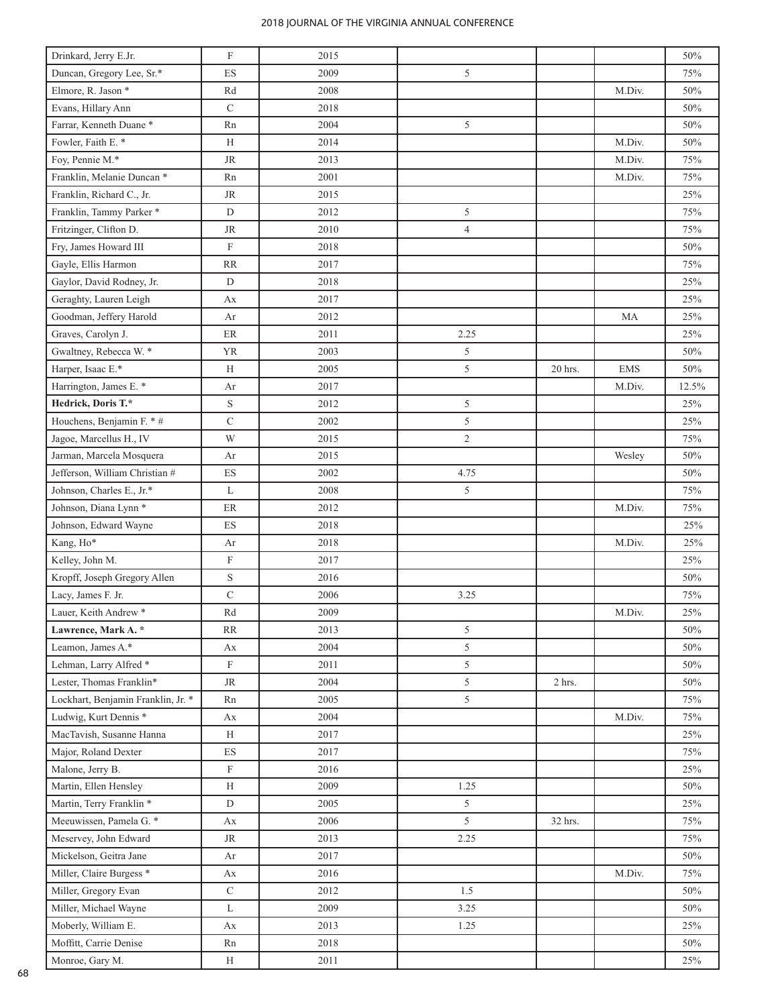| Drinkard, Jerry E.Jr.               | $\boldsymbol{F}$                | 2015 |                |         |            | 50%    |
|-------------------------------------|---------------------------------|------|----------------|---------|------------|--------|
| Duncan, Gregory Lee, Sr.*           | ES                              | 2009 | 5              |         |            | 75%    |
| Elmore, R. Jason *                  | Rd                              | 2008 |                |         | M.Div.     | 50%    |
| Evans, Hillary Ann                  | $\mathbf C$                     | 2018 |                |         |            | 50%    |
| Farrar, Kenneth Duane*              | Rn                              | 2004 | 5              |         |            | 50%    |
| Fowler, Faith E. *                  | H                               | 2014 |                |         | M.Div.     | 50%    |
| Foy, Pennie M.*                     | <b>JR</b>                       | 2013 |                |         | M.Div.     | 75%    |
| Franklin, Melanie Duncan *          | Rn                              | 2001 |                |         | M.Div.     | 75%    |
| Franklin, Richard C., Jr.           | <b>JR</b>                       | 2015 |                |         |            | 25%    |
| Franklin, Tammy Parker*             | $\mathbf D$                     | 2012 | 5              |         |            | 75%    |
| Fritzinger, Clifton D.              | <b>JR</b>                       | 2010 | $\overline{4}$ |         |            | 75%    |
| Fry, James Howard III               | $\mathbf F$                     | 2018 |                |         |            | 50%    |
| Gayle, Ellis Harmon                 | <b>RR</b>                       | 2017 |                |         |            | 75%    |
| Gaylor, David Rodney, Jr.           | $\mathbf D$                     | 2018 |                |         |            | 25%    |
| Geraghty, Lauren Leigh              | Aх                              | 2017 |                |         |            | 25%    |
| Goodman, Jeffery Harold             | Ar                              | 2012 |                |         | MA         | 25%    |
| Graves, Carolyn J.                  | ER                              | 2011 | 2.25           |         |            | 25%    |
| Gwaltney, Rebecca W. *              | <b>YR</b>                       | 2003 | 5              |         |            | 50%    |
| Harper, Isaac E.*                   | H                               | 2005 | 5              | 20 hrs. | <b>EMS</b> | 50%    |
| Harrington, James E. *              | Ar                              | 2017 |                |         | M.Div.     | 12.5%  |
| Hedrick, Doris T.*                  | $\mathbf S$                     | 2012 | 5              |         |            | 25%    |
| Houchens, Benjamin F. * #           | $\mathbf C$                     | 2002 | 5              |         |            | 25%    |
| Jagoe, Marcellus H., IV             | W                               | 2015 | $\overline{c}$ |         |            | 75%    |
| Jarman, Marcela Mosquera            | Ar                              | 2015 |                |         | Wesley     | 50%    |
| Jefferson, William Christian #      | ES                              | 2002 | 4.75           |         |            | 50%    |
| Johnson, Charles E., Jr.*           | L                               | 2008 | 5              |         |            | 75%    |
| Johnson, Diana Lynn *               | ER                              | 2012 |                |         | M.Div.     | 75%    |
| Johnson, Edward Wayne               | ES                              | 2018 |                |         |            | 25%    |
| Kang, Ho*                           | Ar                              | 2018 |                |         | M.Div.     | 25%    |
| Kelley, John M.                     | $\mathbf F$                     | 2017 |                |         |            | 25%    |
| Kropff, Joseph Gregory Allen        | $\mathbf S$                     | 2016 |                |         |            | 50%    |
| Lacy, James F. Jr.                  | $\mathbf C$                     | 2006 | 3.25           |         |            | 75%    |
| Lauer, Keith Andrew <sup>*</sup>    | Rd                              | 2009 |                |         | M.Div.     | 25%    |
| Lawrence, Mark A. *                 | RR                              | 2013 | 5              |         |            | 50%    |
| Leamon, James A.*                   |                                 | 2004 | 5              |         |            | 50%    |
| Lehman, Larry Alfred <sup>*</sup>   | Ax<br>$\boldsymbol{\mathrm{F}}$ |      | 5              |         |            |        |
| Lester, Thomas Franklin*            |                                 | 2011 |                |         |            | 50%    |
|                                     | <b>JR</b>                       | 2004 | 5              | 2 hrs.  |            | 50%    |
| Lockhart, Benjamin Franklin, Jr. *  | Rn                              | 2005 | 5              |         |            | 75%    |
| Ludwig, Kurt Dennis *               | Ax                              | 2004 |                |         | M.Div.     | 75%    |
| MacTavish, Susanne Hanna            | Н                               | 2017 |                |         |            | 25%    |
| Major, Roland Dexter                | ES                              | 2017 |                |         |            | 75%    |
| Malone, Jerry B.                    | $\mathbf F$                     | 2016 |                |         |            | 25%    |
| Martin, Ellen Hensley               | $\mathbf H$                     | 2009 | 1.25           |         |            | $50\%$ |
| Martin, Terry Franklin *            | D                               | 2005 | 5              |         |            | 25%    |
| Meeuwissen, Pamela G. *             | Ax                              | 2006 | 5              | 32 hrs. |            | 75%    |
| Meservey, John Edward               | JR                              | 2013 | 2.25           |         |            | 75%    |
| Mickelson, Geitra Jane              | Ar                              | 2017 |                |         |            | 50%    |
| Miller, Claire Burgess <sup>*</sup> | Аx                              | 2016 |                |         | M.Div.     | 75%    |
| Miller, Gregory Evan                | $\mathbf C$                     | 2012 | 1.5            |         |            | 50%    |
| Miller, Michael Wayne               | L                               | 2009 | 3.25           |         |            | 50%    |
| Moberly, William E.                 | Ax                              | 2013 | 1.25           |         |            | 25%    |
| Moffitt, Carrie Denise              | Rn                              | 2018 |                |         |            | 50%    |
| Monroe, Gary M.                     | $\boldsymbol{\mathrm{H}}$       | 2011 |                |         |            | $25\%$ |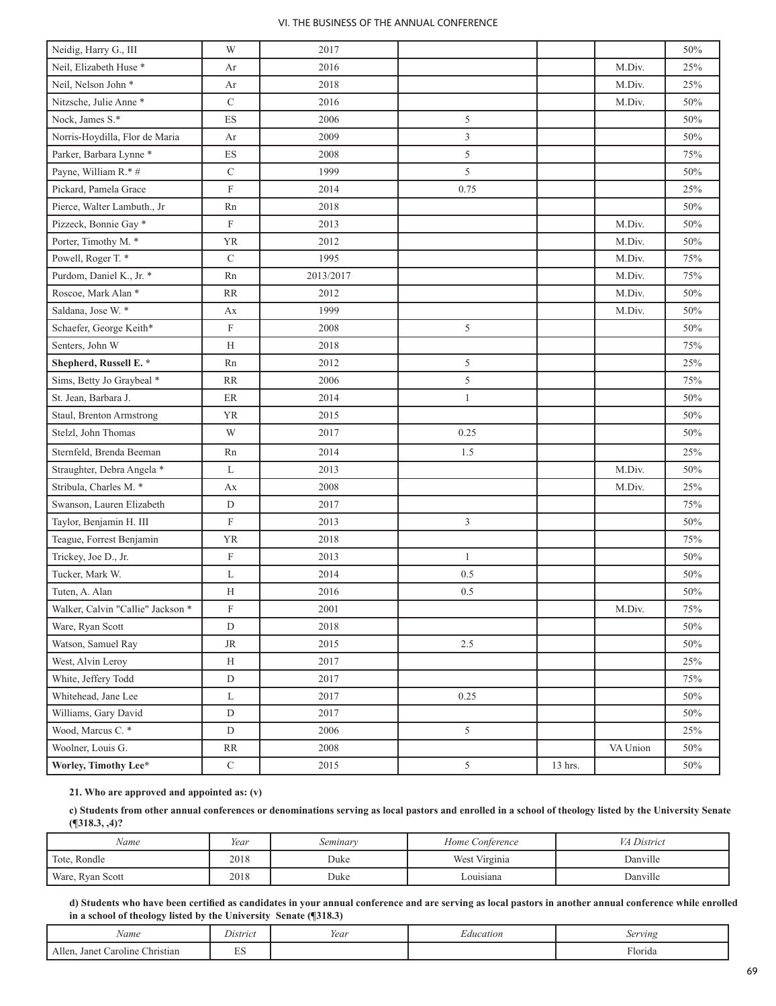| Neidig, Harry G., III             | W                                 | 2017      |                |         |          | 50%    |
|-----------------------------------|-----------------------------------|-----------|----------------|---------|----------|--------|
| Neil, Elizabeth Huse <sup>*</sup> | Ar                                | 2016      |                |         | M.Div.   | 25%    |
| Neil, Nelson John *               | Ar                                | 2018      |                |         | M.Div.   | 25%    |
| Nitzsche, Julie Anne *            | $\mathbf C$                       | 2016      |                |         | M.Div.   | 50%    |
| Nock, James S.*                   | ES                                | 2006      | 5              |         |          | 50%    |
| Norris-Hoydilla, Flor de Maria    | Ar                                | 2009      | 3              |         |          | 50%    |
| Parker, Barbara Lynne*            | <b>ES</b>                         | 2008      | 5              |         |          | 75%    |
| Payne, William R.* #              | $\mathcal{C}$                     | 1999      | 5              |         |          | 50%    |
| Pickard, Pamela Grace             | $\boldsymbol{\mathrm{F}}$         | 2014      | 0.75           |         |          | 25%    |
| Pierce, Walter Lambuth., Jr       | Rn                                | 2018      |                |         |          | $50\%$ |
| Pizzeck, Bonnie Gay*              | $\mathbf F$                       | 2013      |                |         | M.Div.   | 50%    |
| Porter, Timothy M. *              | <b>YR</b>                         | 2012      |                |         | M.Div.   | 50%    |
| Powell, Roger T. *                | $\mathbf C$                       | 1995      |                |         | M.Div.   | 75%    |
| Purdom, Daniel K., Jr. *          | Rn                                | 2013/2017 |                |         | M.Div.   | 75%    |
| Roscoe, Mark Alan *               | RR                                | 2012      |                |         | M.Div.   | 50%    |
| Saldana, Jose W. *                | Аx                                | 1999      |                |         | M.Div.   | 50%    |
| Schaefer, George Keith*           | $\boldsymbol{\mathrm{F}}$         | 2008      | 5              |         |          | 50%    |
| Senters, John W                   | H                                 | 2018      |                |         |          | 75%    |
| Shepherd, Russell E. *            | Rn                                | 2012      | 5              |         |          | 25%    |
| Sims, Betty Jo Graybeal *         | <b>RR</b>                         | 2006      | 5              |         |          | 75%    |
| St. Jean, Barbara J.              | ER                                | 2014      | 1              |         |          | 50%    |
| Staul, Brenton Armstrong          | <b>YR</b>                         | 2015      |                |         |          | 50%    |
| Stelzl, John Thomas               | W                                 | 2017      | 0.25           |         |          | 50%    |
| Sternfeld, Brenda Beeman          | Rn                                | 2014      | 1.5            |         |          | 25%    |
| Straughter, Debra Angela *        | L                                 | 2013      |                |         | M.Div.   | 50%    |
| Stribula, Charles M. *            | Ax                                | 2008      |                |         | M.Div.   | 25%    |
| Swanson, Lauren Elizabeth         | $\mathbf D$                       | 2017      |                |         |          | 75%    |
| Taylor, Benjamin H. III           | $\boldsymbol{\mathrm{F}}$         | 2013      | $\overline{3}$ |         |          | 50%    |
| Teague, Forrest Benjamin          | <b>YR</b>                         | 2018      |                |         |          | 75%    |
| Trickey, Joe D., Jr.              | $\boldsymbol{\mathrm{F}}$         | 2013      | $\mathbf{1}$   |         |          | 50%    |
| Tucker, Mark W.                   | L                                 | 2014      | 0.5            |         |          | 50%    |
| Tuten, A. Alan                    | H                                 | 2016      | 0.5            |         |          | $50\%$ |
| Walker, Calvin "Callie" Jackson * | $\boldsymbol{\mathrm{F}}$         | 2001      |                |         | M.Div.   | 75%    |
| Ware, Ryan Scott                  | D                                 | 2018      |                |         |          | 50%    |
| Watson, Samuel Ray                | JR                                | 2015      | 2.5            |         |          | 50%    |
| West, Alvin Leroy                 | H                                 | 2017      |                |         |          | 25%    |
| White, Jeffery Todd               | ${\rm D}$                         | 2017      |                |         |          | 75%    |
| Whitehead, Jane Lee               | L                                 | 2017      | 0.25           |         |          | 50%    |
| Williams, Gary David              | ${\rm D}$                         | 2017      |                |         |          | 50%    |
| Wood, Marcus C. *                 | D                                 | 2006      | 5              |         |          | 25%    |
| Woolner, Louis G.                 | $\ensuremath{\mathsf{RR}}\xspace$ | 2008      |                |         | VA Union | 50%    |
| Worley, Timothy Lee*              | $\mathbf C$                       | 2015      | 5              | 13 hrs. |          | 50%    |

## **21. Who are approved and appointed as: (v)**

**c) Students from other annual conferences or denominations serving as local pastors and enrolled in a school of theology listed by the University Senate (¶318.3, ,4)?**

| Name             | v v<br>Year | seminary | Home Conference  | VA District |
|------------------|-------------|----------|------------------|-------------|
| Tote, Rondle     | 2018        | Duke     | Virginia<br>West | Danville    |
| Ware, Ryan Scott | 2018        | Duke     | ouisiana         | Danville    |

**d) Students who have been certified as candidates in your annual conference and are serving as local pastors in another annual conference while enrolled in a school of theology listed by the University Senate (¶318.3)**

| Name                                               | $\mathbf{r}$ .<br>District | Year | $\sim$<br>Education | Serving       |
|----------------------------------------------------|----------------------------|------|---------------------|---------------|
| $\sim$<br>Allen<br>Janet<br>Caroline<br>. hristian | $\sim$<br>ப                |      |                     | --<br>∺lorida |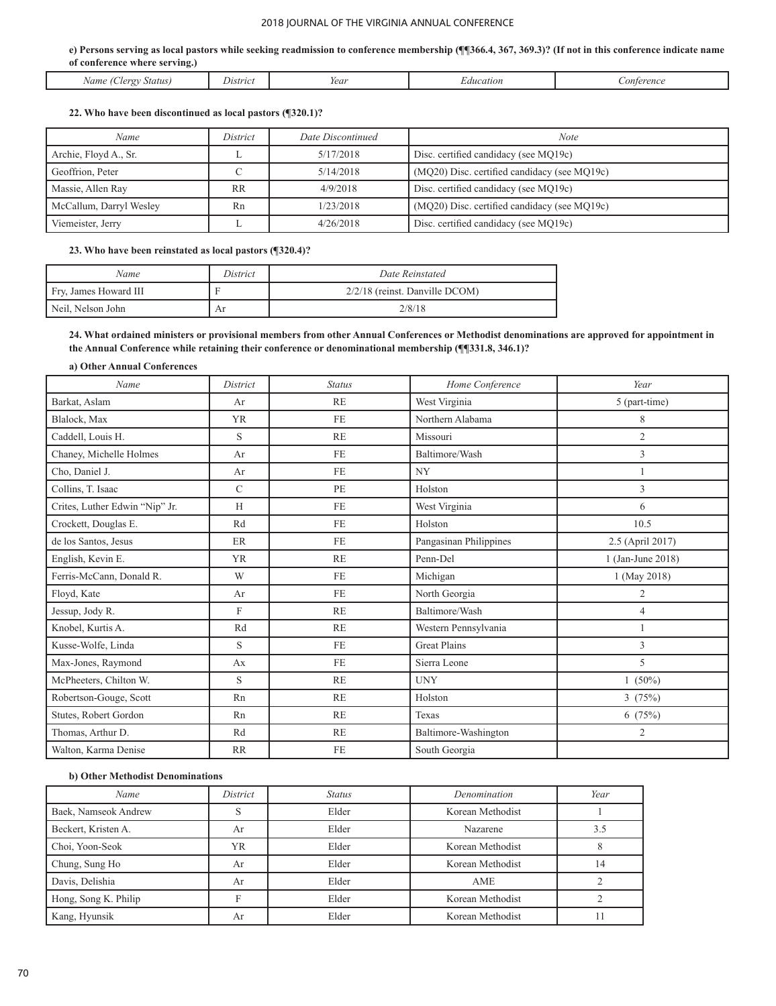## **e) Persons serving as local pastors while seeking readmission to conference membership (¶¶366.4, 367, 369.3)? (If not in this conference indicate name of conference where serving.)**

| Jers<br>Name<br>Status. | Jistrici<br>. | Year<br>. | zducation<br>. | onterence<br>. |
|-------------------------|---------------|-----------|----------------|----------------|

## **22. Who have been discontinued as local pastors (¶320.1)?**

| Name                    | District  | Date Discontinued | Note                                         |  |
|-------------------------|-----------|-------------------|----------------------------------------------|--|
| Archie, Floyd A., Sr.   |           | 5/17/2018         | Disc. certified candidacy (see MQ19c)        |  |
| Geoffrion, Peter        |           | 5/14/2018         | (MQ20) Disc. certified candidacy (see MQ19c) |  |
| Massie, Allen Ray       | <b>RR</b> | 4/9/2018          | Disc. certified candidacy (see MQ19c)        |  |
| McCallum, Darryl Wesley | Rn        | 1/23/2018         | (MQ20) Disc. certified candidacy (see MQ19c) |  |
| Viemeister, Jerry       |           | 4/26/2018         | Disc. certified candidacy (see MQ19c)        |  |

**23. Who have been reinstated as local pastors (¶320.4)?**

| Name                  | District | Date Reinstated                |
|-----------------------|----------|--------------------------------|
| Fry, James Howard III |          | 2/2/18 (reinst. Danville DCOM) |
| Neil, Nelson John     | Αr       | 2/8/18                         |

**24. What ordained ministers or provisional members from other Annual Conferences or Methodist denominations are approved for appointment in the Annual Conference while retaining their conference or denominational membership (¶¶331.8, 346.1)?** 

## **a) Other Annual Conferences**

| Name                           | District      | <b>Status</b> | Home Conference        | Year              |
|--------------------------------|---------------|---------------|------------------------|-------------------|
| Barkat, Aslam                  | Ar            | <b>RE</b>     | West Virginia          | 5 (part-time)     |
| Blalock, Max                   | <b>YR</b>     | FE            | Northern Alabama       | 8                 |
| Caddell, Louis H.              | S             | <b>RE</b>     | Missouri               | $\overline{2}$    |
| Chaney, Michelle Holmes        | Ar            | FE            | Baltimore/Wash         | $\overline{3}$    |
| Cho, Daniel J.                 | Ar            | FE            | NY                     |                   |
| Collins, T. Isaac              | $\mathcal{C}$ | PE            | Holston                | 3                 |
| Crites, Luther Edwin "Nip" Jr. | H             | FE            | West Virginia          | 6                 |
| Crockett, Douglas E.           | Rd            | <b>FE</b>     | Holston                | 10.5              |
| de los Santos, Jesus           | ER            | <b>FE</b>     | Pangasinan Philippines | 2.5 (April 2017)  |
| English, Kevin E.              | <b>YR</b>     | RE            | Penn-Del               | 1 (Jan-June 2018) |
| Ferris-McCann, Donald R.       | W             | <b>FE</b>     | Michigan               | 1 (May 2018)      |
| Floyd, Kate                    | Ar            | <b>FE</b>     | North Georgia          | $\overline{2}$    |
| Jessup, Jody R.                | F             | <b>RE</b>     | Baltimore/Wash         | $\overline{4}$    |
| Knobel, Kurtis A.              | Rd            | <b>RE</b>     | Western Pennsylvania   |                   |
| Kusse-Wolfe, Linda             | S             | <b>FE</b>     | <b>Great Plains</b>    | 3                 |
| Max-Jones, Raymond             | Ax            | FE            | Sierra Leone           | 5                 |
| McPheeters, Chilton W.         | S             | <b>RE</b>     | <b>UNY</b>             | $1(50\%)$         |
| Robertson-Gouge, Scott         | Rn            | <b>RE</b>     | Holston                | 3(75%)            |
| Stutes, Robert Gordon          | Rn            | RE            | Texas                  | 6(75%)            |
| Thomas, Arthur D.              | Rd            | RE            | Baltimore-Washington   | $\overline{c}$    |
| Walton, Karma Denise           | <b>RR</b>     | <b>FE</b>     | South Georgia          |                   |

## **b) Other Methodist Denominations**

| Name                 | District | <b>Status</b> | Denomination     | Year |
|----------------------|----------|---------------|------------------|------|
| Baek, Namseok Andrew |          | Elder         | Korean Methodist |      |
| Beckert, Kristen A.  | Ar       | Elder         | Nazarene         | 3.5  |
| Choi, Yoon-Seok      | YR       | Elder         | Korean Methodist |      |
| Chung, Sung Ho       | Ar       | Elder         | Korean Methodist | 14   |
| Davis, Delishia      | Ar       | Elder         | AME              |      |
| Hong, Song K. Philip |          | Elder         | Korean Methodist |      |
| Kang, Hyunsik        | Ar       | Elder         | Korean Methodist |      |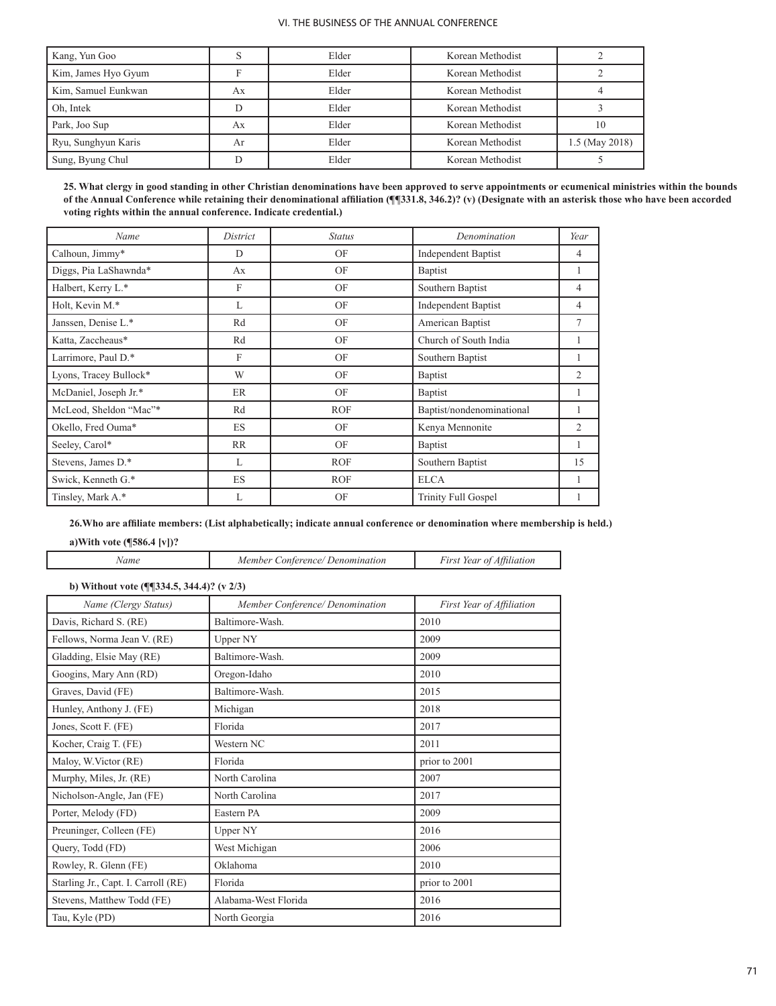| Kang, Yun Goo       |    | Elder | Korean Methodist |                |
|---------------------|----|-------|------------------|----------------|
| Kim, James Hyo Gyum |    | Elder | Korean Methodist |                |
| Kim, Samuel Eunkwan | Ax | Elder | Korean Methodist |                |
| Oh. Intek           |    | Elder | Korean Methodist |                |
| Park, Joo Sup       | Ax | Elder | Korean Methodist | 10             |
| Ryu, Sunghyun Karis | Ar | Elder | Korean Methodist | 1.5 (May 2018) |
| Sung, Byung Chul    |    | Elder | Korean Methodist |                |

**25. What clergy in good standing in other Christian denominations have been approved to serve appointments or ecumenical ministries within the bounds of the Annual Conference while retaining their denominational affiliation (¶¶331.8, 346.2)? (v) (Designate with an asterisk those who have been accorded voting rights within the annual conference. Indicate credential.)**

| Name                   | District  | <b>Status</b> | Denomination               | Year |
|------------------------|-----------|---------------|----------------------------|------|
| Calhoun, Jimmy*        | D         | OF            | <b>Independent Baptist</b> | 4    |
| Diggs, Pia LaShawnda*  | Ax        | OF            | <b>Baptist</b>             | 1    |
| Halbert, Kerry L.*     | F         | OF            | Southern Baptist           | 4    |
| Holt, Kevin M.*        | L         | OF            | <b>Independent Baptist</b> | 4    |
| Janssen, Denise L.*    | Rd        | OF            | American Baptist           | 7    |
| Katta, Zaccheaus*      | Rd        | OF            | Church of South India      |      |
| Larrimore, Paul D.*    | F         | OF            | Southern Baptist           |      |
| Lyons, Tracey Bullock* | W         | OF            | <b>Baptist</b>             | 2    |
| McDaniel, Joseph Jr.*  | ER        | OF            | <b>Baptist</b>             |      |
| McLeod, Sheldon "Mac"* | Rd        | <b>ROF</b>    | Baptist/nondenominational  |      |
| Okello, Fred Ouma*     | ES.       | OF            | Kenya Mennonite            | 2    |
| Seeley, Carol*         | <b>RR</b> | OF            | <b>Baptist</b>             |      |
| Stevens, James D.*     | L         | <b>ROF</b>    | Southern Baptist           | 15   |
| Swick, Kenneth G.*     | <b>ES</b> | <b>ROF</b>    | <b>ELCA</b>                |      |
| Tinsley, Mark A.*      | L         | OF            | Trinity Full Gospel        |      |

**26.Who are affiliate members: (List alphabetically; indicate annual conference or denomination where membership is held.) a)With vote (¶586.4 [v])?**

| Name                                            | Member Conference/Denomination | First Year of Affiliation |
|-------------------------------------------------|--------------------------------|---------------------------|
| b) Without vote $(\P\P_334.5, 344.4)$ ? (v 2/3) |                                |                           |
| Name (Clergy Status)                            | Member Conference/Denomination | First Year of Affiliation |
| Davis, Richard S. (RE)                          | Baltimore-Wash.                | 2010                      |
| Fellows, Norma Jean V. (RE)                     | Upper NY                       | 2009                      |
| Gladding, Elsie May (RE)                        | Baltimore-Wash.                | 2009                      |
| Googins, Mary Ann (RD)                          | Oregon-Idaho                   | 2010                      |
| Graves, David (FE)                              | Baltimore-Wash.                | 2015                      |
| Hunley, Anthony J. (FE)                         | Michigan                       | 2018                      |
| Jones, Scott F. (FE)                            | Florida                        | 2017                      |
| Kocher, Craig T. (FE)                           | Western NC                     | 2011                      |
| Maloy, W.Victor (RE)                            | Florida                        | prior to 2001             |
| Murphy, Miles, Jr. (RE)                         | North Carolina                 | 2007                      |
| Nicholson-Angle, Jan (FE)                       | North Carolina                 | 2017                      |
| Porter, Melody (FD)                             | Eastern PA                     | 2009                      |
| Preuninger, Colleen (FE)                        | <b>Upper NY</b>                | 2016                      |
| Query, Todd (FD)                                | West Michigan                  | 2006                      |
| Rowley, R. Glenn (FE)                           | Oklahoma                       | 2010                      |
| Starling Jr., Capt. I. Carroll (RE)             | Florida                        | prior to 2001             |
| Stevens, Matthew Todd (FE)                      | Alabama-West Florida           | 2016                      |
| Tau, Kyle (PD)                                  | North Georgia                  | 2016                      |
|                                                 |                                |                           |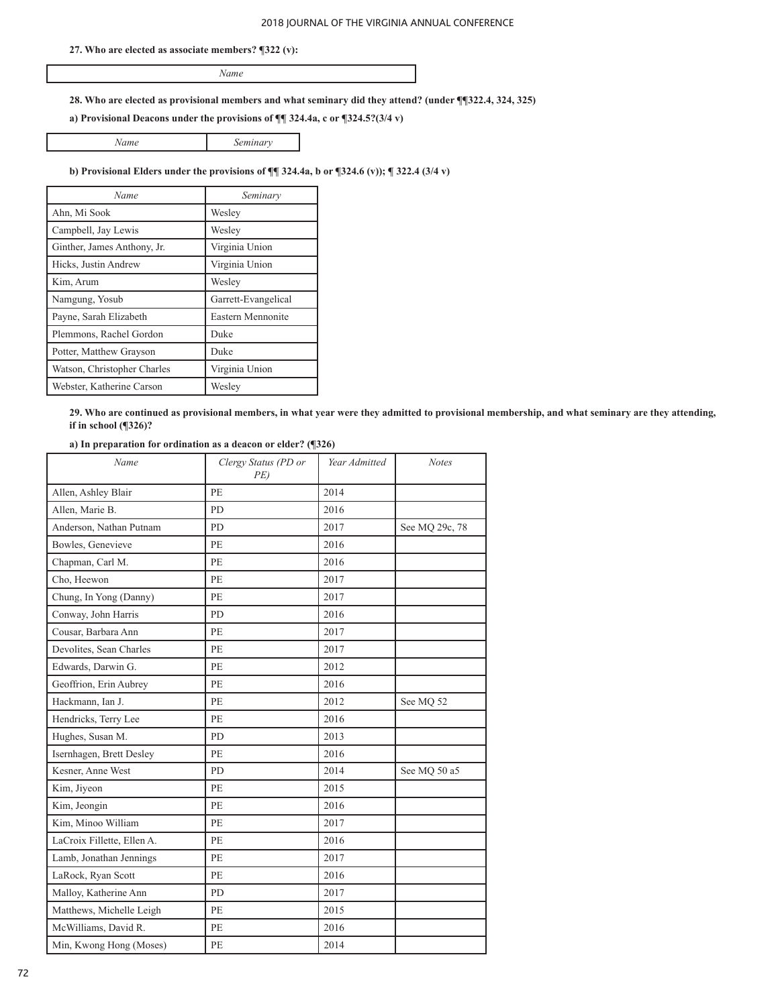#### **27. Who are elected as associate members? ¶322 (v):**

#### *Name*

## **28. Who are elected as provisional members and what seminary did they attend? (under ¶¶322.4, 324, 325)**

**a) Provisional Deacons under the provisions of ¶¶ 324.4a, c or ¶324.5?(3/4 v)** 

*Name Seminary*

#### **b) Provisional Elders under the provisions of ¶¶ 324.4a, b or ¶324.6 (v)); ¶ 322.4 (3/4 v)**

| Name                        | Seminary            |
|-----------------------------|---------------------|
| Ahn, Mi Sook                | Wesley              |
| Campbell, Jay Lewis         | Wesley              |
| Ginther, James Anthony, Jr. | Virginia Union      |
| Hicks, Justin Andrew        | Virginia Union      |
| Kim, Arum                   | Wesley              |
| Namgung, Yosub              | Garrett-Evangelical |
| Payne, Sarah Elizabeth      | Eastern Mennonite   |
| Plemmons, Rachel Gordon     | Duke                |
| Potter, Matthew Grayson     | Duke                |
| Watson, Christopher Charles | Virginia Union      |
| Webster, Katherine Carson   | Wesley              |

**29. Who are continued as provisional members, in what year were they admitted to provisional membership, and what seminary are they attending, if in school (¶326)?**

## **a) In preparation for ordination as a deacon or elder? (¶326)**

| Name                       | Clergy Status (PD or<br>PE) | Year Admitted | <b>Notes</b>   |
|----------------------------|-----------------------------|---------------|----------------|
| Allen, Ashley Blair        | PE                          | 2014          |                |
| Allen, Marie B.            | P <sub>D</sub>              | 2016          |                |
| Anderson, Nathan Putnam    | <b>PD</b>                   | 2017          | See MQ 29c, 78 |
| Bowles, Genevieve          | <b>PE</b>                   | 2016          |                |
| Chapman, Carl M.           | PE                          | 2016          |                |
| Cho, Heewon                | <b>PE</b>                   | 2017          |                |
| Chung, In Yong (Danny)     | PE                          | 2017          |                |
| Conway, John Harris        | <b>PD</b>                   | 2016          |                |
| Cousar, Barbara Ann        | PE                          | 2017          |                |
| Devolites, Sean Charles    | <b>PE</b>                   | 2017          |                |
| Edwards, Darwin G.         | <b>PE</b>                   | 2012          |                |
| Geoffrion, Erin Aubrey     | PE                          | 2016          |                |
| Hackmann, Ian J.           | <b>PE</b>                   | 2012          | See MQ 52      |
| Hendricks, Terry Lee       | <b>PE</b>                   | 2016          |                |
| Hughes, Susan M.           | PD                          | 2013          |                |
| Isernhagen, Brett Desley   | PE                          | 2016          |                |
| Kesner, Anne West          | PD                          | 2014          | See MQ 50 a5   |
| Kim, Jiyeon                | <b>PE</b>                   | 2015          |                |
| Kim, Jeongin               | PE                          | 2016          |                |
| Kim, Minoo William         | <b>PE</b>                   | 2017          |                |
| LaCroix Fillette, Ellen A. | <b>PE</b>                   | 2016          |                |
| Lamb, Jonathan Jennings    | PE                          | 2017          |                |
| LaRock, Ryan Scott         | PE                          | 2016          |                |
| Malloy, Katherine Ann      | PD                          | 2017          |                |
| Matthews, Michelle Leigh   | PE                          | 2015          |                |
| McWilliams, David R.       | PE                          | 2016          |                |
| Min, Kwong Hong (Moses)    | PE                          | 2014          |                |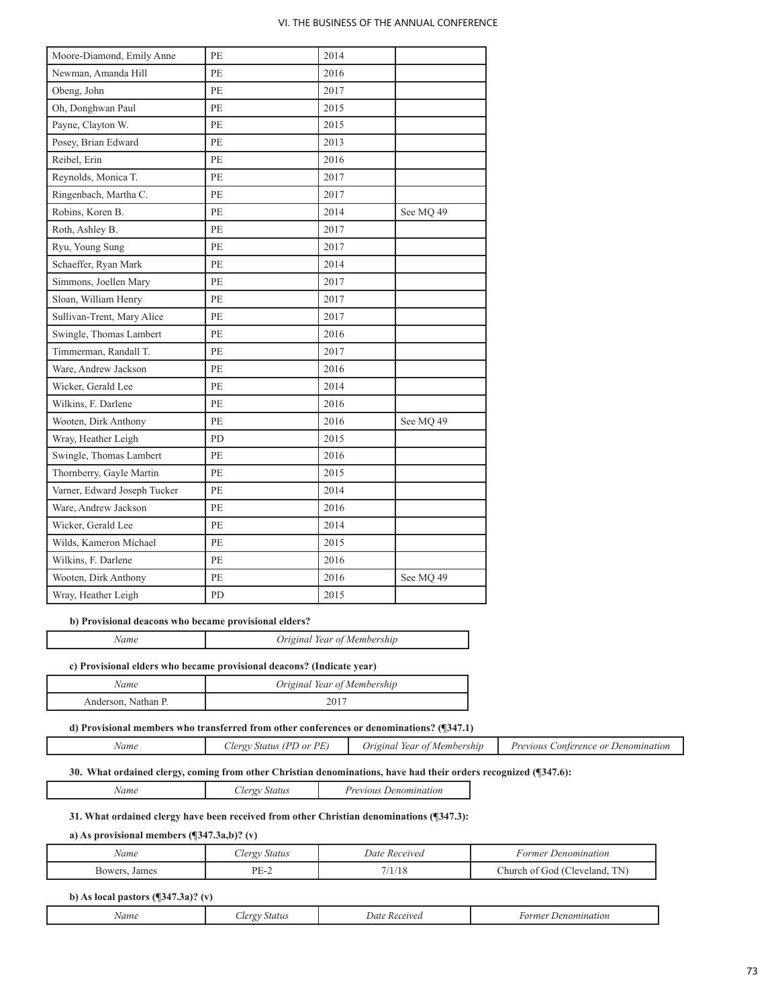| Moore-Diamond, Emily Anne    | PE        | 2014 |                      |
|------------------------------|-----------|------|----------------------|
| Newman, Amanda Hill          | PE        | 2016 |                      |
| Obeng, John                  | PE        | 2017 |                      |
| Oh, Donghwan Paul            | PE        | 2015 |                      |
| Payne, Clayton W.            | PE        | 2015 |                      |
| Posey, Brian Edward          | PE        | 2013 |                      |
| Reibel, Erin                 | PE        | 2016 |                      |
| Reynolds, Monica T.          | PE        | 2017 |                      |
| Ringenbach, Martha C.        | PE        | 2017 |                      |
| Robins, Koren B.             | <b>PE</b> | 2014 | See MQ 49            |
| Roth, Ashley B.              | PE        | 2017 |                      |
| Ryu, Young Sung              | PE        | 2017 |                      |
| Schaeffer, Ryan Mark         | PE        | 2014 |                      |
| Simmons, Joellen Mary        | PE        | 2017 |                      |
| Sloan, William Henry         | PE        | 2017 |                      |
| Sullivan-Trent, Mary Alice   | PE        | 2017 |                      |
| Swingle, Thomas Lambert      | PE        | 2016 |                      |
| Timmerman, Randall T.        | PE        | 2017 |                      |
| Ware, Andrew Jackson         | PE        | 2016 |                      |
| Wicker, Gerald Lee           | PE        | 2014 |                      |
| Wilkins, F. Darlene          | PE        | 2016 |                      |
| Wooten, Dirk Anthony         | PE        | 2016 | See MQ 49            |
| Wray, Heather Leigh          | PD        | 2015 |                      |
| Swingle, Thomas Lambert      | PE        | 2016 |                      |
| Thornberry, Gayle Martin     | <b>PE</b> | 2015 |                      |
| Varner, Edward Joseph Tucker | PE        | 2014 |                      |
| Ware, Andrew Jackson         | PE        | 2016 |                      |
| Wicker, Gerald Lee           | PE        | 2014 |                      |
| Wilds, Kameron Michael       | PE        | 2015 |                      |
| Wilkins, F. Darlene          | PE        | 2016 |                      |
| Wooten, Dirk Anthony         | PE        | 2016 | See MO <sub>49</sub> |
| Wray, Heather Leigh          | PD        | 2015 |                      |

## **b) Provisional deacons who became provisional elders?**

| Name | Original Year of Membership |
|------|-----------------------------|
|      |                             |

#### **c) Provisional elders who became provisional deacons? (Indicate year)**

| Name                | Original Year of Membership |
|---------------------|-----------------------------|
| Anderson, Nathan P. | 2017                        |

## **d) Provisional members who transferred from other conferences or denominations? (¶347.1)**

| vame | <b>Sea Sea</b><br><b>DL</b><br>$\alpha$<br>577110<br>, or | Membership<br>Jrigina<br>rear<br>Ω1 | Denomin⁄<br>Previous<br>onterence<br>,,,,,,,,,, |
|------|-----------------------------------------------------------|-------------------------------------|-------------------------------------------------|
|      |                                                           |                                     |                                                 |

## **30. What ordained clergy, coming from other Christian denominations, have had their orders recognized (¶347.6):**

*Name Clergy Status Previous Denomination*

## **31. What ordained clergy have been received from other Christian denominations (¶347.3):**

## **a) As provisional members (¶347.3a,b)? (v)**

| Name                 | <b>Status</b>   | Date                    | ormer                           |
|----------------------|-----------------|-------------------------|---------------------------------|
|                      | $\rho r \sigma$ | Received                | Denomination                    |
| <b>NVAL</b><br>James | nг              | $\blacksquare$<br>. L C | TN<br>`hurch<br>leveland<br>τΩι |

## **b) As local pastors (¶347.3a)? (v)**

|  | vame,<br>. | .<br>$-$ | JA1<br>A10.<br>. | $\boldsymbol{u}$<br><i>YVVI</i><br>rrr |
|--|------------|----------|------------------|----------------------------------------|
|--|------------|----------|------------------|----------------------------------------|

 $\overline{\phantom{a}}$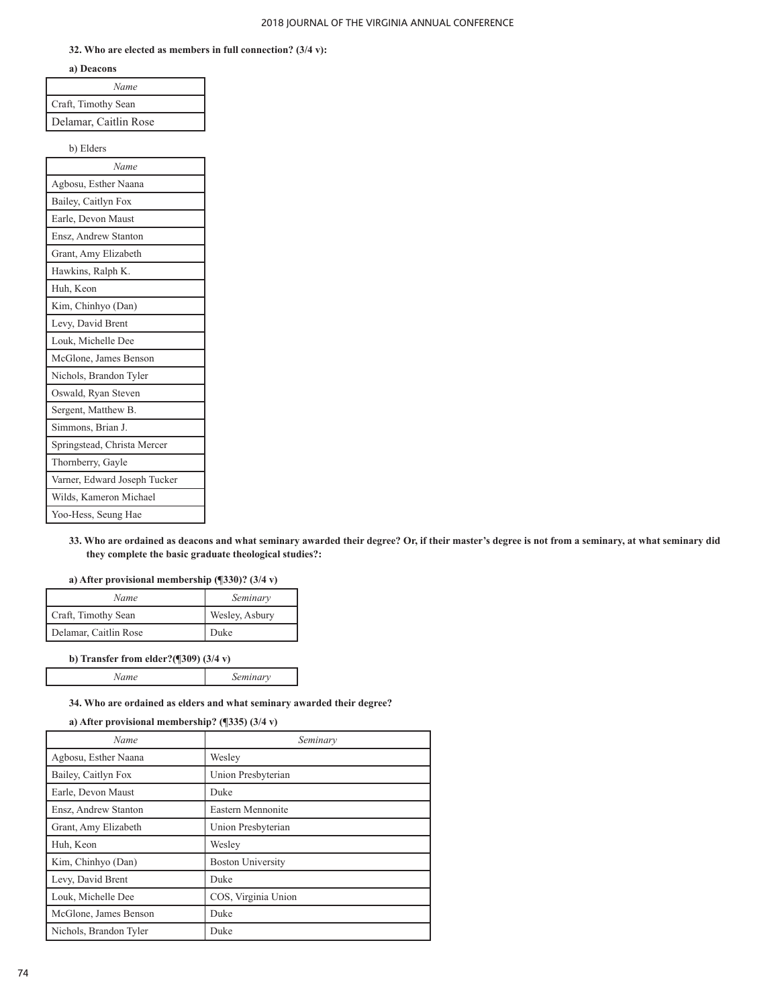#### **32. Who are elected as members in full connection? (3/4 v):**

|  | a) Deacons |
|--|------------|
|--|------------|

| Name                  |
|-----------------------|
| Craft, Timothy Sean   |
| Delamar, Caitlin Rose |

b) Elders

| Name                         |
|------------------------------|
| Agbosu, Esther Naana         |
| Bailey, Caitlyn Fox          |
| Earle, Devon Maust           |
| Ensz, Andrew Stanton         |
| Grant, Amy Elizabeth         |
| Hawkins, Ralph K.            |
| Huh, Keon                    |
| Kim, Chinhyo (Dan)           |
| Levy, David Brent            |
| Louk, Michelle Dee           |
| McGlone, James Benson        |
| Nichols, Brandon Tyler       |
| Oswald, Ryan Steven          |
| Sergent, Matthew B.          |
| Simmons, Brian J.            |
| Springstead, Christa Mercer  |
| Thornberry, Gayle            |
| Varner, Edward Joseph Tucker |
| Wilds, Kameron Michael       |
| Yoo-Hess, Seung Hae          |

**33. Who are ordained as deacons and what seminary awarded their degree? Or, if their master's degree is not from a seminary, at what seminary did they complete the basic graduate theological studies?:**

## **a) After provisional membership (¶330)? (3/4 v)**

| Name                  | Seminary       |
|-----------------------|----------------|
| Craft, Timothy Sean   | Wesley, Asbury |
| Delamar, Caitlin Rose | Duke           |

## **b) Transfer from elder?(¶309) (3/4 v)**

| . |  |  |
|---|--|--|
|   |  |  |
|   |  |  |

## **34. Who are ordained as elders and what seminary awarded their degree?**

| Name                   | Seminary                 |
|------------------------|--------------------------|
| Agbosu, Esther Naana   | Wesley                   |
| Bailey, Caitlyn Fox    | Union Presbyterian       |
| Earle, Devon Maust     | Duke                     |
| Ensz, Andrew Stanton   | Eastern Mennonite        |
| Grant, Amy Elizabeth   | Union Presbyterian       |
| Huh, Keon              | Wesley                   |
| Kim, Chinhyo (Dan)     | <b>Boston University</b> |
| Levy, David Brent      | Duke                     |
| Louk, Michelle Dee     | COS, Virginia Union      |
| McGlone, James Benson  | Duke                     |
| Nichols, Brandon Tyler | Duke                     |

**a) After provisional membership? (¶335) (3/4 v)**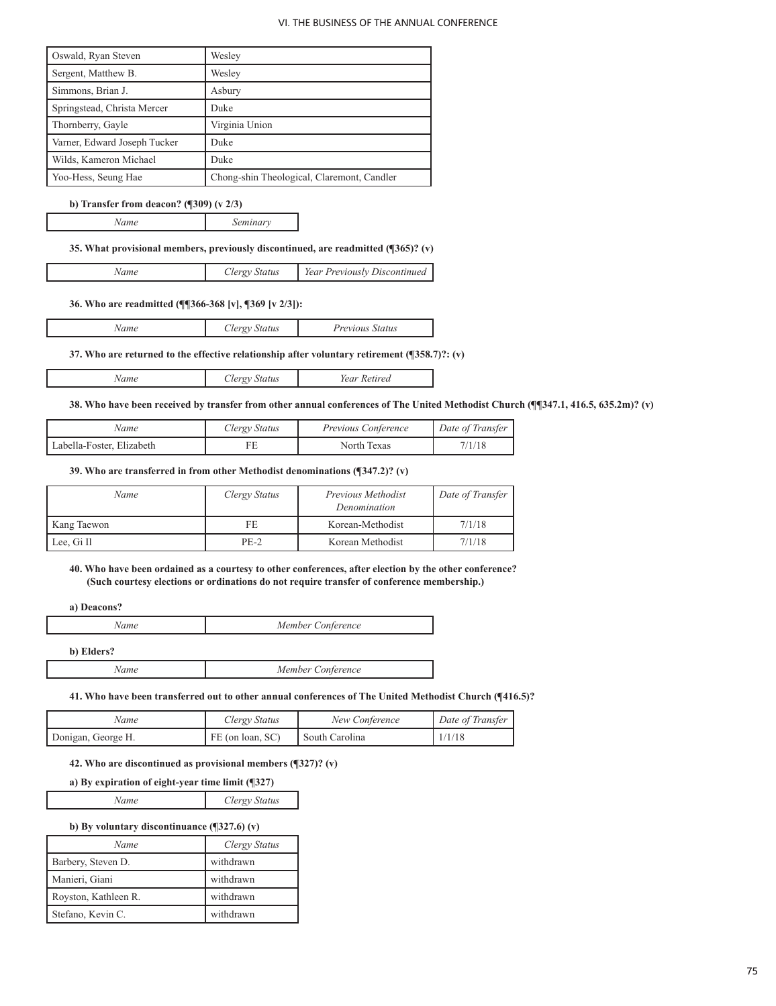| Oswald, Ryan Steven          | Wesley                                     |
|------------------------------|--------------------------------------------|
| Sergent, Matthew B.          | Wesley                                     |
| Simmons, Brian J.            | Asbury                                     |
| Springstead, Christa Mercer  | Duke                                       |
| Thornberry, Gayle            | Virginia Union                             |
| Varner, Edward Joseph Tucker | Duke                                       |
| Wilds, Kameron Michael       | Duke                                       |
| Yoo-Hess, Seung Hae          | Chong-shin Theological, Claremont, Candler |

#### **b) Transfer from deacon? (¶309) (v 2/3)**

*Name Seminary*

**35. What provisional members, previously discontinued, are readmitted (¶365)? (v)**

| Clergy Status | Year Previously Discontinued |
|---------------|------------------------------|
|               |                              |

**36. Who are readmitted (¶¶366-368 [v], ¶369 [v 2/3]):**

| Name | Clergy Status | <i>Previous Status</i> |
|------|---------------|------------------------|
|------|---------------|------------------------|

**37. Who are returned to the effective relationship after voluntary retirement (¶358.7)?: (v)**

**38. Who have been received by transfer from other annual conferences of The United Methodist Church (¶¶347.1, 416.5, 635.2m)? (v)**

| Name                      | Clergy Status | <i>Previous Conference</i> | Date of Transfer |
|---------------------------|---------------|----------------------------|------------------|
| Labella-Foster, Elizabeth |               | North Texas                |                  |

## **39. Who are transferred in from other Methodist denominations (¶347.2)? (v)**

| Name        | Clergy Status | Previous Methodist<br>Denomination | Date of Transfer |
|-------------|---------------|------------------------------------|------------------|
| Kang Taewon | FE            | Korean-Methodist                   | 7/1/18           |
| Lee, Gi Il  | PE-2          | Korean Methodist                   | 7/1/18           |

**40. Who have been ordained as a courtesy to other conferences, after election by the other conference? (Such courtesy elections or ordinations do not require transfer of conference membership.)**

**a) Deacons?**

| 'ame | Member Conference |
|------|-------------------|
|      |                   |

**b) Elders?**

*Name Member Conference*

**41. Who have been transferred out to other annual conferences of The United Methodist Church (¶416.5)?** 

| Name               | Clergy Status    | New Conference | Date of Transfer |
|--------------------|------------------|----------------|------------------|
| Donigan, George H. | FE (on loan, SC) | South Carolina | 1/1/18           |

**42. Who are discontinued as provisional members (¶327)? (v)**

**a) By expiration of eight-year time limit (¶327)**

| Name | Clergy Status |  |
|------|---------------|--|
|      |               |  |

|  | b) By voluntary discontinuance $(\sqrt{327.6})(v)$ |  |
|--|----------------------------------------------------|--|
|--|----------------------------------------------------|--|

| Name                 | Clergy Status |  |
|----------------------|---------------|--|
| Barbery, Steven D.   | withdrawn     |  |
| Manieri, Giani       | withdrawn     |  |
| Royston, Kathleen R. | withdrawn     |  |
| Stefano, Kevin C.    | withdrawn     |  |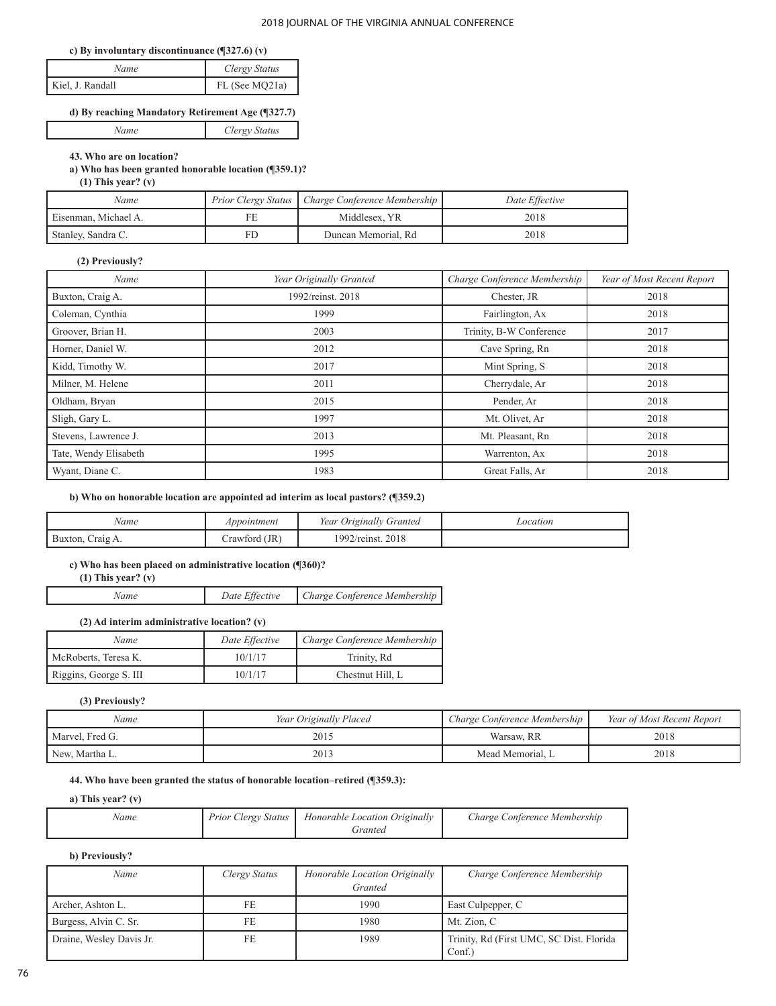## **c) By involuntary discontinuance (¶327.6) (v)**

| Name             | Clergy Status  |
|------------------|----------------|
| Kiel, J. Randall | FL (See MQ21a) |
|                  |                |

## **d) By reaching Mandatory Retirement Age (¶327.7)**

*Name Clergy Status*

## **43. Who are on location?**

**a) Who has been granted honorable location (¶359.1)?** 

 **(1) This year? (v)**

| Name                 |    | Prior Clergy Status   Charge Conference Membership | Date Effective |
|----------------------|----|----------------------------------------------------|----------------|
| Eisenman, Michael A. | FE | Middlesex, YR                                      | 2018           |
| Stanley, Sandra C.   | FГ | Duncan Memorial, Rd                                | 2018           |

#### **(2) Previously?**

| Name                  | Year Originally Granted | Charge Conference Membership | Year of Most Recent Report |
|-----------------------|-------------------------|------------------------------|----------------------------|
| Buxton, Craig A.      | 1992/reinst, 2018       | Chester, JR                  | 2018                       |
| Coleman, Cynthia      | 1999                    | Fairlington, Ax              | 2018                       |
| Groover, Brian H.     | 2003                    | Trinity, B-W Conference      | 2017                       |
| Horner, Daniel W.     | 2012                    | Cave Spring, Rn              | 2018                       |
| Kidd, Timothy W.      | 2017                    | Mint Spring, S               | 2018                       |
| Milner, M. Helene     | 2011                    | Cherrydale, Ar               | 2018                       |
| Oldham, Bryan         | 2015                    | Pender, Ar                   | 2018                       |
| Sligh, Gary L.        | 1997                    | Mt. Olivet, Ar               | 2018                       |
| Stevens, Lawrence J.  | 2013                    | Mt. Pleasant, Rn             | 2018                       |
| Tate, Wendy Elisabeth | 1995                    | Warrenton, Ax                | 2018                       |
| Wyant, Diane C.       | 1983                    | Great Falls, Ar              | 2018                       |

## **b) Who on honorable location are appointed ad interim as local pastors? (¶359.2)**

| Name             | Appointment   | Year Originally Granted | Location |
|------------------|---------------|-------------------------|----------|
| Buxton, Craig A. | Crawford (JR) | 1992/reinst. 2018       |          |

## **c) Who has been placed on administrative location (¶360)?**

 **(1) This year? (v)**

Ī

| Name | Date Effective | Charge Conference Membership |
|------|----------------|------------------------------|

## **(2) Ad interim administrative location? (v)**

| Name                   | Date Effective | Charge Conference Membership |
|------------------------|----------------|------------------------------|
| McRoberts, Teresa K.   | 10/1/17        | Trinity, Rd                  |
| Riggins, George S. III | 10/1/17        | Chestnut Hill. L             |

#### **(3) Previously?**

| Name            | Year Originally Placed | Charge Conference Membership | Year of Most Recent Report |
|-----------------|------------------------|------------------------------|----------------------------|
| Marvel, Fred G. | 2015                   | Warsaw, RR                   | 2018                       |
| New, Martha L.  | 2013                   | Mead Memorial, L             | 2018                       |

## **44. Who have been granted the status of honorable location–retired (¶359.3):**

## **a) This year? (v)**

| Name | Prior Clergy Status | <b>Honorable Location Originally</b> | Charge Conference Membership |
|------|---------------------|--------------------------------------|------------------------------|
|      |                     | <i>dranted</i>                       |                              |

## **b) Previously?**

| Name                     | Clergy Status | Honorable Location Originally<br>Granted | Charge Conference Membership                       |
|--------------------------|---------------|------------------------------------------|----------------------------------------------------|
| Archer, Ashton L.        | FE            | 1990                                     | East Culpepper, C                                  |
| Burgess, Alvin C. Sr.    | FE            | 1980                                     | Mt. Zion, C                                        |
| Draine, Wesley Davis Jr. | FE            | 1989                                     | Trinity, Rd (First UMC, SC Dist. Florida)<br>Conf. |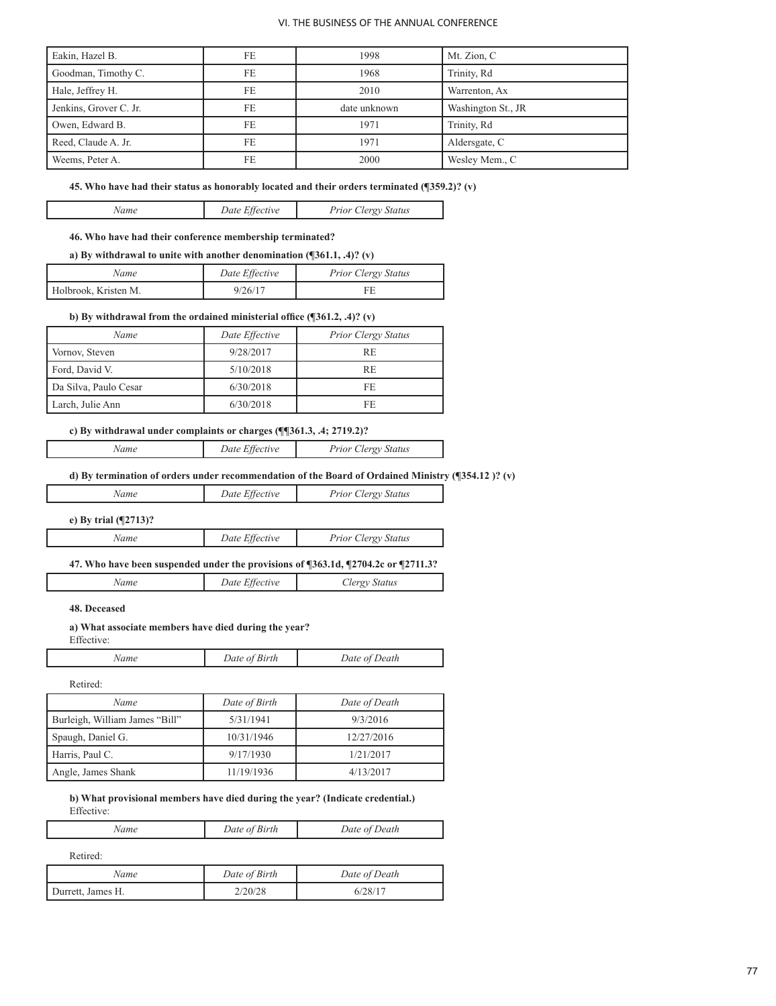| Eakin, Hazel B.        | FE | 1998         | Mt. Zion, C        |
|------------------------|----|--------------|--------------------|
| Goodman, Timothy C.    | FE | 1968         | Trinity, Rd        |
| Hale, Jeffrey H.       | FE | 2010         | Warrenton, Ax      |
| Jenkins, Grover C. Jr. | FE | date unknown | Washington St., JR |
| Owen, Edward B.        | FE | 1971         | Trinity, Rd        |
| Reed, Claude A. Jr.    | FE | 1971         | Aldersgate, C      |
| Weems, Peter A.        | FE | 2000         | Wesley Mem., C     |

## **45. Who have had their status as honorably located and their orders terminated (¶359.2)? (v)**

| Date Effective<br><b>Prior Clergy Status</b> |
|----------------------------------------------|
|----------------------------------------------|

#### **46. Who have had their conference membership terminated?**

#### **a) By withdrawal to unite with another denomination (¶361.1, .4)? (v)**

| Name                 | Date Effective | <b>Prior Clergy Status</b> |
|----------------------|----------------|----------------------------|
| Holbrook, Kristen M. | 9/26/17        |                            |

## **b) By withdrawal from the ordained ministerial office (¶361.2, .4)? (v)**

| Name                  | Date Effective | <b>Prior Clergy Status</b> |
|-----------------------|----------------|----------------------------|
| Vornov, Steven        | 9/28/2017      | RE.                        |
| Ford, David V.        | 5/10/2018      | RE.                        |
| Da Silva, Paulo Cesar | 6/30/2018      | FF.                        |
| Larch, Julie Ann      | 6/30/2018      | FF.                        |

## **c) By withdrawal under complaints or charges (¶¶361.3, .4; 2719.2)?**

| lame | Date Effective | <b>Prior Clergy Status</b> |
|------|----------------|----------------------------|
|      |                |                            |

#### **d) By termination of orders under recommendation of the Board of Ordained Ministry (¶354.12 )? (v)**

| Name | Date Effective | <b>Prior Clergy Status</b> |
|------|----------------|----------------------------|
|      |                |                            |

## **e) By trial (¶2713)?**

Ī

*Name Date Effective Prior Clergy Status*

## **47. Who have been suspended under the provisions of ¶363.1d, ¶2704.2c or ¶2711.3?**

| Vame | Date Effective | Clergy Status |
|------|----------------|---------------|
|      |                |               |

#### **48. Deceased**

## **a) What associate members have died during the year?**

Effective:

| Name | Date of Birth | Date of Death |
|------|---------------|---------------|
|      |               |               |

Retired:

Ī

Ī

Ī

| Name                           | Date of Birth | Date of Death |
|--------------------------------|---------------|---------------|
| Burleigh, William James "Bill" | 5/31/1941     | 9/3/2016      |
| Spaugh, Daniel G.              | 10/31/1946    | 12/27/2016    |
| Harris, Paul C.                | 9/17/1930     | 1/21/2017     |
| Angle, James Shank             | 11/19/1936    | 4/13/2017     |

#### **b) What provisional members have died during the year? (Indicate credential.)** Effective:

| Name | Date of Birth | Date of Death |
|------|---------------|---------------|
|      |               |               |

Retired:

| Name              | Date of Birth | Date of Death |
|-------------------|---------------|---------------|
| Durrett, James H. | 2/20/28       | 6/28/17       |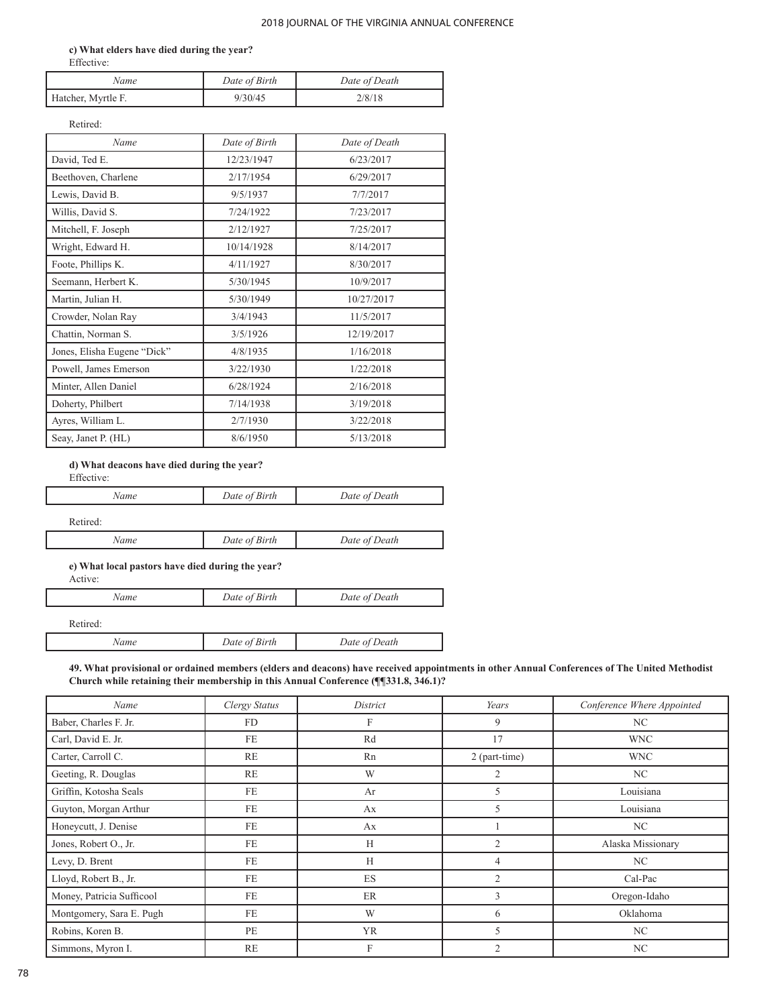## **c) What elders have died during the year?**

Effective:

| Name               | Date of Birth | Date of Death |
|--------------------|---------------|---------------|
| Hatcher, Myrtle F. | 9/30/45       | 2/8/18        |

Retired:

| Name                        | Date of Birth | Date of Death |
|-----------------------------|---------------|---------------|
| David, Ted E.               | 12/23/1947    | 6/23/2017     |
| Beethoven, Charlene         | 2/17/1954     | 6/29/2017     |
| Lewis, David B.             | 9/5/1937      | 7/7/2017      |
| Willis, David S.            | 7/24/1922     | 7/23/2017     |
| Mitchell, F. Joseph         | 2/12/1927     | 7/25/2017     |
| Wright, Edward H.           | 10/14/1928    | 8/14/2017     |
| Foote, Phillips K.          | 4/11/1927     | 8/30/2017     |
| Seemann, Herbert K.         | 5/30/1945     | 10/9/2017     |
| Martin, Julian H.           | 5/30/1949     | 10/27/2017    |
| Crowder, Nolan Ray          | 3/4/1943      | 11/5/2017     |
| Chattin, Norman S.          | 3/5/1926      | 12/19/2017    |
| Jones, Elisha Eugene "Dick" | 4/8/1935      | 1/16/2018     |
| Powell, James Emerson       | 3/22/1930     | 1/22/2018     |
| Minter, Allen Daniel        | 6/28/1924     | 2/16/2018     |
| Doherty, Philbert           | 7/14/1938     | 3/19/2018     |
| Ayres, William L.           | 2/7/1930      | 3/22/2018     |
| Seay, Janet P. (HL)         | 8/6/1950      | 5/13/2018     |

**d) What deacons have died during the year?**

Effective:

| Name     | Date of Birth | Date of Death |  |
|----------|---------------|---------------|--|
| Retired: |               |               |  |
| Name     | Date of Birth | Date of Death |  |

**e) What local pastors have died during the year?**

Active:

| Vame | Date of Birth | Date of Death |
|------|---------------|---------------|
|      |               |               |

Retired:

Ī

 $\Box$ 

Г

| Vame | Date of Birth | Date of Death |  |
|------|---------------|---------------|--|
|------|---------------|---------------|--|

**49. What provisional or ordained members (elders and deacons) have received appointments in other Annual Conferences of The United Methodist Church while retaining their membership in this Annual Conference (¶¶331.8, 346.1)?** 

| Name                      | <b>Clergy Status</b> | District  | Years          | Conference Where Appointed |
|---------------------------|----------------------|-----------|----------------|----------------------------|
| Baber, Charles F. Jr.     | <b>FD</b>            | F         | 9              | NC                         |
| Carl, David E. Jr.        | FE                   | Rd        | 17             | <b>WNC</b>                 |
| Carter, Carroll C.        | RE                   | Rn        | 2 (part-time)  | <b>WNC</b>                 |
| Geeting, R. Douglas       | RE                   | W         | $\overline{2}$ | NC                         |
| Griffin, Kotosha Seals    | FE                   | Ar        | 5              | Louisiana                  |
| Guyton, Morgan Arthur     | FE                   | Ax        | 5              | Louisiana                  |
| Honeycutt, J. Denise      | <b>FE</b>            | Ax        |                | NC                         |
| Jones, Robert O., Jr.     | FE                   | H         | $\overline{2}$ | Alaska Missionary          |
| Levy, D. Brent            | FE                   | H         | 4              | NC                         |
| Lloyd, Robert B., Jr.     | <b>FE</b>            | ES        | $\overline{2}$ | Cal-Pac                    |
| Money, Patricia Sufficool | FE                   | ER        | 3              | Oregon-Idaho               |
| Montgomery, Sara E. Pugh  | <b>FE</b>            | W         | 6              | Oklahoma                   |
| Robins, Koren B.          | PE                   | <b>YR</b> | 5              | NC                         |
| Simmons, Myron I.         | RE                   | F         | 2              | NC                         |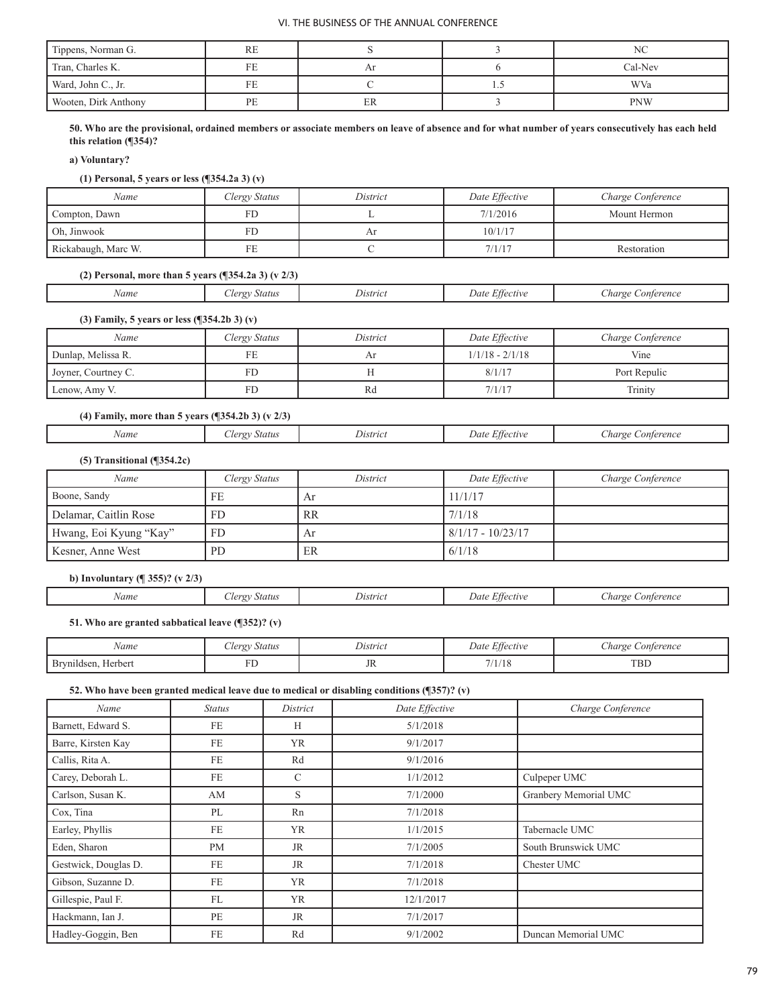| Tippens, Norman G.   | <b>RE</b> |    |     | NC         |
|----------------------|-----------|----|-----|------------|
| Tran, Charles K.     | FE        |    |     | Cal-Nev    |
| Ward, John C., Jr.   | FE        |    | ن د | WVa        |
| Wooten, Dirk Anthony | PE        | ER |     | <b>PNW</b> |

**50. Who are the provisional, ordained members or associate members on leave of absence and for what number of years consecutively has each held this relation (¶354)?** 

**a) Voluntary?** 

## **(1) Personal, 5 years or less (¶354.2a 3) (v)**

| Name                | Clergy Status | District | Date Effective | Charge Conference |
|---------------------|---------------|----------|----------------|-------------------|
| Compton, Dawn       | FD            |          | 7/1/2016       | Mount Hermon      |
| Oh, Jinwook         | FD            | Ar       | 10/1/17        |                   |
| Rickabaugh, Marc W. | FE            |          | 7/1/17         | Restoration       |

## **(2) Personal, more than 5 years (¶354.2a 3) (v 2/3)**

| Name | $\alpha$<br><b>Status</b><br>$\cdots$ | <i>Istrici</i> | Jate<br><i>Effective</i> | Aarge<br>_onterence |
|------|---------------------------------------|----------------|--------------------------|---------------------|
|      |                                       |                |                          |                     |

## **(3) Family, 5 years or less (¶354.2b 3) (v)**

| Name                | Clergy Status | District | Date Effective    | Charge Conference |
|---------------------|---------------|----------|-------------------|-------------------|
| Dunlap, Melissa R.  | FE            |          | $1/1/18 - 2/1/18$ | Vine              |
| Joyner, Courtney C. | FD            |          | 8/1/17            | Port Repulic      |
| Lenow, Amy V.       | FD            | Rd       | 7/1/17            | Trinity           |

## **(4) Family, more than 5 years (¶354.2b 3) (v 2/3)**

| <b>Vame</b><br>. | Status<br>$10^{10}$ | ustric<br>,,, | <b>MAIL 494</b><br>: ttective<br>Date<br>.<br>$\overline{a}$ | harge<br>onterence |
|------------------|---------------------|---------------|--------------------------------------------------------------|--------------------|
|                  |                     |               |                                                              |                    |

## **(5) Transitional (¶354.2c)**

L

| Name                   | Clergy Status | District  | Date Effective      | Charge Conference |
|------------------------|---------------|-----------|---------------------|-------------------|
| Boone, Sandy           | FE            | Ar        | 11/1/17             |                   |
| Delamar, Caitlin Rose  | FD            | <b>RR</b> | 7/1/18              |                   |
| Hwang, Eoi Kyung "Kay" | FD            | Ar        | $8/1/17 - 10/23/17$ |                   |
| Kesner, Anne West      | <b>PD</b>     | ER        | 6/1/18              |                   |

## **b) Involuntary (¶ 355)? (v 2/3)**

|  | Name | 22.14<br>statur. | $^{\prime\prime}$ stric $\iota$ | Jat. | hare<br>onterence<br>777 |
|--|------|------------------|---------------------------------|------|--------------------------|
|--|------|------------------|---------------------------------|------|--------------------------|

## **51. Who are granted sabbatical leave (¶352)? (v)**

| Name                   | cler<br><b>Status</b><br>Ο. | District | $\Gamma$ $\alpha$<br><i>Effective</i><br>Date | harge<br>conterence |
|------------------------|-----------------------------|----------|-----------------------------------------------|---------------------|
| Brynildsen.<br>Herbert | . .                         | JIX      | 7/1<br>11C<br>771718                          | <b>TBD</b>          |

## **52. Who have been granted medical leave due to medical or disabling conditions (¶357)? (v)**

| Name                 | <b>Status</b> | District  | Date Effective | Charge Conference     |
|----------------------|---------------|-----------|----------------|-----------------------|
| Barnett, Edward S.   | FE            | Н         | 5/1/2018       |                       |
| Barre, Kirsten Kay   | FE.           | <b>YR</b> | 9/1/2017       |                       |
| Callis, Rita A.      | <b>FE</b>     | Rd        | 9/1/2016       |                       |
| Carey, Deborah L.    | <b>FE</b>     | C         | 1/1/2012       | Culpeper UMC          |
| Carlson, Susan K.    | AM            | S         | 7/1/2000       | Granbery Memorial UMC |
| Cox, Tina            | PL            | Rn        | 7/1/2018       |                       |
| Earley, Phyllis      | FE.           | <b>YR</b> | 1/1/2015       | Tabernacle UMC        |
| Eden, Sharon         | <b>PM</b>     | <b>JR</b> | 7/1/2005       | South Brunswick UMC   |
| Gestwick, Douglas D. | <b>FE</b>     | <b>JR</b> | 7/1/2018       | Chester UMC           |
| Gibson, Suzanne D.   | FE.           | <b>YR</b> | 7/1/2018       |                       |
| Gillespie, Paul F.   | FL.           | <b>YR</b> | 12/1/2017      |                       |
| Hackmann, Ian J.     | PE            | <b>JR</b> | 7/1/2017       |                       |
| Hadley-Goggin, Ben   | FE            | Rd        | 9/1/2002       | Duncan Memorial UMC   |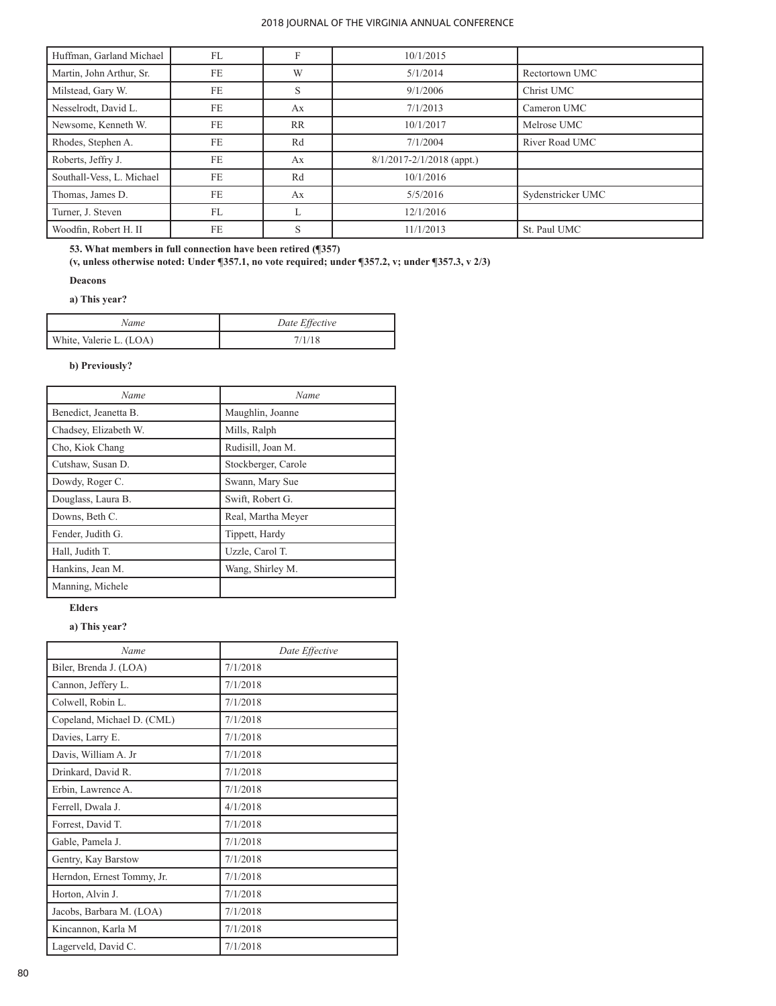| Huffman, Garland Michael  | FL        |           | 10/1/2015                 |                   |
|---------------------------|-----------|-----------|---------------------------|-------------------|
| Martin, John Arthur, Sr.  | FE        | W         | 5/1/2014                  | Rectortown UMC    |
| Milstead, Gary W.         | FE        | S         | 9/1/2006                  | Christ UMC        |
| Nesselrodt, David L.      | FE        | Ax        | 7/1/2013                  | Cameron UMC       |
| Newsome, Kenneth W.       | FE        | <b>RR</b> | 10/1/2017                 | Melrose UMC       |
| Rhodes, Stephen A.        | <b>FE</b> | Rd        | 7/1/2004                  | River Road UMC    |
| Roberts, Jeffry J.        | FE        | Ax        | 8/1/2017-2/1/2018 (appt.) |                   |
| Southall-Vess, L. Michael | FE        | Rd        | 10/1/2016                 |                   |
| Thomas, James D.          | <b>FE</b> | Ax        | 5/5/2016                  | Sydenstricker UMC |
| Turner, J. Steven         | <b>FL</b> |           | 12/1/2016                 |                   |
| Woodfin, Robert H. II     | FE        | S         | 11/1/2013                 | St. Paul UMC      |

**53. What members in full connection have been retired (¶357)** 

**(v, unless otherwise noted: Under ¶357.1, no vote required; under ¶357.2, v; under ¶357.3, v 2/3)** 

## **Deacons**

**a) This year?** 

| Name                    | Date Effective |
|-------------------------|----------------|
| White, Valerie L. (LOA) | 7/1/18         |

## **b) Previously?**

| Name                  | Name                |
|-----------------------|---------------------|
| Benedict, Jeanetta B. | Maughlin, Joanne    |
| Chadsey, Elizabeth W. | Mills, Ralph        |
| Cho, Kiok Chang       | Rudisill, Joan M.   |
| Cutshaw, Susan D.     | Stockberger, Carole |
| Dowdy, Roger C.       | Swann, Mary Sue     |
| Douglass, Laura B.    | Swift, Robert G.    |
| Downs, Beth C.        | Real, Martha Meyer  |
| Fender, Judith G.     | Tippett, Hardy      |
| Hall, Judith T.       | Uzzle, Carol T.     |
| Hankins, Jean M.      | Wang, Shirley M.    |
| Manning, Michele      |                     |

## **Elders**

**a) This year?** 

| Name                       | Date Effective |
|----------------------------|----------------|
| Biler, Brenda J. (LOA)     | 7/1/2018       |
| Cannon, Jeffery L.         | 7/1/2018       |
| Colwell, Robin L.          | 7/1/2018       |
| Copeland, Michael D. (CML) | 7/1/2018       |
| Davies, Larry E.           | 7/1/2018       |
| Davis, William A. Jr       | 7/1/2018       |
| Drinkard, David R.         | 7/1/2018       |
| Erbin, Lawrence A.         | 7/1/2018       |
| Ferrell, Dwala J.          | 4/1/2018       |
| Forrest, David T.          | 7/1/2018       |
| Gable, Pamela J.           | 7/1/2018       |
| Gentry, Kay Barstow        | 7/1/2018       |
| Herndon, Ernest Tommy, Jr. | 7/1/2018       |
| Horton, Alvin J.           | 7/1/2018       |
| Jacobs, Barbara M. (LOA)   | 7/1/2018       |
| Kincannon, Karla M         | 7/1/2018       |
| Lagerveld, David C.        | 7/1/2018       |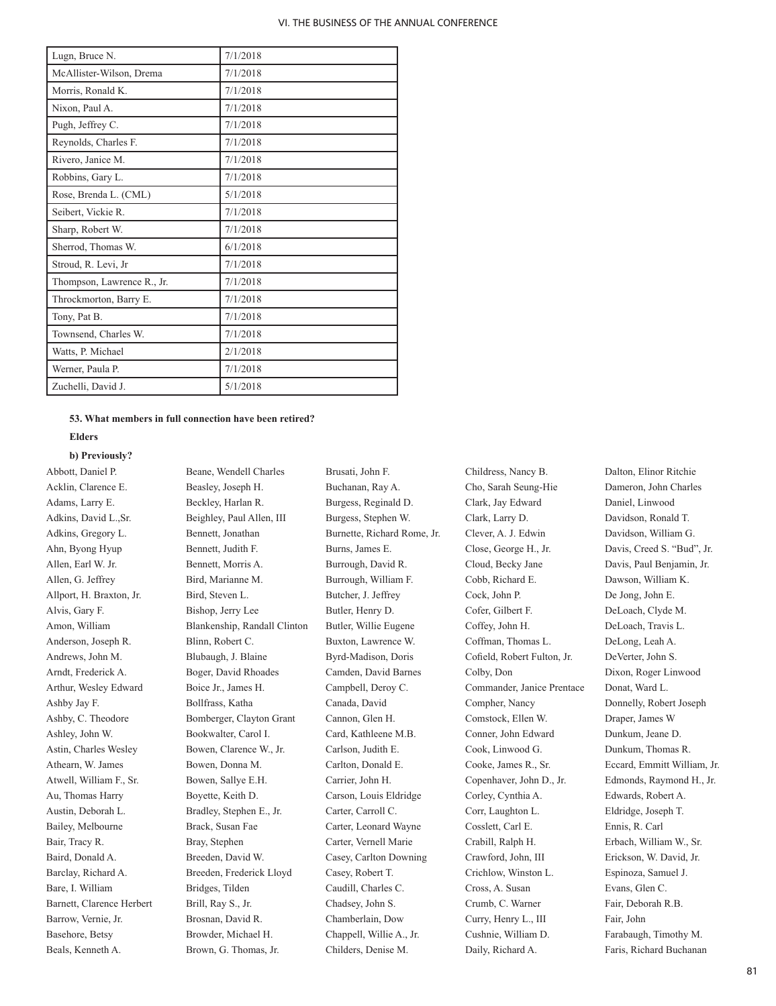| Lugn, Bruce N.             | 7/1/2018 |
|----------------------------|----------|
| McAllister-Wilson, Drema   | 7/1/2018 |
| Morris, Ronald K.          | 7/1/2018 |
| Nixon, Paul A.             | 7/1/2018 |
| Pugh, Jeffrey C.           | 7/1/2018 |
| Reynolds, Charles F.       | 7/1/2018 |
| Rivero, Janice M.          | 7/1/2018 |
| Robbins, Gary L.           | 7/1/2018 |
| Rose, Brenda L. (CML)      | 5/1/2018 |
| Seibert, Vickie R.         | 7/1/2018 |
| Sharp, Robert W.           | 7/1/2018 |
| Sherrod, Thomas W.         | 6/1/2018 |
| Stroud, R. Levi, Jr        | 7/1/2018 |
| Thompson, Lawrence R., Jr. | 7/1/2018 |
| Throckmorton, Barry E.     | 7/1/2018 |
| Tony, Pat B.               | 7/1/2018 |
| Townsend, Charles W.       | 7/1/2018 |
| Watts, P. Michael          | 2/1/2018 |
| Werner, Paula P.           | 7/1/2018 |
| Zuchelli, David J.         | 5/1/2018 |

#### **53. What members in full connection have been retired?**

## **Elders**

#### **b) Previously?**

Abbott, Daniel P. Acklin, Clarence E. Adams, Larry E. Adkins, David L.,Sr. Adkins, Gregory L. Ahn, Byong Hyup Allen, Earl W. Jr. Allen, G. Jeffrey Allport, H. Braxton, Jr. Alvis, Gary F. Amon, William Anderson, Joseph R. Andrews, John M. Arndt, Frederick A. Arthur, Wesley Edward Ashby Jay F. Ashby, C. Theodore Ashley, John W. Astin, Charles Wesley Athearn, W. James Atwell, William F., Sr. Au, Thomas Harry Austin, Deborah L. Bailey, Melbourne Bair, Tracy R. Baird, Donald A. Barclay, Richard A. Bare, I. William Barnett, Clarence Herbert Barrow, Vernie, Jr. Basehore, Betsy Beals, Kenneth A.

Beane, Wendell Charles Beasley, Joseph H. Beckley, Harlan R. Beighley, Paul Allen, III Bennett, Jonathan Bennett, Judith F. Bennett, Morris A. Bird, Marianne M. Bird, Steven L. Bishop, Jerry Lee Blankenship, Randall Clinton Blinn, Robert C. Blubaugh, J. Blaine Boger, David Rhoades Boice Jr., James H. Bollfrass, Katha Bomberger, Clayton Grant Bookwalter, Carol I. Bowen, Clarence W., Jr. Bowen, Donna M. Bowen, Sallye E.H. Boyette, Keith D. Bradley, Stephen E., Jr. Brack, Susan Fae Bray, Stephen Breeden, David W. Breeden, Frederick Lloyd Bridges, Tilden Brill, Ray S., Jr. Brosnan, David R. Browder, Michael H. Brown, G. Thomas, Jr.

Brusati, John F. Buchanan, Ray A. Burgess, Reginald D. Burgess, Stephen W. Burnette, Richard Rome, Jr. Burns, James E. Burrough, David R. Burrough, William F. Butcher, J. Jeffrey Butler, Henry D. Butler, Willie Eugene Buxton, Lawrence W. Byrd-Madison, Doris Camden, David Barnes Campbell, Deroy C. Canada, David Cannon, Glen H. Card, Kathleene M.B. Carlson, Judith E. Carlton, Donald E. Carrier, John H. Carson, Louis Eldridge Carter, Carroll C. Carter, Leonard Wayne Carter, Vernell Marie Casey, Carlton Downing Casey, Robert T. Caudill, Charles C. Chadsey, John S. Chamberlain, Dow Chappell, Willie A., Jr. Childers, Denise M.

Childress, Nancy B. Cho, Sarah Seung-Hie Clark, Jay Edward Clark, Larry D. Clever, A. J. Edwin Close, George H., Jr. Cloud, Becky Jane Cobb, Richard E. Cock, John P. Cofer, Gilbert F. Coffey, John H. Coffman, Thomas L. Cofield, Robert Fulton, Jr. Colby, Don Commander, Janice Prentace Compher, Nancy Comstock, Ellen W. Conner, John Edward Cook, Linwood G. Cooke, James R., Sr. Copenhaver, John D., Jr. Corley, Cynthia A. Corr, Laughton L. Cosslett, Carl E. Crabill, Ralph H. Crawford, John, III Crichlow, Winston L. Cross, A. Susan Crumb, C. Warner Curry, Henry L., III Cushnie, William D. Daily, Richard A.

Dalton, Elinor Ritchie Dameron, John Charles Daniel, Linwood Davidson, Ronald T. Davidson, William G. Davis, Creed S. "Bud", Jr. Davis, Paul Benjamin, Jr. Dawson, William K. De Jong, John E. DeLoach, Clyde M. DeLoach, Travis L. DeLong, Leah A. DeVerter, John S. Dixon, Roger Linwood Donat, Ward L. Donnelly, Robert Joseph Draper, James W Dunkum, Jeane D. Dunkum, Thomas R. Eccard, Emmitt William, Jr. Edmonds, Raymond H., Jr. Edwards, Robert A. Eldridge, Joseph T. Ennis, R. Carl Erbach, William W., Sr. Erickson, W. David, Jr. Espinoza, Samuel J. Evans, Glen C. Fair, Deborah R.B. Fair, John Farabaugh, Timothy M. Faris, Richard Buchanan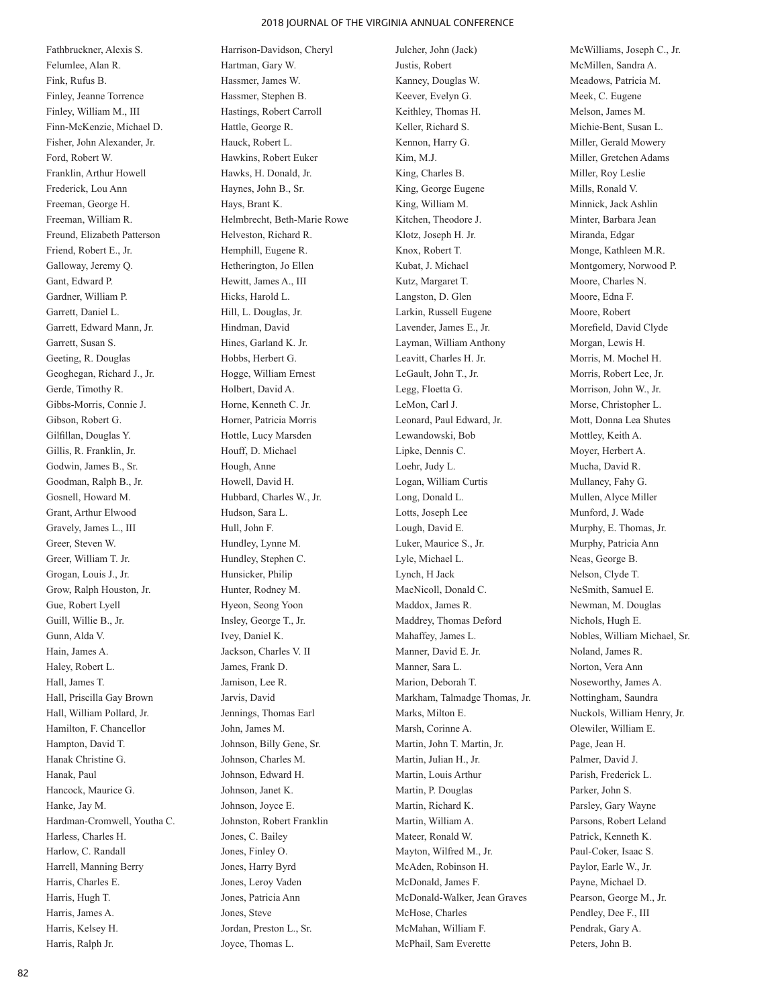Fathbruckner, Alexis S. Felumlee, Alan R. Fink, Rufus B. Finley, Jeanne Torrence Finley, William M., III Finn-McKenzie, Michael D. Fisher, John Alexander, Jr. Ford, Robert W. Franklin, Arthur Howell Frederick, Lou Ann Freeman, George H. Freeman, William R. Freund, Elizabeth Patterson Friend, Robert E., Jr. Galloway, Jeremy Q. Gant, Edward P. Gardner, William P. Garrett, Daniel L. Garrett, Edward Mann, Jr. Garrett, Susan S. Geeting, R. Douglas Geoghegan, Richard J., Jr. Gerde, Timothy R. Gibbs-Morris, Connie J. Gibson, Robert G. Gilfillan, Douglas Y. Gillis, R. Franklin, Jr. Godwin, James B., Sr. Goodman, Ralph B., Jr. Gosnell, Howard M. Grant, Arthur Elwood Gravely, James L., III Greer, Steven W. Greer, William T. Jr. Grogan, Louis J., Jr. Grow, Ralph Houston, Jr. Gue, Robert Lyell Guill, Willie B., Jr. Gunn, Alda V. Hain, James A. Haley, Robert L. Hall, James T. Hall, Priscilla Gay Brown Hall, William Pollard, Jr. Hamilton, F. Chancellor Hampton, David T. Hanak Christine G. Hanak, Paul Hancock, Maurice G. Hanke, Jay M. Hardman-Cromwell, Youtha C. Harless, Charles H. Harlow, C. Randall Harrell, Manning Berry Harris, Charles E. Harris, Hugh T. Harris, James A. Harris, Kelsey H. Harris, Ralph Jr.

Harrison-Davidson, Cheryl Hartman, Gary W. Hassmer, James W. Hassmer, Stephen B. Hastings, Robert Carroll Hattle, George R. Hauck, Robert L. Hawkins, Robert Euker Hawks, H. Donald, Jr. Haynes, John B., Sr. Hays, Brant K. Helmbrecht, Beth-Marie Rowe Helveston, Richard R. Hemphill, Eugene R. Hetherington, Jo Ellen Hewitt, James A., III Hicks, Harold L. Hill, L. Douglas, Jr. Hindman, David Hines, Garland K. Jr. Hobbs, Herbert G. Hogge, William Ernest Holbert, David A. Horne, Kenneth C. Jr. Horner, Patricia Morris Hottle, Lucy Marsden Houff, D. Michael Hough, Anne Howell, David H. Hubbard, Charles W., Jr. Hudson, Sara L. Hull, John F. Hundley, Lynne M. Hundley, Stephen C. Hunsicker, Philip Hunter, Rodney M. Hyeon, Seong Yoon Insley, George T., Jr. Ivey, Daniel K. Jackson, Charles V. II James, Frank D. Jamison, Lee R. Jarvis, David Jennings, Thomas Earl John, James M. Johnson, Billy Gene, Sr. Johnson, Charles M. Johnson, Edward H. Johnson, Janet K. Johnson, Joyce E. Johnston, Robert Franklin Jones, C. Bailey Jones, Finley O. Jones, Harry Byrd Jones, Leroy Vaden Jones, Patricia Ann Jones, Steve Jordan, Preston L., Sr. Joyce, Thomas L.

Julcher, John (Jack) Justis, Robert Kanney, Douglas W. Keever, Evelyn G. Keithley, Thomas H. Keller, Richard S. Kennon, Harry G. Kim, M.J. King, Charles B. King, George Eugene King, William M. Kitchen, Theodore J. Klotz, Joseph H. Jr. Knox, Robert T. Kubat, J. Michael Kutz, Margaret T. Langston, D. Glen Larkin, Russell Eugene Lavender, James E., Jr. Layman, William Anthony Leavitt, Charles H. Jr. LeGault, John T., Jr. Legg, Floetta G. LeMon, Carl J. Leonard, Paul Edward, Jr. Lewandowski, Bob Lipke, Dennis C. Loehr, Judy L. Logan, William Curtis Long, Donald L. Lotts, Joseph Lee Lough, David E. Luker, Maurice S., Jr. Lyle, Michael L. Lynch, H Jack MacNicoll, Donald C. Maddox, James R. Maddrey, Thomas Deford Mahaffey, James L. Manner, David E. Jr. Manner, Sara L. Marion, Deborah T. Markham, Talmadge Thomas, Jr. Marks, Milton E. Marsh, Corinne A. Martin, John T. Martin, Jr. Martin, Julian H., Jr. Martin, Louis Arthur Martin, P. Douglas Martin, Richard K. Martin, William A. Mateer, Ronald W. Mayton, Wilfred M., Jr. McAden, Robinson H. McDonald, James F. McDonald-Walker, Jean Graves McHose, Charles McMahan, William F. McPhail, Sam Everette

McWilliams, Joseph C., Jr. McMillen, Sandra A. Meadows, Patricia M. Meek, C. Eugene Melson, James M. Michie-Bent, Susan L. Miller, Gerald Mowery Miller, Gretchen Adams Miller, Roy Leslie Mills, Ronald V. Minnick, Jack Ashlin Minter, Barbara Jean Miranda, Edgar Monge, Kathleen M.R. Montgomery, Norwood P. Moore, Charles N. Moore, Edna F. Moore, Robert Morefield, David Clyde Morgan, Lewis H. Morris, M. Mochel H. Morris, Robert Lee, Jr. Morrison, John W., Jr. Morse, Christopher L. Mott, Donna Lea Shutes Mottley, Keith A. Moyer, Herbert A. Mucha, David R. Mullaney, Fahy G. Mullen, Alyce Miller Munford, J. Wade Murphy, E. Thomas, Jr. Murphy, Patricia Ann Neas, George B. Nelson, Clyde T. NeSmith, Samuel E. Newman, M. Douglas Nichols, Hugh E. Nobles, William Michael, Sr. Noland, James R. Norton, Vera Ann Noseworthy, James A. Nottingham, Saundra Nuckols, William Henry, Jr. Olewiler, William E. Page, Jean H. Palmer, David J. Parish, Frederick L. Parker, John S. Parsley, Gary Wayne Parsons, Robert Leland Patrick, Kenneth K. Paul-Coker, Isaac S. Paylor, Earle W., Jr. Payne, Michael D. Pearson, George M., Jr. Pendley, Dee F., III Pendrak, Gary A. Peters, John B.

82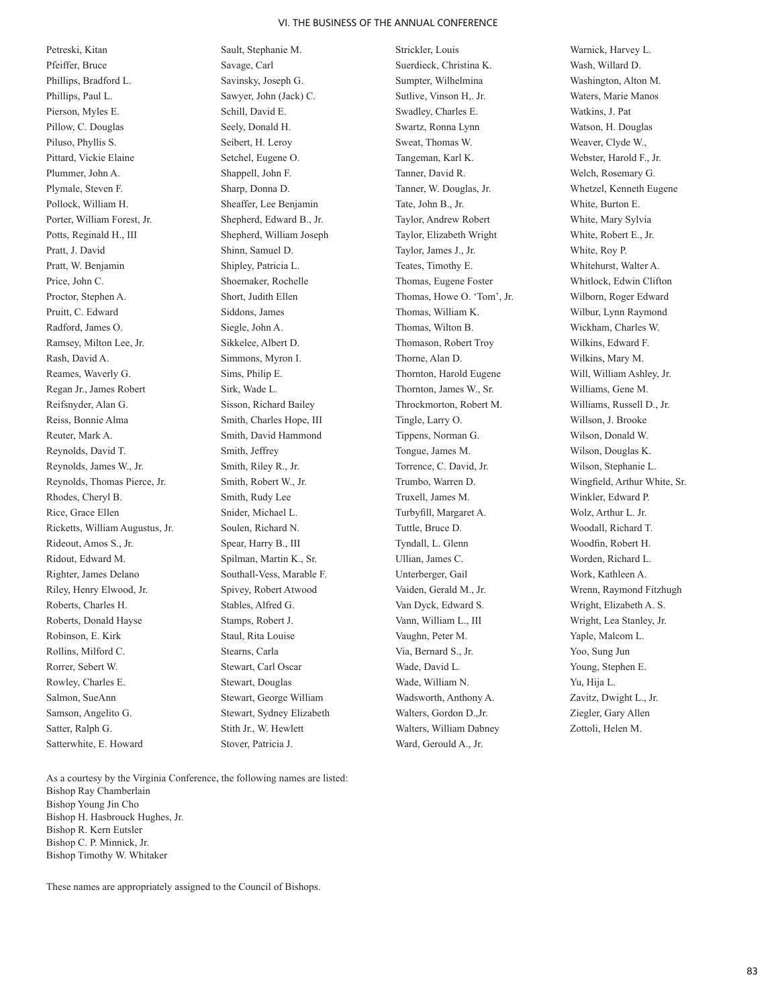Petreski, Kitan Pfeiffer, Bruce Phillips, Bradford L. Phillips, Paul L. Pierson, Myles E. Pillow, C. Douglas Piluso, Phyllis S. Pittard, Vickie Elaine Plummer, John A. Plymale, Steven F. Pollock, William H. Porter, William Forest, Jr. Potts, Reginald H., III Pratt, J. David Pratt, W. Benjamin Price, John C. Proctor, Stephen A. Pruitt, C. Edward Radford, James O. Ramsey, Milton Lee, Jr. Rash, David A. Reames, Waverly G. Regan Jr., James Robert Reifsnyder, Alan G. Reiss, Bonnie Alma Reuter, Mark A. Reynolds, David T. Reynolds, James W., Jr. Reynolds, Thomas Pierce, Jr. Rhodes, Cheryl B. Rice, Grace Ellen Ricketts, William Augustus, Jr. Rideout, Amos S., Jr. Ridout, Edward M. Righter, James Delano Riley, Henry Elwood, Jr. Roberts, Charles H. Roberts, Donald Hayse Robinson, E. Kirk Rollins, Milford C. Rorrer, Sebert W. Rowley, Charles E. Salmon, SueAnn Samson, Angelito G. Satter, Ralph G. Satterwhite, E. Howard

Sault, Stephanie M. Savage, Carl Savinsky, Joseph G. Sawyer, John (Jack) C. Schill, David E. Seely, Donald H. Seibert, H. Leroy Setchel, Eugene O. Shappell, John F. Sharp, Donna D. Sheaffer, Lee Benjamin Shepherd, Edward B., Jr. Shepherd, William Joseph Shinn, Samuel D. Shipley, Patricia L. Shoemaker, Rochelle Short, Judith Ellen Siddons, James Siegle, John A. Sikkelee, Albert D. Simmons, Myron I. Sims, Philip E. Sirk, Wade L. Sisson, Richard Bailey Smith, Charles Hope, III Smith, David Hammond Smith, Jeffrey Smith, Riley R., Jr. Smith, Robert W., Jr. Smith, Rudy Lee Snider, Michael L. Soulen, Richard N. Spear, Harry B., III Spilman, Martin K., Sr. Southall-Vess, Marable F. Spivey, Robert Atwood Stables, Alfred G. Stamps, Robert J. Staul, Rita Louise Stearns, Carla Stewart, Carl Oscar Stewart, Douglas Stewart, George William Stewart, Sydney Elizabeth Stith Jr., W. Hewlett Stover, Patricia J.

Strickler, Louis Suerdieck, Christina K. Sumpter, Wilhelmina Sutlive, Vinson H,. Jr. Swadley, Charles E. Swartz, Ronna Lynn Sweat, Thomas W. Tangeman, Karl K. Tanner, David R. Tanner, W. Douglas, Jr. Tate, John B., Jr. Taylor, Andrew Robert Taylor, Elizabeth Wright Taylor, James J., Jr. Teates, Timothy E. Thomas, Eugene Foster Thomas, Howe O. 'Tom', Jr. Thomas, William K. Thomas, Wilton B. Thomason, Robert Troy Thorne, Alan D. Thornton, Harold Eugene Thornton, James W., Sr. Throckmorton, Robert M. Tingle, Larry O. Tippens, Norman G. Tongue, James M. Torrence, C. David, Jr. Trumbo, Warren D. Truxell, James M. Turbyfill, Margaret A. Tuttle, Bruce D. Tyndall, L. Glenn Ullian, James C. Unterberger, Gail Vaiden, Gerald M., Jr. Van Dyck, Edward S. Vann, William L., III Vaughn, Peter M. Via, Bernard S., Jr. Wade, David L. Wade, William N. Wadsworth, Anthony A. Walters, Gordon D.,Jr. Walters, William Dabney Ward, Gerould A., Jr.

Warnick, Harvey L. Wash, Willard D. Washington, Alton M. Waters, Marie Manos Watkins, J. Pat Watson, H. Douglas Weaver, Clyde W., Webster, Harold F., Jr. Welch, Rosemary G. Whetzel, Kenneth Eugene White, Burton E. White, Mary Sylvia White, Robert E., Jr. White, Roy P. Whitehurst, Walter A. Whitlock, Edwin Clifton Wilborn, Roger Edward Wilbur, Lynn Raymond Wickham, Charles W. Wilkins, Edward F. Wilkins, Mary M. Will, William Ashley, Jr. Williams, Gene M. Williams, Russell D., Jr. Willson, J. Brooke Wilson, Donald W. Wilson, Douglas K. Wilson, Stephanie L. Wingfield, Arthur White, Sr. Winkler, Edward P. Wolz, Arthur L. Jr. Woodall, Richard T. Woodfin, Robert H. Worden, Richard L. Work, Kathleen A. Wrenn, Raymond Fitzhugh Wright, Elizabeth A. S. Wright, Lea Stanley, Jr. Yaple, Malcom L. Yoo, Sung Jun Young, Stephen E. Yu, Hija L. Zavitz, Dwight L., Jr. Ziegler, Gary Allen Zottoli, Helen M.

As a courtesy by the Virginia Conference, the following names are listed: Bishop Ray Chamberlain Bishop Young Jin Cho Bishop H. Hasbrouck Hughes, Jr. Bishop R. Kern Eutsler Bishop C. P. Minnick, Jr. Bishop Timothy W. Whitaker

These names are appropriately assigned to the Council of Bishops.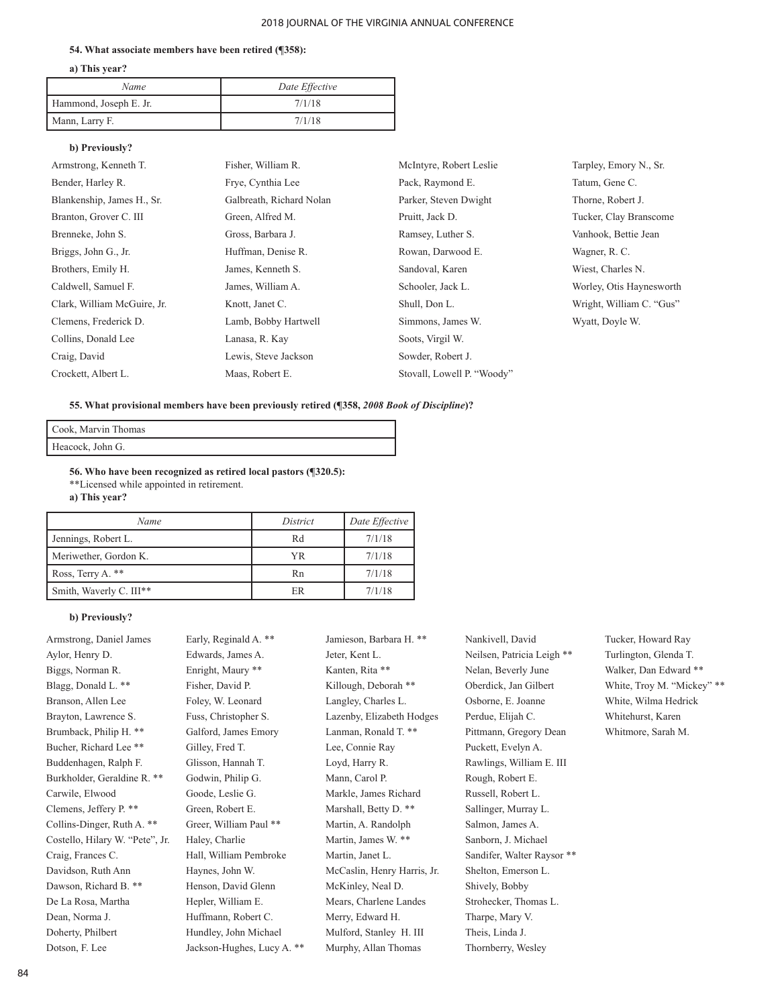#### **54. What associate members have been retired (¶358):**

**a) This year?** 

| Name                   | Date Effective |
|------------------------|----------------|
| Hammond, Joseph E. Jr. | 7/1/18         |
| Mann, Larry F.         | 7/1/18         |

#### **b) Previously?**

| Armstrong, Kenneth T.       | Fisher, William R.       | McIntyre, Robert Leslie    | Tarpley, Emory N., Sr.   |
|-----------------------------|--------------------------|----------------------------|--------------------------|
| Bender, Harley R.           | Frye, Cynthia Lee        | Pack, Raymond E.           | Tatum, Gene C.           |
| Blankenship, James H., Sr.  | Galbreath, Richard Nolan | Parker, Steven Dwight      | Thorne, Robert J.        |
| Branton, Grover C. III      | Green, Alfred M.         | Pruitt, Jack D.            | Tucker, Clay Branscome   |
| Brenneke, John S.           | Gross, Barbara J.        | Ramsey, Luther S.          | Vanhook, Bettie Jean     |
| Briggs, John G., Jr.        | Huffman, Denise R.       | Rowan, Darwood E.          | Wagner, R. C.            |
| Brothers, Emily H.          | James, Kenneth S.        | Sandoval, Karen            | Wiest, Charles N.        |
| Caldwell, Samuel F.         | James, William A.        | Schooler, Jack L.          | Worley, Otis Haynesworth |
| Clark, William McGuire, Jr. | Knott, Janet C.          | Shull, Don L.              | Wright, William C. "Gus" |
| Clemens, Frederick D.       | Lamb, Bobby Hartwell     | Simmons, James W.          | Wyatt, Doyle W.          |
| Collins, Donald Lee         | Lanasa, R. Kay           | Soots, Virgil W.           |                          |
| Craig, David                | Lewis, Steve Jackson     | Sowder, Robert J.          |                          |
| Crockett, Albert L.         | Maas, Robert E.          | Stovall, Lowell P. "Woody" |                          |

#### **55. What provisional members have been previously retired (¶358,** *2008 Book of Discipline***)?**

| Cook, Marvin Thomas |  |
|---------------------|--|
| Heacock, John G.    |  |

**56. Who have been recognized as retired local pastors (¶320.5):**

\*\*Licensed while appointed in retirement.

**a) This year?**

| Name                                | District | Date Effective |
|-------------------------------------|----------|----------------|
| Jennings, Robert L.                 | Rd       | 7/1/18         |
| Meriwether, Gordon K.               | YR       | 7/1/18         |
| Ross, Terry A. **                   | Rn       | 7/1/18         |
| Smith, Waverly C. III <sup>**</sup> | ER       | 7/1/18         |

#### **b) Previously?**

Armstrong, Daniel James Aylor, Henry D. Biggs, Norman R. Blagg, Donald L. \*\* Branson, Allen Lee Brayton, Lawrence S. Brumback, Philip H. \*\* Bucher, Richard Lee \*\* Buddenhagen, Ralph F. Burkholder, Geraldine R. \*\* Carwile, Elwood Clemens, Jeffery P. \*\* Collins-Dinger, Ruth A. \*\* Costello, Hilary W. "Pete", Jr. Craig, Frances C. Davidson, Ruth Ann Dawson, Richard B. \*\* De La Rosa, Martha Dean, Norma J. Doherty, Philbert Dotson, F. Lee

Early, Reginald A. \*\* Edwards, James A. Enright, Maury \*\* Fisher, David P. Foley, W. Leonard Fuss, Christopher S. Galford, James Emory Gilley, Fred T. Glisson, Hannah T. Godwin, Philip G. Goode, Leslie G. Green, Robert E. Greer, William Paul \*\* Haley, Charlie Hall, William Pembroke Haynes, John W. Henson, David Glenn Hepler, William E. Huffmann, Robert C. Hundley, John Michael Jackson-Hughes, Lucy A. \*\* Jamieson, Barbara H. \*\* Jeter, Kent L. Kanten, Rita \*\* Killough, Deborah \*\* Langley, Charles L. Lazenby, Elizabeth Hodges Lanman, Ronald T. \*\* Lee, Connie Ray Loyd, Harry R. Mann, Carol P. Markle, James Richard Marshall, Betty D. \*\* Martin, A. Randolph Martin, James W. \*\* Martin, Janet L. McCaslin, Henry Harris, Jr. McKinley, Neal D. Mears, Charlene Landes Merry, Edward H. Mulford, Stanley H. III Murphy, Allan Thomas

Nankivell, David Neilsen, Patricia Leigh \*\* Nelan, Beverly June Oberdick, Jan Gilbert Osborne, E. Joanne Perdue, Elijah C. Pittmann, Gregory Dean Puckett, Evelyn A. Rawlings, William E. III Rough, Robert E. Russell, Robert L. Sallinger, Murray L. Salmon, James A. Sanborn, J. Michael Sandifer, Walter Raysor \*\* Shelton, Emerson L. Shively, Bobby Strohecker, Thomas L. Tharpe, Mary V. Theis, Linda J. Thornberry, Wesley

Tucker, Howard Ray Turlington, Glenda T. Walker, Dan Edward \*\* White, Troy M. "Mickey" \*\* White, Wilma Hedrick Whitehurst, Karen Whitmore, Sarah M.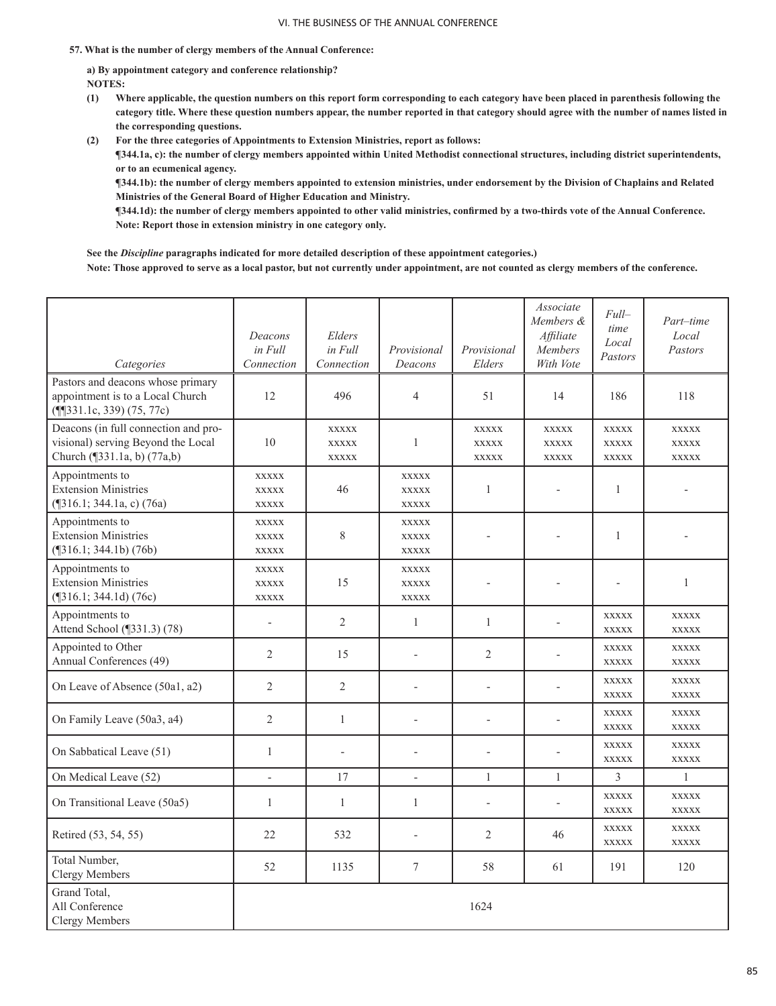#### **57. What is the number of clergy members of the Annual Conference:**

**a) By appointment category and conference relationship?** 

**NOTES:** 

- **(1) Where applicable, the question numbers on this report form corresponding to each category have been placed in parenthesis following the category title. Where these question numbers appear, the number reported in that category should agree with the number of names listed in the corresponding questions.**
- **(2) For the three categories of Appointments to Extension Ministries, report as follows:**

**¶344.1a, c): the number of clergy members appointed within United Methodist connectional structures, including district superintendents, or to an ecumenical agency.** 

**¶344.1b): the number of clergy members appointed to extension ministries, under endorsement by the Division of Chaplains and Related Ministries of the General Board of Higher Education and Ministry.** 

**¶344.1d): the number of clergy members appointed to other valid ministries, confirmed by a two-thirds vote of the Annual Conference. Note: Report those in extension ministry in one category only.** 

**See the** *Discipline* **paragraphs indicated for more detailed description of these appointment categories.) Note: Those approved to serve as a local pastor, but not currently under appointment, are not counted as clergy members of the conference.** 

|                                                                                                           | Deacons<br>in Full<br>Connection             | Elders<br>in Full<br>Connection              | Provisional<br>Deacons                       | Provisional<br>Elders                        | Associate<br>Members &<br>Affiliate<br><b>Members</b><br>With Vote | $Full-$<br>time<br>Local<br>Pastors          | Part-time<br>Local<br>Pastors                |
|-----------------------------------------------------------------------------------------------------------|----------------------------------------------|----------------------------------------------|----------------------------------------------|----------------------------------------------|--------------------------------------------------------------------|----------------------------------------------|----------------------------------------------|
| Categories<br>Pastors and deacons whose primary<br>appointment is to a Local Church                       | 12                                           | 496                                          | $\overline{4}$                               | 51                                           | 14                                                                 | 186                                          | 118                                          |
| $(\P{531.1c, 339})$ (75, 77c)                                                                             |                                              |                                              |                                              |                                              |                                                                    |                                              |                                              |
| Deacons (in full connection and pro-<br>visional) serving Beyond the Local<br>Church (¶331.1a, b) (77a,b) | 10                                           | <b>XXXXX</b><br><b>XXXXX</b><br><b>XXXXX</b> | 1                                            | <b>XXXXX</b><br><b>XXXXX</b><br><b>XXXXX</b> | <b>XXXXX</b><br><b>XXXXX</b><br><b>XXXXX</b>                       | <b>XXXXX</b><br><b>XXXXX</b><br><b>XXXXX</b> | <b>XXXXX</b><br><b>XXXXX</b><br><b>XXXXX</b> |
| Appointments to<br><b>Extension Ministries</b><br>(¶316.1; 344.1a, c) (76a)                               | <b>XXXXX</b><br><b>XXXXX</b><br>XXXXX        | 46                                           | <b>XXXXX</b><br><b>XXXXX</b><br>XXXXX        | $\mathbf{1}$                                 |                                                                    | $\mathbf{1}$                                 |                                              |
| Appointments to<br><b>Extension Ministries</b><br>$(\sqrt{316.1}; 344.1b) (76b)$                          | <b>XXXXX</b><br><b>XXXXX</b><br>XXXXX        | 8                                            | <b>XXXXX</b><br><b>XXXXX</b><br>XXXXX        |                                              |                                                                    | $\mathbf{1}$                                 |                                              |
| Appointments to<br><b>Extension Ministries</b><br>$(\text{\textdegree}[316.1; 344.1d) (76c))$             | <b>XXXXX</b><br><b>XXXXX</b><br><b>XXXXX</b> | 15                                           | <b>XXXXX</b><br><b>XXXXX</b><br><b>XXXXX</b> |                                              |                                                                    | ÷                                            | $\mathbf{1}$                                 |
| Appointments to<br>Attend School (¶331.3) (78)                                                            | $\overline{a}$                               | $\sqrt{2}$                                   | $\mathbf{1}$                                 | $\mathbf{1}$                                 |                                                                    | <b>XXXXX</b><br><b>XXXXX</b>                 | <b>XXXXX</b><br><b>XXXXX</b>                 |
| Appointed to Other<br>Annual Conferences (49)                                                             | $\overline{c}$                               | 15                                           | $\overline{\phantom{a}}$                     | $\overline{2}$                               |                                                                    | XXXXX<br><b>XXXXX</b>                        | XXXXX<br><b>XXXXX</b>                        |
| On Leave of Absence (50a1, a2)                                                                            | $\overline{2}$                               | $\overline{2}$                               | $\overline{a}$                               | ÷,                                           |                                                                    | XXXXX<br><b>XXXXX</b>                        | <b>XXXXX</b><br><b>XXXXX</b>                 |
| On Family Leave (50a3, a4)                                                                                | $\overline{c}$                               | $\mathbf{1}$                                 | L,                                           | $\overline{a}$                               |                                                                    | <b>XXXXX</b><br>XXXXX                        | <b>XXXXX</b><br><b>XXXXX</b>                 |
| On Sabbatical Leave (51)                                                                                  | $\mathbf{1}$                                 | $\overline{\phantom{a}}$                     | $\overline{\phantom{a}}$                     | $\overline{a}$                               | $\overline{a}$                                                     | <b>XXXXX</b><br><b>XXXXX</b>                 | <b>XXXXX</b><br><b>XXXXX</b>                 |
| On Medical Leave (52)                                                                                     | $\blacksquare$                               | 17                                           | $\overline{\phantom{a}}$                     | $\mathbf{1}$                                 | $\mathbf{1}$                                                       | 3                                            | $\mathbf{1}$                                 |
| On Transitional Leave (50a5)                                                                              | $\mathbf{1}$                                 | $\mathbf{1}$                                 | $\mathbf{1}$                                 | ÷,                                           |                                                                    | <b>XXXXX</b><br><b>XXXXX</b>                 | <b>XXXXX</b><br><b>XXXXX</b>                 |
| Retired (53, 54, 55)                                                                                      | 22                                           | 532                                          | $\overline{\phantom{a}}$                     | $\overline{2}$                               | 46                                                                 | XXXXX<br><b>XXXXX</b>                        | <b>XXXXX</b><br><b>XXXXX</b>                 |
| Total Number,<br><b>Clergy Members</b>                                                                    | 52                                           | 1135                                         | 7                                            | 58                                           | 61                                                                 | 191                                          | 120                                          |
| Grand Total,<br>All Conference<br><b>Clergy Members</b>                                                   |                                              |                                              |                                              | 1624                                         |                                                                    |                                              |                                              |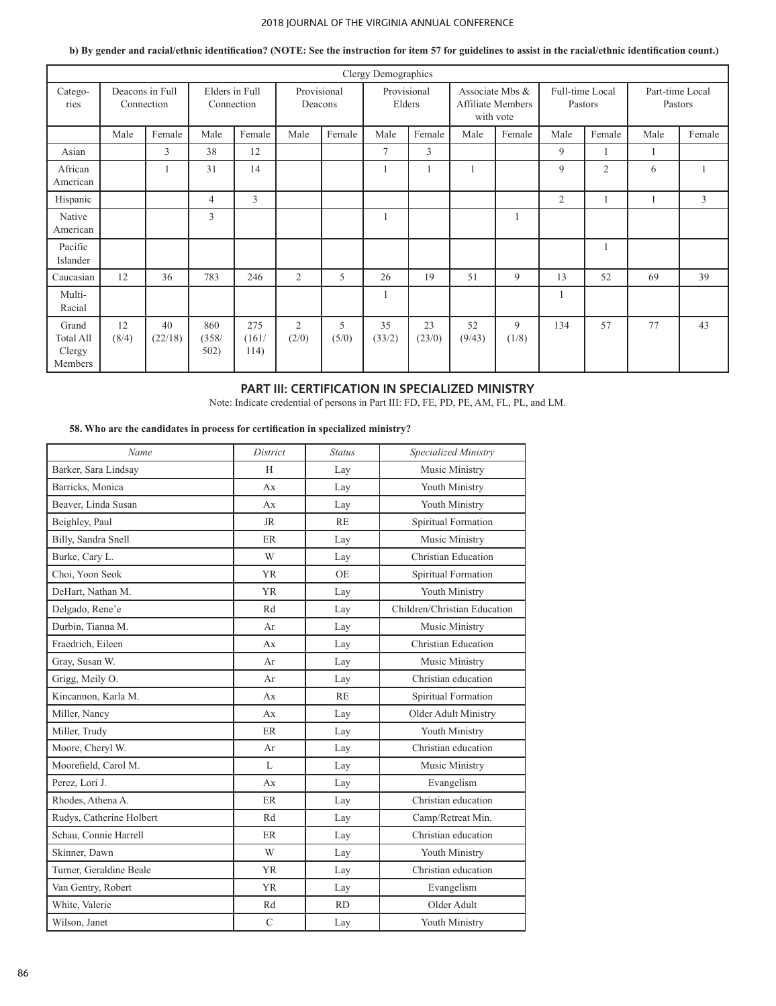## **b) By gender and racial/ethnic identification? (NOTE: See the instruction for item 57 for guidelines to assist in the racial/ethnic identification count.)**

|                                                | Clergy Demographics |               |                              |                      |                        |            |                       |              |                                                          |            |                |                 |                            |                |
|------------------------------------------------|---------------------|---------------|------------------------------|----------------------|------------------------|------------|-----------------------|--------------|----------------------------------------------------------|------------|----------------|-----------------|----------------------------|----------------|
| Catego-<br>ries                                | Deacons in Full     | Connection    | Elders in Full<br>Connection |                      | Provisional<br>Deacons |            | Provisional<br>Elders |              | Associate Mbs &<br><b>Affiliate Members</b><br>with vote |            | Pastors        | Full-time Local | Part-time Local<br>Pastors |                |
|                                                | Male                | Female        | Male                         | Female               | Male                   | Female     | Male                  | Female       | Male                                                     | Female     | Male           | Female          | Male                       | Female         |
| Asian                                          |                     | 3             | 38                           | 12                   |                        |            | $\overline{7}$        | 3            |                                                          |            | 9              |                 |                            |                |
| African<br>American                            |                     |               | 31                           | 14                   |                        |            |                       |              |                                                          |            | 9              | 2               | 6                          |                |
| Hispanic                                       |                     |               | 4                            | 3                    |                        |            |                       |              |                                                          |            | $\overline{2}$ | 1               |                            | $\overline{3}$ |
| Native<br>American                             |                     |               | 3                            |                      |                        |            |                       |              |                                                          |            |                |                 |                            |                |
| Pacific<br>Islander                            |                     |               |                              |                      |                        |            |                       |              |                                                          |            |                |                 |                            |                |
| Caucasian                                      | 12                  | 36            | 783                          | 246                  | 2                      | 5          | 26                    | 19           | 51                                                       | 9          | 13             | 52              | 69                         | 39             |
| Multi-<br>Racial                               |                     |               |                              |                      |                        |            |                       |              |                                                          |            | 1              |                 |                            |                |
| Grand<br><b>Total All</b><br>Clergy<br>Members | 12<br>(8/4)         | 40<br>(22/18) | 860<br>(358/<br>502)         | 275<br>(161/<br>114) | 2<br>(2/0)             | 5<br>(5/0) | 35<br>(33/2)          | 23<br>(23/0) | 52<br>(9/43)                                             | 9<br>(1/8) | 134            | 57              | 77                         | 43             |

# **PART III: CERTIFICATION IN SPECIALIZED MINISTRY**

Note: Indicate credential of persons in Part III: FD, FE, PD, PE, AM, FL, PL, and LM.

## **58. Who are the candidates in process for certification in specialized ministry?**

| Name                     | District      | <b>Status</b> | Specialized Ministry         |
|--------------------------|---------------|---------------|------------------------------|
| Barker, Sara Lindsay     | H             | Lay           | Music Ministry               |
| Barricks, Monica         | Ax            | Lay           | Youth Ministry               |
| Beaver, Linda Susan      | Ax            | Lay           | Youth Ministry               |
| Beighley, Paul           | <b>JR</b>     | RE            | Spiritual Formation          |
| Billy, Sandra Snell      | <b>ER</b>     | Lay           | Music Ministry               |
| Burke, Cary L.           | W             | Lay           | Christian Education          |
| Choi, Yoon Seok          | <b>YR</b>     | <b>OE</b>     | Spiritual Formation          |
| DeHart, Nathan M.        | <b>YR</b>     | Lay           | Youth Ministry               |
| Delgado, Rene'e          | Rd            | Lay           | Children/Christian Education |
| Durbin, Tianna M.        | Ar            | Lay           | Music Ministry               |
| Fraedrich, Eileen        | Ax            | Lay           | Christian Education          |
| Gray, Susan W.           | Ar            | Lay           | Music Ministry               |
| Grigg, Meily O.          | Ar            | Lay           | Christian education          |
| Kincannon, Karla M.      | Ax            | RE            | Spiritual Formation          |
| Miller, Nancy            | Ax            | Lay           | Older Adult Ministry         |
| Miller, Trudy            | ER            | Lay           | Youth Ministry               |
| Moore, Cheryl W.         | Ar            | Lay           | Christian education          |
| Moorefield, Carol M.     | $\mathbf{L}$  | Lay           | Music Ministry               |
| Perez, Lori J.           | Ax            | Lay           | Evangelism                   |
| Rhodes, Athena A.        | <b>ER</b>     | Lay           | Christian education          |
| Rudys, Catherine Holbert | Rd            | Lay           | Camp/Retreat Min.            |
| Schau, Connie Harrell    | <b>ER</b>     | Lay           | Christian education          |
| Skinner, Dawn            | W             | Lay           | Youth Ministry               |
| Turner, Geraldine Beale  | <b>YR</b>     | Lay           | Christian education          |
| Van Gentry, Robert       | <b>YR</b>     | Lay           | Evangelism                   |
| White, Valerie           | Rd            | <b>RD</b>     | Older Adult                  |
| Wilson, Janet            | $\mathcal{C}$ | Lay           | Youth Ministry               |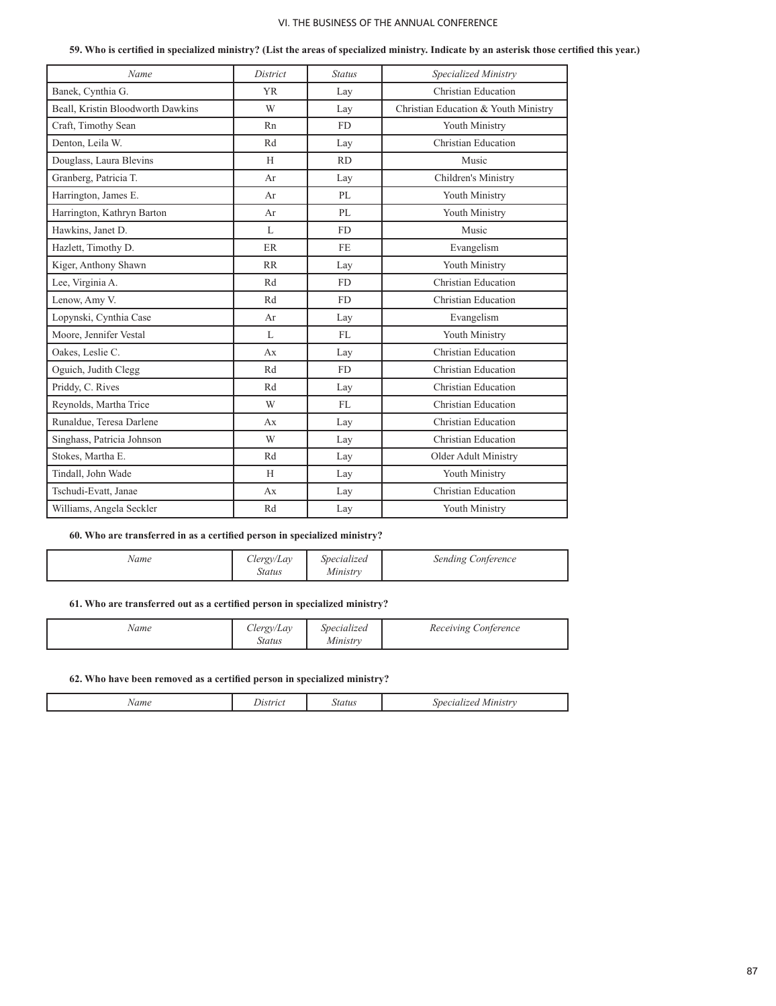## **59. Who is certified in specialized ministry? (List the areas of specialized ministry. Indicate by an asterisk those certified this year.)**

| Name                              | District     | <b>Status</b> | Specialized Ministry                 |
|-----------------------------------|--------------|---------------|--------------------------------------|
| Banek, Cynthia G.                 | <b>YR</b>    | Lay           | Christian Education                  |
| Beall, Kristin Bloodworth Dawkins | W            | Lay           | Christian Education & Youth Ministry |
| Craft, Timothy Sean               | Rn           | <b>FD</b>     | Youth Ministry                       |
| Denton, Leila W.                  | Rd           | Lay           | Christian Education                  |
| Douglass, Laura Blevins           | H            | <b>RD</b>     | Music                                |
| Granberg, Patricia T.             | Ar           | Lay           | Children's Ministry                  |
| Harrington, James E.              | Ar           | PL            | Youth Ministry                       |
| Harrington, Kathryn Barton        | Ar           | PL            | Youth Ministry                       |
| Hawkins, Janet D.                 | $\mathbf{L}$ | FD.           | Music                                |
| Hazlett, Timothy D.               | ER           | FE.           | Evangelism                           |
| Kiger, Anthony Shawn              | RR           | Lay           | Youth Ministry                       |
| Lee, Virginia A.                  | Rd           | FD            | <b>Christian Education</b>           |
| Lenow, Amy V.                     | Rd           | FD            | <b>Christian Education</b>           |
| Lopynski, Cynthia Case            | Ar           | Lay           | Evangelism                           |
| Moore, Jennifer Vestal            | L            | FL            | Youth Ministry                       |
| Oakes, Leslie C.                  | Ax           | Lay           | Christian Education                  |
| Oguich, Judith Clegg              | Rd           | FD.           | <b>Christian Education</b>           |
| Priddy, C. Rives                  | Rd           | Lay           | <b>Christian Education</b>           |
| Reynolds, Martha Trice            | W            | FL            | <b>Christian Education</b>           |
| Runaldue, Teresa Darlene          | Ax           | Lay           | Christian Education                  |
| Singhass, Patricia Johnson        | W            | Lay           | <b>Christian Education</b>           |
| Stokes, Martha E.                 | Rd           | Lay           | Older Adult Ministry                 |
| Tindall, John Wade                | H            | Lay           | Youth Ministry                       |
| Tschudi-Evatt, Janae              | Ax           | Lay           | <b>Christian Education</b>           |
| Williams, Angela Seckler          | Rd           | Lay           | Youth Ministry                       |

## **60. Who are transferred in as a certified person in specialized ministry?**

| Name | Clergy/Lay<br>Specialized<br><b>Status</b><br>Ministry | Sending Conference |
|------|--------------------------------------------------------|--------------------|
|------|--------------------------------------------------------|--------------------|

## **61. Who are transferred out as a certified person in specialized ministry?**

| Name | $cl$ ergy/Lay | Specialized | Receiving Conference |
|------|---------------|-------------|----------------------|
|      | Status        | Ministry    |                      |

## **62. Who have been removed as a certified person in specialized ministry?**

| . |
|---|
|---|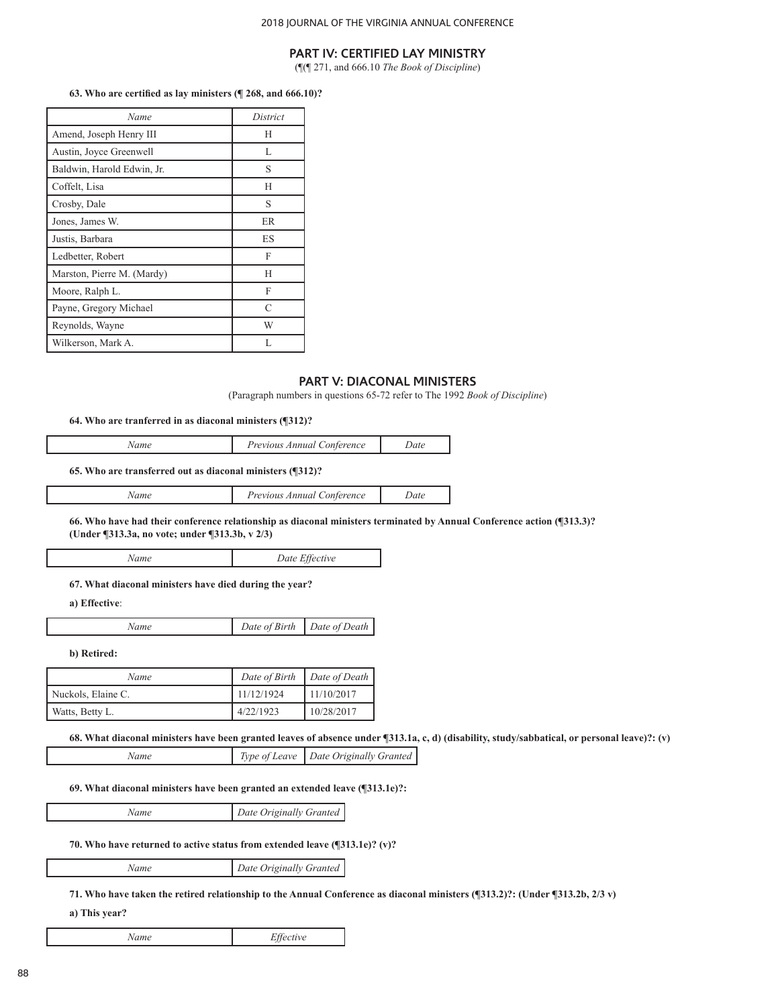## **PART IV: CERTIFIED LAY MINISTRY**

(¶(¶ 271, and 666.10 *The Book of Discipline*)

**63. Who are certified as lay ministers (¶ 268, and 666.10)?** 

| Name                       | District |
|----------------------------|----------|
| Amend, Joseph Henry III    | H        |
| Austin, Joyce Greenwell    | L        |
| Baldwin, Harold Edwin, Jr. | S        |
| Coffelt, Lisa              | H        |
| Crosby, Dale               | S        |
| Jones, James W.            | ER       |
| Justis, Barbara            | ES       |
| Ledbetter, Robert          | F        |
| Marston, Pierre M. (Mardy) | H        |
| Moore, Ralph L.            | F        |
| Payne, Gregory Michael     | C        |
| Reynolds, Wayne            | W        |
| Wilkerson, Mark A.         |          |

## **PART V: DIACONAL MINISTERS**

(Paragraph numbers in questions 65-72 refer to The 1992 *Book of Discipline*)

## **64. Who are tranferred in as diaconal ministers (¶312)?**

| Name                                                      | Previous Annual Conference | Date |
|-----------------------------------------------------------|----------------------------|------|
| 65. Who are transferred out as diaconal ministers (¶312)? |                            |      |
| Name                                                      | Previous Annual Conference | Date |

**66. Who have had their conference relationship as diaconal ministers terminated by Annual Conference action (¶313.3)?** 

**(Under ¶313.3a, no vote; under ¶313.3b, v 2/3)**

| Name | Date Effective |
|------|----------------|
|------|----------------|

#### **67. What diaconal ministers have died during the year?**

**a) Effective**:

Ī

|  | Date of Birth $\mid$ Date of Death $\mid$ |
|--|-------------------------------------------|
|  |                                           |

**b) Retired:**

| Name               |            | Date of Birth   Date of Death |
|--------------------|------------|-------------------------------|
| Nuckols, Elaine C. | 11/12/1924 | 11/10/2017                    |
| Watts, Betty L.    | 4/22/1923  | 10/28/2017                    |

**68. What diaconal ministers have been granted leaves of absence under ¶313.1a, c, d) (disability, study/sabbatical, or personal leave)?: (v)**

**69. What diaconal ministers have been granted an extended leave (¶313.1e)?:**

*Name Date Originally Granted*

#### **70. Who have returned to active status from extended leave (¶313.1e)? (v)?**

*Name Date Originally Granted*

**71. Who have taken the retired relationship to the Annual Conference as diaconal ministers (¶313.2)?: (Under ¶313.2b, 2/3 v)**

**a) This year?**

*Name Effective*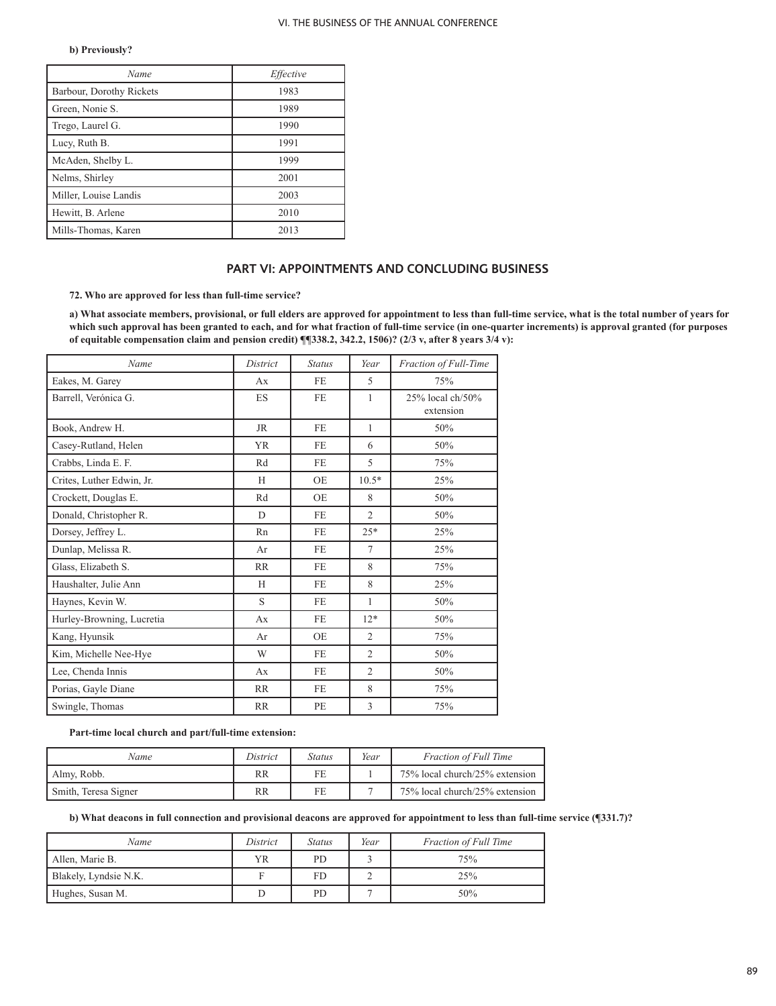## **b) Previously?**

| Name                     | Effective |
|--------------------------|-----------|
| Barbour, Dorothy Rickets | 1983      |
| Green, Nonie S.          | 1989      |
| Trego, Laurel G.         | 1990      |
| Lucy, Ruth B.            | 1991      |
| McAden, Shelby L.        | 1999      |
| Nelms, Shirley           | 2001      |
| Miller, Louise Landis    | 2003      |
| Hewitt, B. Arlene        | 2010      |
| Mills-Thomas, Karen      | 2013      |

## **PART VI: APPOINTMENTS AND CONCLUDING BUSINESS**

#### **72. Who are approved for less than full-time service?**

**a) What associate members, provisional, or full elders are approved for appointment to less than full-time service, what is the total number of years for which such approval has been granted to each, and for what fraction of full-time service (in one-quarter increments) is approval granted (for purposes of equitable compensation claim and pension credit) ¶¶338.2, 342.2, 1506)? (2/3 v, after 8 years 3/4 v):**

| Name                      | District  | <b>Status</b> | Year           | Fraction of Full-Time         |
|---------------------------|-----------|---------------|----------------|-------------------------------|
| Eakes, M. Garey           | Ax        | <b>FE</b>     | 5              | 75%                           |
| Barrell, Verónica G.      | ES        | FE            | 1              | 25% local ch/50%<br>extension |
| Book, Andrew H.           | <b>JR</b> | FE            | 1              | 50%                           |
| Casey-Rutland, Helen      | <b>YR</b> | FE            | 6              | 50%                           |
| Crabbs, Linda E. F.       | Rd        | FE.           | 5              | 75%                           |
| Crites, Luther Edwin, Jr. | H         | <b>OE</b>     | $10.5*$        | 25%                           |
| Crockett, Douglas E.      | Rd        | <b>OE</b>     | 8              | 50%                           |
| Donald, Christopher R.    | D         | FE.           | $\overline{2}$ | 50%                           |
| Dorsey, Jeffrey L.        | Rn        | FE            | $25*$          | 25%                           |
| Dunlap, Melissa R.        | Ar        | FE.           | 7              | 25%                           |
| Glass, Elizabeth S.       | <b>RR</b> | FE            | 8              | 75%                           |
| Haushalter, Julie Ann     | H         | <b>FE</b>     | 8              | 25%                           |
| Haynes, Kevin W.          | S         | FE            | 1              | 50%                           |
| Hurley-Browning, Lucretia | Ax        | FE.           | $12*$          | 50%                           |
| Kang, Hyunsik             | Ar        | <b>OE</b>     | $\overline{2}$ | 75%                           |
| Kim, Michelle Nee-Hye     | W         | FE            | $\overline{2}$ | 50%                           |
| Lee, Chenda Innis         | Ax        | FE            | $\overline{2}$ | 50%                           |
| Porias, Gayle Diane       | RR        | FE            | 8              | 75%                           |
| Swingle, Thomas           | <b>RR</b> | PE            | 3              | 75%                           |

#### **Part-time local church and part/full-time extension:**

| Name                 | District  | <i>Status</i> | Year | <b>Fraction of Full Time</b>   |
|----------------------|-----------|---------------|------|--------------------------------|
| Almy, Robb.          | RR        | FE            |      | 75% local church/25% extension |
| Smith, Teresa Signer | <b>RR</b> | FE            |      | 75% local church/25% extension |

#### **b) What deacons in full connection and provisional deacons are approved for appointment to less than full-time service (¶331.7)?**

| Name                  | District | <b>Status</b>  | Year | <b>Fraction of Full Time</b> |
|-----------------------|----------|----------------|------|------------------------------|
| Allen, Marie B.       | YR       | P <sub>D</sub> |      | 75%                          |
| Blakely, Lyndsie N.K. | Е        | <b>FD</b>      | ∸    | 25%                          |
| Hughes, Susan M.      | D        | <b>PD</b>      |      | 50%                          |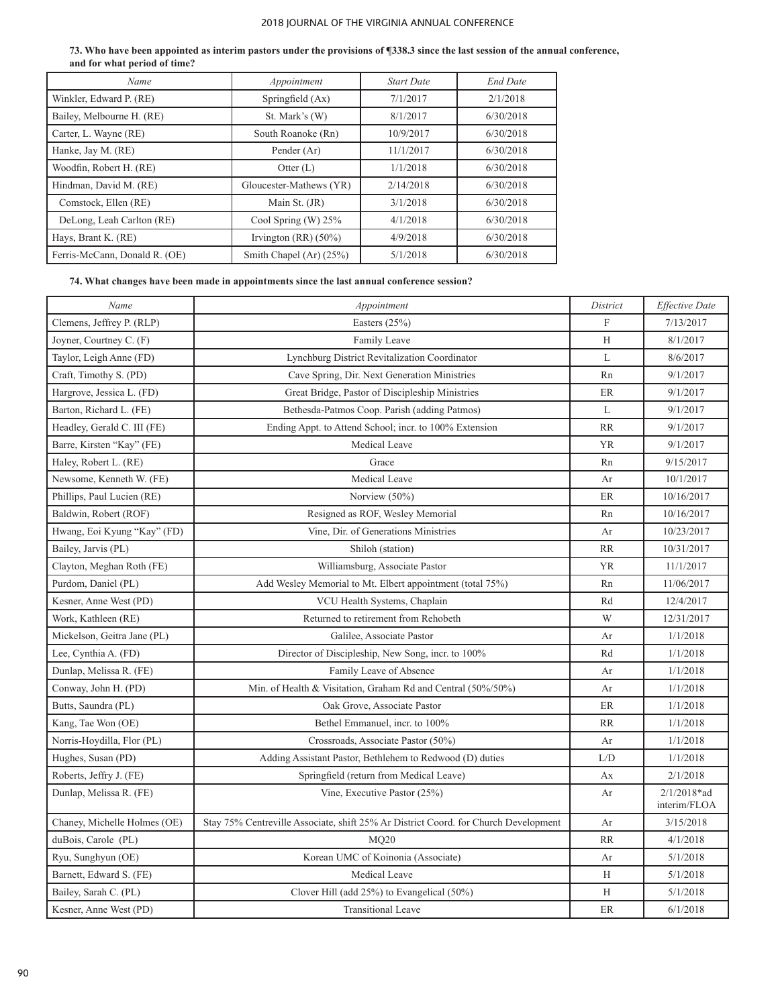| 73. Who have been appointed as interim pastors under the provisions of ¶338.3 since the last session of the annual conference, |  |  |  |
|--------------------------------------------------------------------------------------------------------------------------------|--|--|--|
| and for what period of time?                                                                                                   |  |  |  |

| Name                          | Appointment             | <b>Start Date</b> | <b>End Date</b> |
|-------------------------------|-------------------------|-------------------|-----------------|
| Winkler, Edward P. (RE)       | Springfield (Ax)        | 7/1/2017          | 2/1/2018        |
| Bailey, Melbourne H. (RE)     | St. Mark's (W)          | 8/1/2017          | 6/30/2018       |
| Carter, L. Wayne (RE)         | South Roanoke (Rn)      | 10/9/2017         | 6/30/2018       |
| Hanke, Jay M. (RE)            | Pender (Ar)             | 11/1/2017         | 6/30/2018       |
| Woodfin, Robert H. (RE)       | Otter $(L)$             | 1/1/2018          | 6/30/2018       |
| Hindman, David M. (RE)        | Gloucester-Mathews (YR) | 2/14/2018         | 6/30/2018       |
| Comstock, Ellen (RE)          | Main St. (JR)           | 3/1/2018          | 6/30/2018       |
| DeLong, Leah Carlton (RE)     | Cool Spring $(W)$ 25%   | 4/1/2018          | 6/30/2018       |
| Hays, Brant K. (RE)           | Irvington $(RR)(50\%)$  | 4/9/2018          | 6/30/2018       |
| Ferris-McCann, Donald R. (OE) | Smith Chapel (Ar) (25%) | 5/1/2018          | 6/30/2018       |
|                               |                         |                   |                 |

**74. What changes have been made in appointments since the last annual conference session?** 

| Name                         | Appointment                                                                         | District       | Effective Date                 |
|------------------------------|-------------------------------------------------------------------------------------|----------------|--------------------------------|
| Clemens, Jeffrey P. (RLP)    | Easters $(25%)$                                                                     | $\overline{F}$ | 7/13/2017                      |
| Joyner, Courtney C. (F)      | Family Leave                                                                        | H              | 8/1/2017                       |
| Taylor, Leigh Anne (FD)      | Lynchburg District Revitalization Coordinator                                       | L              | 8/6/2017                       |
| Craft, Timothy S. (PD)       | Cave Spring, Dir. Next Generation Ministries                                        | Rn             | 9/1/2017                       |
| Hargrove, Jessica L. (FD)    | Great Bridge, Pastor of Discipleship Ministries                                     | ER             | 9/1/2017                       |
| Barton, Richard L. (FE)      | Bethesda-Patmos Coop. Parish (adding Patmos)                                        | L              | 9/1/2017                       |
| Headley, Gerald C. III (FE)  | Ending Appt. to Attend School; incr. to 100% Extension                              | <b>RR</b>      | 9/1/2017                       |
| Barre, Kirsten "Kay" (FE)    | Medical Leave                                                                       | <b>YR</b>      | 9/1/2017                       |
| Haley, Robert L. (RE)        | Grace                                                                               | Rn             | 9/15/2017                      |
| Newsome, Kenneth W. (FE)     | Medical Leave                                                                       | Ar             | 10/1/2017                      |
| Phillips, Paul Lucien (RE)   | Norview $(50\%)$                                                                    | ER             | 10/16/2017                     |
| Baldwin, Robert (ROF)        | Resigned as ROF, Wesley Memorial                                                    | Rn             | 10/16/2017                     |
| Hwang, Eoi Kyung "Kay" (FD)  | Vine, Dir. of Generations Ministries                                                | Ar             | 10/23/2017                     |
| Bailey, Jarvis (PL)          | Shiloh (station)                                                                    | RR             | 10/31/2017                     |
| Clayton, Meghan Roth (FE)    | Williamsburg, Associate Pastor                                                      | <b>YR</b>      | 11/1/2017                      |
| Purdom, Daniel (PL)          | Add Wesley Memorial to Mt. Elbert appointment (total 75%)                           | Rn             | 11/06/2017                     |
| Kesner, Anne West (PD)       | VCU Health Systems, Chaplain                                                        | Rd             | 12/4/2017                      |
| Work, Kathleen (RE)          | Returned to retirement from Rehobeth                                                | W              | 12/31/2017                     |
| Mickelson, Geitra Jane (PL)  | Galilee, Associate Pastor                                                           | Ar             | 1/1/2018                       |
| Lee, Cynthia A. (FD)         | Director of Discipleship, New Song, incr. to 100%                                   | Rd             | 1/1/2018                       |
| Dunlap, Melissa R. (FE)      | Family Leave of Absence                                                             | Ar             | 1/1/2018                       |
| Conway, John H. (PD)         | Min. of Health & Visitation, Graham Rd and Central (50%/50%)                        | Ar             | 1/1/2018                       |
| Butts, Saundra (PL)          | Oak Grove, Associate Pastor                                                         | ER             | 1/1/2018                       |
| Kang, Tae Won (OE)           | Bethel Emmanuel, incr. to 100%                                                      | RR             | 1/1/2018                       |
| Norris-Hoydilla, Flor (PL)   | Crossroads, Associate Pastor (50%)                                                  | Ar             | 1/1/2018                       |
| Hughes, Susan (PD)           | Adding Assistant Pastor, Bethlehem to Redwood (D) duties                            | L/D            | 1/1/2018                       |
| Roberts, Jeffry J. (FE)      | Springfield (return from Medical Leave)                                             | Ax             | 2/1/2018                       |
| Dunlap, Melissa R. (FE)      | Vine, Executive Pastor (25%)                                                        | Ar             | $2/1/2018*$ ad<br>interim/FLOA |
| Chaney, Michelle Holmes (OE) | Stay 75% Centreville Associate, shift 25% Ar District Coord. for Church Development | Ar             | 3/15/2018                      |
| duBois, Carole (PL)          | MO <sub>20</sub>                                                                    | <b>RR</b>      | 4/1/2018                       |
| Ryu, Sunghyun (OE)           | Korean UMC of Koinonia (Associate)                                                  | Ar             | 5/1/2018                       |
| Barnett, Edward S. (FE)      | Medical Leave                                                                       | H              | 5/1/2018                       |
| Bailey, Sarah C. (PL)        | Clover Hill (add 25%) to Evangelical (50%)                                          | H              | 5/1/2018                       |
| Kesner, Anne West (PD)       | <b>Transitional Leave</b>                                                           | <b>ER</b>      | 6/1/2018                       |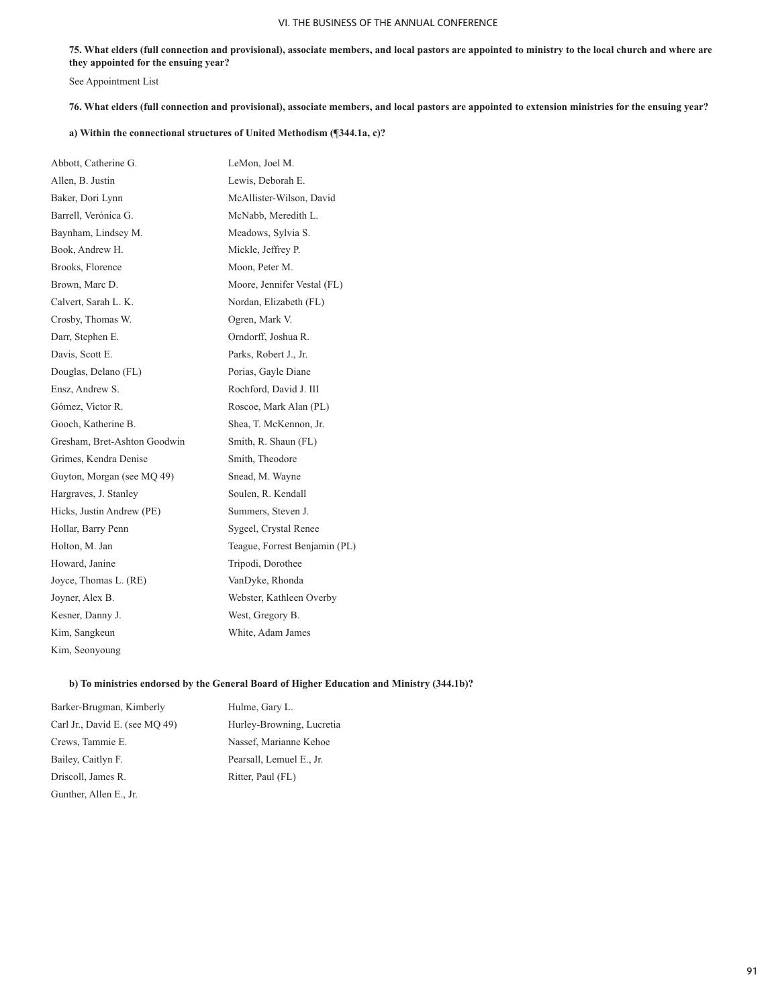**75. What elders (full connection and provisional), associate members, and local pastors are appointed to ministry to the local church and where are they appointed for the ensuing year?**

See Appointment List

**76. What elders (full connection and provisional), associate members, and local pastors are appointed to extension ministries for the ensuing year?**

## **a) Within the connectional structures of United Methodism (¶344.1a, c)?**

| Abbott, Catherine G.         | LeMon, Joel M.                |
|------------------------------|-------------------------------|
| Allen, B. Justin             | Lewis, Deborah E.             |
| Baker, Dori Lynn             | McAllister-Wilson, David      |
| Barrell, Verónica G.         | McNabb, Meredith L.           |
| Baynham, Lindsey M.          | Meadows, Sylvia S.            |
| Book, Andrew H.              | Mickle, Jeffrey P.            |
| Brooks, Florence             | Moon, Peter M.                |
| Brown, Marc D.               | Moore, Jennifer Vestal (FL)   |
| Calvert, Sarah L. K.         | Nordan, Elizabeth (FL)        |
| Crosby, Thomas W.            | Ogren, Mark V.                |
| Darr, Stephen E.             | Orndorff, Joshua R.           |
| Davis, Scott E.              | Parks, Robert J., Jr.         |
| Douglas, Delano (FL)         | Porias, Gayle Diane           |
| Ensz, Andrew S.              | Rochford, David J. III        |
| Gómez, Victor R.             | Roscoe, Mark Alan (PL)        |
| Gooch, Katherine B.          | Shea, T. McKennon, Jr.        |
| Gresham, Bret-Ashton Goodwin | Smith, R. Shaun (FL)          |
| Grimes, Kendra Denise        | Smith, Theodore               |
| Guyton, Morgan (see MQ 49)   | Snead, M. Wayne               |
| Hargraves, J. Stanley        | Soulen, R. Kendall            |
| Hicks, Justin Andrew (PE)    | Summers, Steven J.            |
| Hollar, Barry Penn           | Sygeel, Crystal Renee         |
| Holton, M. Jan               | Teague, Forrest Benjamin (PL) |
| Howard, Janine               | Tripodi, Dorothee             |
| Joyce, Thomas L. (RE)        | VanDyke, Rhonda               |
| Joyner, Alex B.              | Webster, Kathleen Overby      |
| Kesner, Danny J.             | West, Gregory B.              |
| Kim, Sangkeun                | White, Adam James             |
| Kim, Seonyoung               |                               |

## **b) To ministries endorsed by the General Board of Higher Education and Ministry (344.1b)?**

| Barker-Brugman, Kimberly       | Hulme, Gary L.            |
|--------------------------------|---------------------------|
| Carl Jr., David E. (see MQ 49) | Hurley-Browning, Lucretia |
| Crews, Tammie E.               | Nassef, Marianne Kehoe    |
| Bailey, Caitlyn F.             | Pearsall, Lemuel E., Jr.  |
| Driscoll, James R.             | Ritter, Paul (FL)         |
| Gunther, Allen E., Jr.         |                           |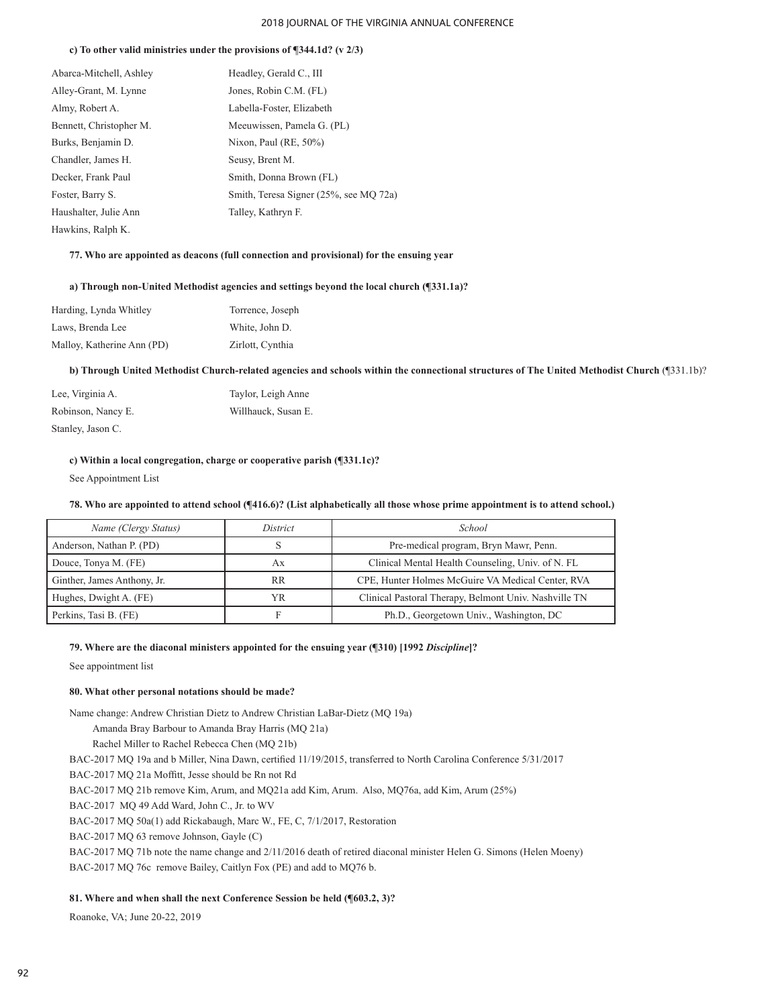#### **c) To other valid ministries under the provisions of ¶344.1d? (v 2/3)**

| Abarca-Mitchell, Ashley | Headley, Gerald C., III                |
|-------------------------|----------------------------------------|
| Alley-Grant, M. Lynne   | Jones, Robin C.M. (FL)                 |
| Almy, Robert A.         | Labella-Foster, Elizabeth              |
| Bennett, Christopher M. | Meeuwissen, Pamela G. (PL)             |
| Burks, Benjamin D.      | Nixon, Paul (RE, $50\%$ )              |
| Chandler, James H.      | Seusy, Brent M.                        |
| Decker, Frank Paul      | Smith, Donna Brown (FL)                |
| Foster, Barry S.        | Smith, Teresa Signer (25%, see MQ 72a) |
| Haushalter, Julie Ann   | Talley, Kathryn F.                     |
| Hawkins, Ralph K.       |                                        |

#### **77. Who are appointed as deacons (full connection and provisional) for the ensuing year**

#### **a) Through non-United Methodist agencies and settings beyond the local church (¶331.1a)?**

| Harding, Lynda Whitley     | Torrence, Joseph |
|----------------------------|------------------|
| Laws, Brenda Lee           | White, John D.   |
| Malloy, Katherine Ann (PD) | Zirlott, Cynthia |

**b) Through United Methodist Church-related agencies and schools within the connectional structures of The United Methodist Church** (¶331.1b)?

| Lee, Virginia A.   | Taylor, Leigh Anne  |
|--------------------|---------------------|
| Robinson, Nancy E. | Willhauck, Susan E. |
| Stanley, Jason C.  |                     |

#### **c) Within a local congregation, charge or cooperative parish (¶331.1c)?**

See Appointment List

## **78. Who are appointed to attend school (¶416.6)? (List alphabetically all those whose prime appointment is to attend school.)**

| Name (Clergy Status)        | District  | School                                                |
|-----------------------------|-----------|-------------------------------------------------------|
| Anderson, Nathan P. (PD)    |           | Pre-medical program, Bryn Mawr, Penn.                 |
| Douce, Tonya M. (FE)        | Ax        | Clinical Mental Health Counseling, Univ. of N. FL     |
| Ginther, James Anthony, Jr. | <b>RR</b> | CPE, Hunter Holmes McGuire VA Medical Center, RVA     |
| Hughes, Dwight A. (FE)      | ΥR        | Clinical Pastoral Therapy, Belmont Univ. Nashville TN |
| Perkins, Tasi B. (FE)       |           | Ph.D., Georgetown Univ., Washington, DC               |

#### **79. Where are the diaconal ministers appointed for the ensuing year (¶310) [1992** *Discipline***]?**

See appointment list

#### **80. What other personal notations should be made?**

Name change: Andrew Christian Dietz to Andrew Christian LaBar-Dietz (MQ 19a)

Amanda Bray Barbour to Amanda Bray Harris (MQ 21a)

Rachel Miller to Rachel Rebecca Chen (MQ 21b)

BAC-2017 MQ 19a and b Miller, Nina Dawn, certified 11/19/2015, transferred to North Carolina Conference 5/31/2017

BAC-2017 MQ 21a Moffitt, Jesse should be Rn not Rd

BAC-2017 MQ 21b remove Kim, Arum, and MQ21a add Kim, Arum. Also, MQ76a, add Kim, Arum (25%)

BAC-2017 MQ 49 Add Ward, John C., Jr. to WV

BAC-2017 MQ 50a(1) add Rickabaugh, Marc W., FE, C, 7/1/2017, Restoration

BAC-2017 MQ 63 remove Johnson, Gayle (C)

BAC-2017 MQ 71b note the name change and 2/11/2016 death of retired diaconal minister Helen G. Simons (Helen Moeny) BAC-2017 MQ 76c remove Bailey, Caitlyn Fox (PE) and add to MQ76 b.

#### **81. Where and when shall the next Conference Session be held (¶603.2, 3)?**

Roanoke, VA; June 20-22, 2019